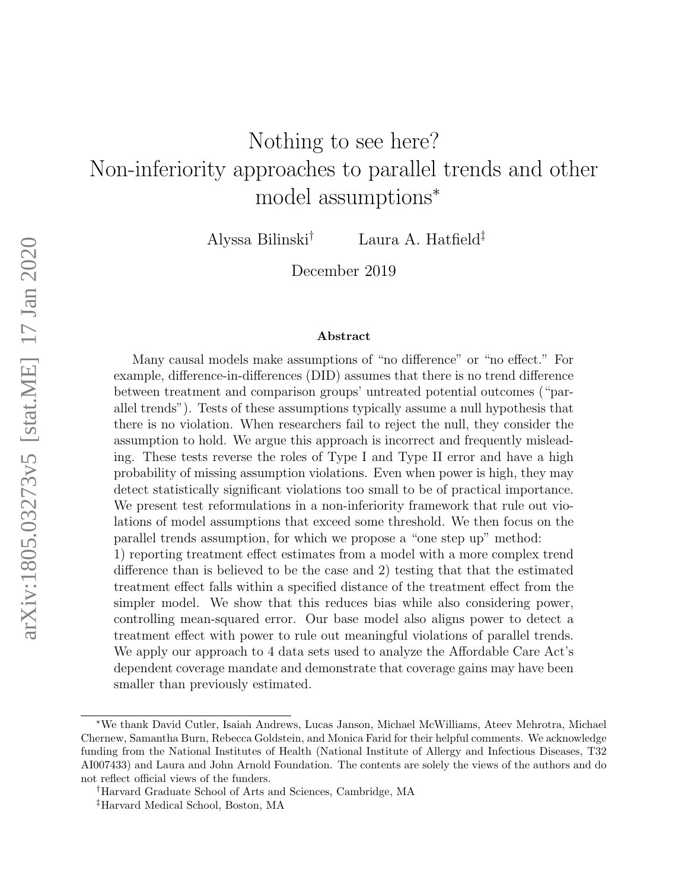# Nothing to see here? Non-inferiority approaches to parallel trends and other model assumptions<sup>∗</sup>

Alyssa Bilinski† Laura A. Hatfield‡

December 2019

#### Abstract

Many causal models make assumptions of "no difference" or "no effect." For example, difference-in-differences (DID) assumes that there is no trend difference between treatment and comparison groups' untreated potential outcomes ("parallel trends"). Tests of these assumptions typically assume a null hypothesis that there is no violation. When researchers fail to reject the null, they consider the assumption to hold. We argue this approach is incorrect and frequently misleading. These tests reverse the roles of Type I and Type II error and have a high probability of missing assumption violations. Even when power is high, they may detect statistically significant violations too small to be of practical importance. We present test reformulations in a non-inferiority framework that rule out violations of model assumptions that exceed some threshold. We then focus on the parallel trends assumption, for which we propose a "one step up" method:

1) reporting treatment effect estimates from a model with a more complex trend difference than is believed to be the case and 2) testing that that the estimated treatment effect falls within a specified distance of the treatment effect from the simpler model. We show that this reduces bias while also considering power, controlling mean-squared error. Our base model also aligns power to detect a treatment effect with power to rule out meaningful violations of parallel trends. We apply our approach to 4 data sets used to analyze the Affordable Care Act's dependent coverage mandate and demonstrate that coverage gains may have been smaller than previously estimated.

<sup>∗</sup>We thank David Cutler, Isaiah Andrews, Lucas Janson, Michael McWilliams, Ateev Mehrotra, Michael Chernew, Samantha Burn, Rebecca Goldstein, and Monica Farid for their helpful comments. We acknowledge funding from the National Institutes of Health (National Institute of Allergy and Infectious Diseases, T32 AI007433) and Laura and John Arnold Foundation. The contents are solely the views of the authors and do not reflect official views of the funders.

<sup>†</sup>Harvard Graduate School of Arts and Sciences, Cambridge, MA

<sup>‡</sup>Harvard Medical School, Boston, MA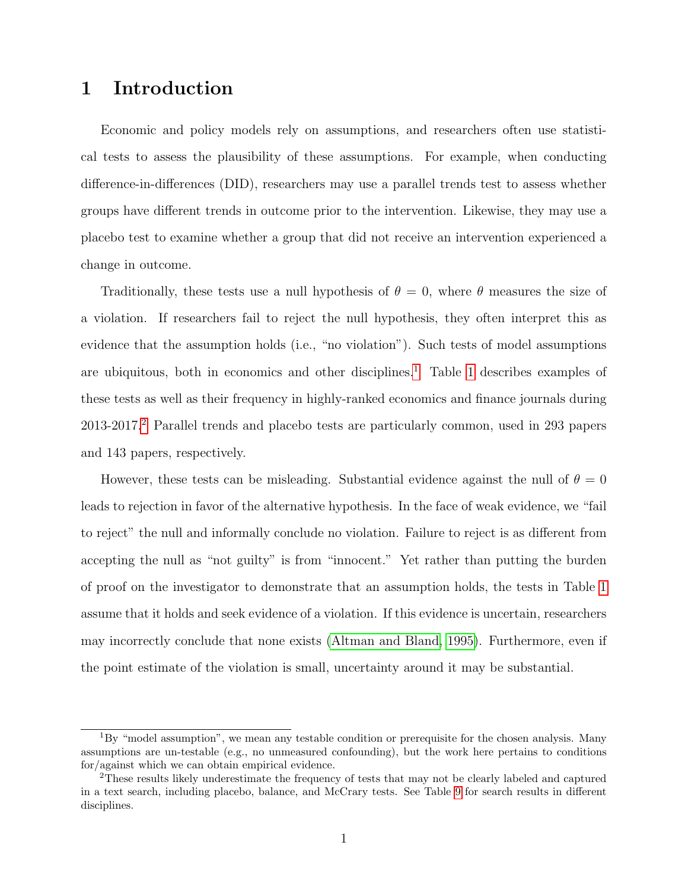# 1 Introduction

Economic and policy models rely on assumptions, and researchers often use statistical tests to assess the plausibility of these assumptions. For example, when conducting difference-in-differences (DID), researchers may use a parallel trends test to assess whether groups have different trends in outcome prior to the intervention. Likewise, they may use a placebo test to examine whether a group that did not receive an intervention experienced a change in outcome.

Traditionally, these tests use a null hypothesis of  $\theta = 0$ , where  $\theta$  measures the size of a violation. If researchers fail to reject the null hypothesis, they often interpret this as evidence that the assumption holds (i.e., "no violation"). Such tests of model assumptions are ubiquitous, both in economics and other disciplines.<sup>[1](#page-1-0)</sup> Table [1](#page-2-0) describes examples of these tests as well as their frequency in highly-ranked economics and finance journals during 2013-2017.[2](#page-1-1) Parallel trends and placebo tests are particularly common, used in 293 papers and 143 papers, respectively.

However, these tests can be misleading. Substantial evidence against the null of  $\theta = 0$ leads to rejection in favor of the alternative hypothesis. In the face of weak evidence, we "fail to reject" the null and informally conclude no violation. Failure to reject is as different from accepting the null as "not guilty" is from "innocent." Yet rather than putting the burden of proof on the investigator to demonstrate that an assumption holds, the tests in Table [1](#page-2-0) assume that it holds and seek evidence of a violation. If this evidence is uncertain, researchers may incorrectly conclude that none exists [\(Altman and Bland, 1995\)](#page-61-0). Furthermore, even if the point estimate of the violation is small, uncertainty around it may be substantial.

<span id="page-1-0"></span> ${}^{1}_{1}$ By "model assumption", we mean any testable condition or prerequisite for the chosen analysis. Many assumptions are un-testable (e.g., no unmeasured confounding), but the work here pertains to conditions for/against which we can obtain empirical evidence.

<span id="page-1-1"></span><sup>2</sup>These results likely underestimate the frequency of tests that may not be clearly labeled and captured in a text search, including placebo, balance, and McCrary tests. See Table [9](#page-44-0) for search results in different disciplines.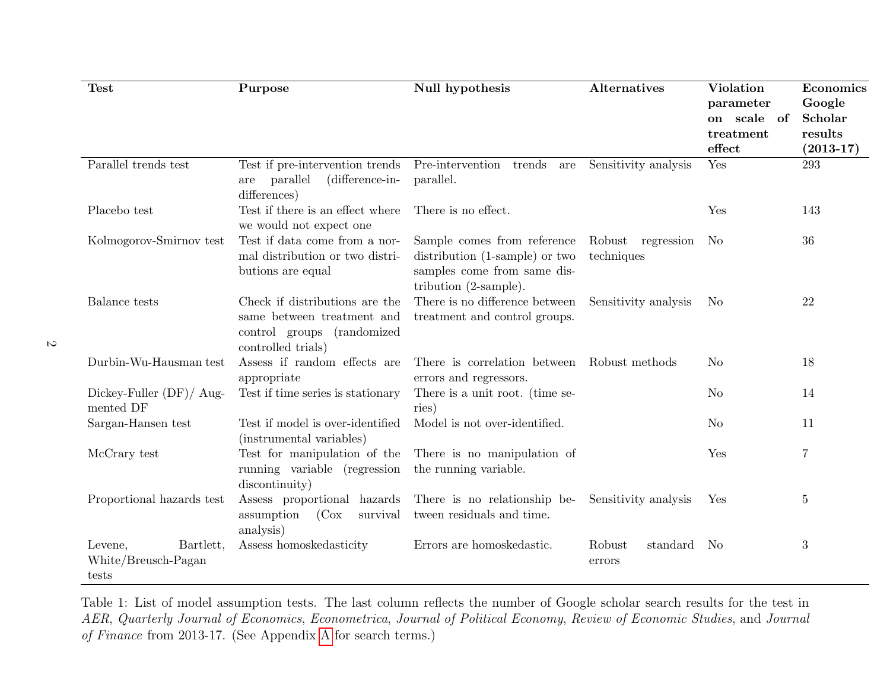| <b>Test</b>                                          | Purpose                                                                                                          | Null hypothesis                                                                                                                 | Alternatives                    | <b>Violation</b> | Economics      |  |
|------------------------------------------------------|------------------------------------------------------------------------------------------------------------------|---------------------------------------------------------------------------------------------------------------------------------|---------------------------------|------------------|----------------|--|
|                                                      |                                                                                                                  |                                                                                                                                 |                                 | parameter        | Google         |  |
|                                                      |                                                                                                                  |                                                                                                                                 |                                 | on scale of      | <b>Scholar</b> |  |
|                                                      |                                                                                                                  |                                                                                                                                 |                                 | treatment        | results        |  |
|                                                      |                                                                                                                  |                                                                                                                                 |                                 | effect           | $(2013 - 17)$  |  |
| Parallel trends test                                 | Test if pre-intervention trends<br>(difference-in-<br>are parallel<br>differences)                               | Pre-intervention trends are<br>parallel.                                                                                        | Sensitivity analysis            | Yes              | 293            |  |
| Placebo test                                         | Test if there is an effect where<br>we would not expect one                                                      | There is no effect.                                                                                                             |                                 | Yes              | 143            |  |
| Kolmogorov-Smirnov test                              | Test if data come from a nor-<br>mal distribution or two distri-<br>butions are equal                            | Sample comes from reference<br>distribution (1-sample) or two<br>samples come from same dis-<br>tribution $(2\text{-sample})$ . | Robust regression<br>techniques | - No             | 36             |  |
| Balance tests                                        | Check if distributions are the<br>same between treatment and<br>control groups (randomized<br>controlled trials) | There is no difference between<br>treatment and control groups.                                                                 | Sensitivity analysis            | N <sub>o</sub>   | 22             |  |
| Durbin-Wu-Hausman test                               | Assess if random effects are<br>appropriate                                                                      | There is correlation between Robust methods<br>errors and regressors.                                                           |                                 | N <sub>o</sub>   | 18             |  |
| Dickey-Fuller $(DF)/$ Aug-<br>mented DF              | Test if time series is stationary                                                                                | There is a unit root. (time se-<br>ries)                                                                                        |                                 | N <sub>o</sub>   | 14             |  |
| Sargan-Hansen test                                   | Test if model is over-identified<br>(instrumental variables)                                                     | Model is not over-identified.                                                                                                   |                                 | N <sub>o</sub>   | 11             |  |
| McCrary test                                         | Test for manipulation of the<br>running variable (regression<br>discontinuity)                                   | There is no manipulation of<br>the running variable.                                                                            |                                 | Yes              | $\overline{7}$ |  |
| Proportional hazards test                            | Assess proportional hazards<br>(Cox<br>assumption<br>survival<br>analysis)                                       | There is no relationship be-<br>tween residuals and time.                                                                       | Sensitivity analysis            | Yes              | $\overline{5}$ |  |
| Bartlett,<br>Levene,<br>White/Breusch-Pagan<br>tests | Assess homoskedasticity                                                                                          | Errors are homoskedastic.                                                                                                       | Robust<br>standard<br>errors    | N <sub>0</sub>   | 3              |  |

 $\mathcal{L}$ 

<span id="page-2-0"></span>Table 1: List of model assumption tests. The last column reflects the number of Google scholar search results for the test in AER, Quarterly Journal of Economics, Econometrica, Journal of Political Economy, Review of Economic Studies, and Journal of Finance from 2013-17. (See Appendix [A](#page-42-0) for search terms.)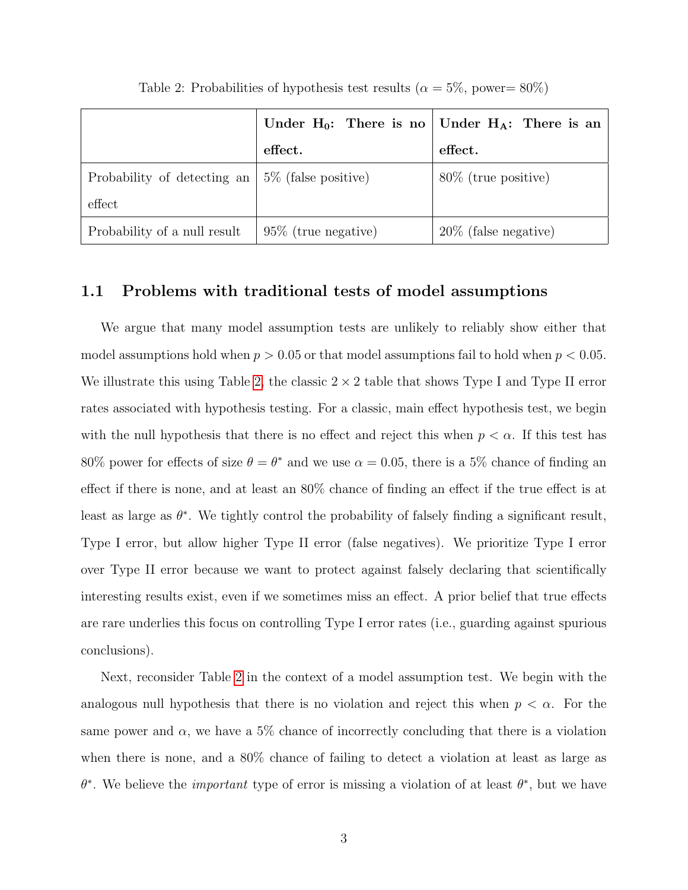<span id="page-3-0"></span>

|                              | Under $H_0$ : There is no Under $H_A$ : There is an |                          |
|------------------------------|-----------------------------------------------------|--------------------------|
|                              | effect.                                             | $\operatorname{effect.}$ |
| Probability of detecting an  | 5\% (false positive)                                | $80\%$ (true positive)   |
| effect                       |                                                     |                          |
| Probability of a null result | $95\%$ (true negative)                              | $20\%$ (false negative)  |

Table 2: Probabilities of hypothesis test results ( $\alpha = 5\%$ , power= 80%)

### 1.1 Problems with traditional tests of model assumptions

We argue that many model assumption tests are unlikely to reliably show either that model assumptions hold when  $p > 0.05$  or that model assumptions fail to hold when  $p < 0.05$ . We illustrate this using Table [2,](#page-3-0) the classic  $2 \times 2$  table that shows Type I and Type II error rates associated with hypothesis testing. For a classic, main effect hypothesis test, we begin with the null hypothesis that there is no effect and reject this when  $p < \alpha$ . If this test has 80% power for effects of size  $\theta = \theta^*$  and we use  $\alpha = 0.05$ , there is a 5% chance of finding an effect if there is none, and at least an 80% chance of finding an effect if the true effect is at least as large as  $\theta^*$ . We tightly control the probability of falsely finding a significant result, Type I error, but allow higher Type II error (false negatives). We prioritize Type I error over Type II error because we want to protect against falsely declaring that scientifically interesting results exist, even if we sometimes miss an effect. A prior belief that true effects are rare underlies this focus on controlling Type I error rates (i.e., guarding against spurious conclusions).

Next, reconsider Table [2](#page-3-0) in the context of a model assumption test. We begin with the analogous null hypothesis that there is no violation and reject this when  $p < \alpha$ . For the same power and  $\alpha$ , we have a 5% chance of incorrectly concluding that there is a violation when there is none, and a 80% chance of failing to detect a violation at least as large as  $\theta^*$ . We believe the *important* type of error is missing a violation of at least  $\theta^*$ , but we have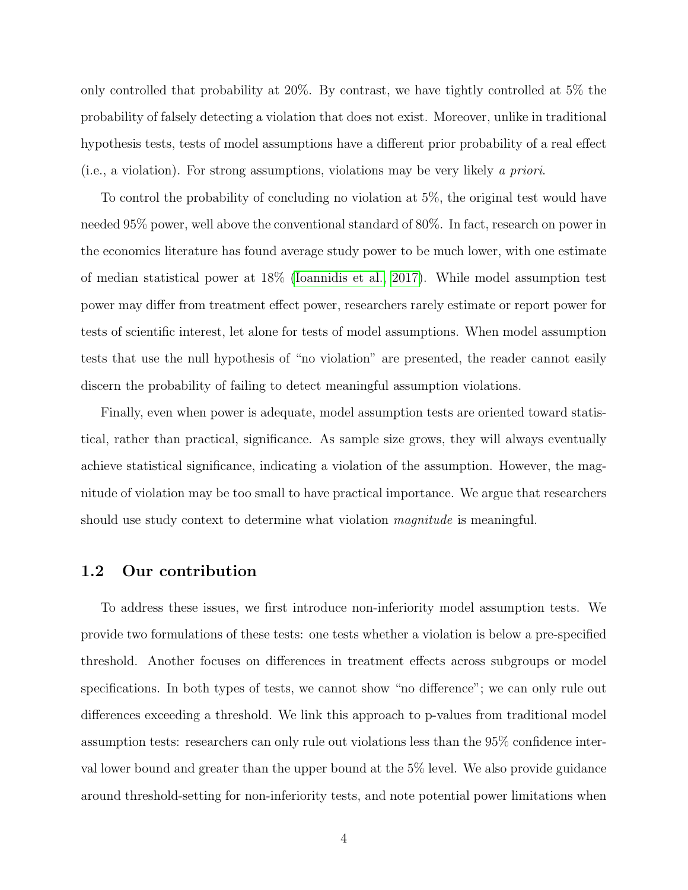only controlled that probability at 20%. By contrast, we have tightly controlled at 5% the probability of falsely detecting a violation that does not exist. Moreover, unlike in traditional hypothesis tests, tests of model assumptions have a different prior probability of a real effect (i.e., a violation). For strong assumptions, violations may be very likely a priori.

To control the probability of concluding no violation at 5%, the original test would have needed 95% power, well above the conventional standard of 80%. In fact, research on power in the economics literature has found average study power to be much lower, with one estimate of median statistical power at 18% [\(Ioannidis et al., 2017\)](#page-63-0). While model assumption test power may differ from treatment effect power, researchers rarely estimate or report power for tests of scientific interest, let alone for tests of model assumptions. When model assumption tests that use the null hypothesis of "no violation" are presented, the reader cannot easily discern the probability of failing to detect meaningful assumption violations.

Finally, even when power is adequate, model assumption tests are oriented toward statistical, rather than practical, significance. As sample size grows, they will always eventually achieve statistical significance, indicating a violation of the assumption. However, the magnitude of violation may be too small to have practical importance. We argue that researchers should use study context to determine what violation *magnitude* is meaningful.

#### 1.2 Our contribution

To address these issues, we first introduce non-inferiority model assumption tests. We provide two formulations of these tests: one tests whether a violation is below a pre-specified threshold. Another focuses on differences in treatment effects across subgroups or model specifications. In both types of tests, we cannot show "no difference"; we can only rule out differences exceeding a threshold. We link this approach to p-values from traditional model assumption tests: researchers can only rule out violations less than the 95% confidence interval lower bound and greater than the upper bound at the 5% level. We also provide guidance around threshold-setting for non-inferiority tests, and note potential power limitations when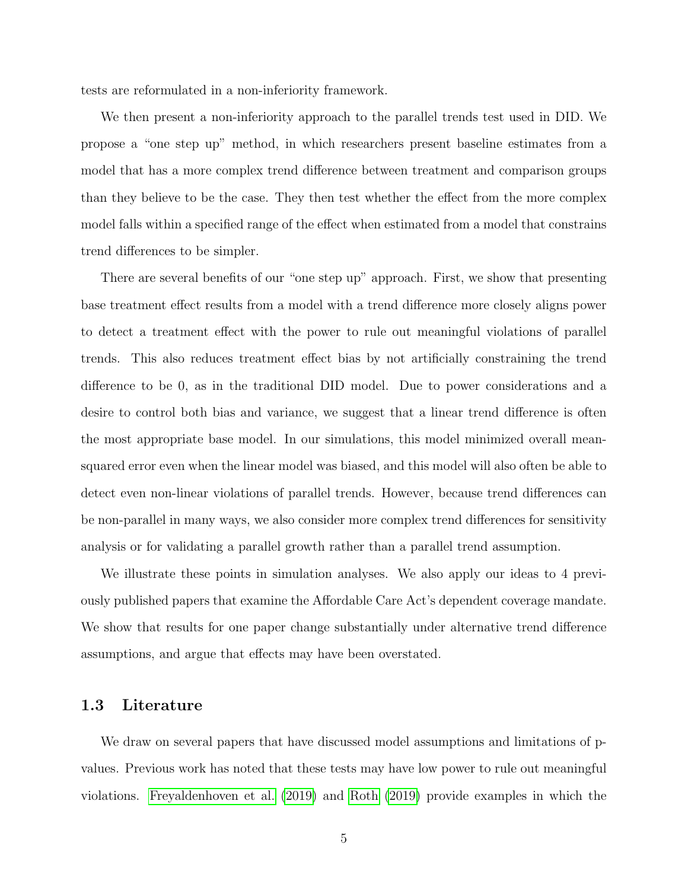tests are reformulated in a non-inferiority framework.

We then present a non-inferiority approach to the parallel trends test used in DID. We propose a "one step up" method, in which researchers present baseline estimates from a model that has a more complex trend difference between treatment and comparison groups than they believe to be the case. They then test whether the effect from the more complex model falls within a specified range of the effect when estimated from a model that constrains trend differences to be simpler.

There are several benefits of our "one step up" approach. First, we show that presenting base treatment effect results from a model with a trend difference more closely aligns power to detect a treatment effect with the power to rule out meaningful violations of parallel trends. This also reduces treatment effect bias by not artificially constraining the trend difference to be 0, as in the traditional DID model. Due to power considerations and a desire to control both bias and variance, we suggest that a linear trend difference is often the most appropriate base model. In our simulations, this model minimized overall meansquared error even when the linear model was biased, and this model will also often be able to detect even non-linear violations of parallel trends. However, because trend differences can be non-parallel in many ways, we also consider more complex trend differences for sensitivity analysis or for validating a parallel growth rather than a parallel trend assumption.

We illustrate these points in simulation analyses. We also apply our ideas to 4 previously published papers that examine the Affordable Care Act's dependent coverage mandate. We show that results for one paper change substantially under alternative trend difference assumptions, and argue that effects may have been overstated.

#### 1.3 Literature

We draw on several papers that have discussed model assumptions and limitations of pvalues. Previous work has noted that these tests may have low power to rule out meaningful violations. [Freyaldenhoven et al.](#page-62-0) [\(2019\)](#page-62-0) and [Roth](#page-63-1) [\(2019\)](#page-63-1) provide examples in which the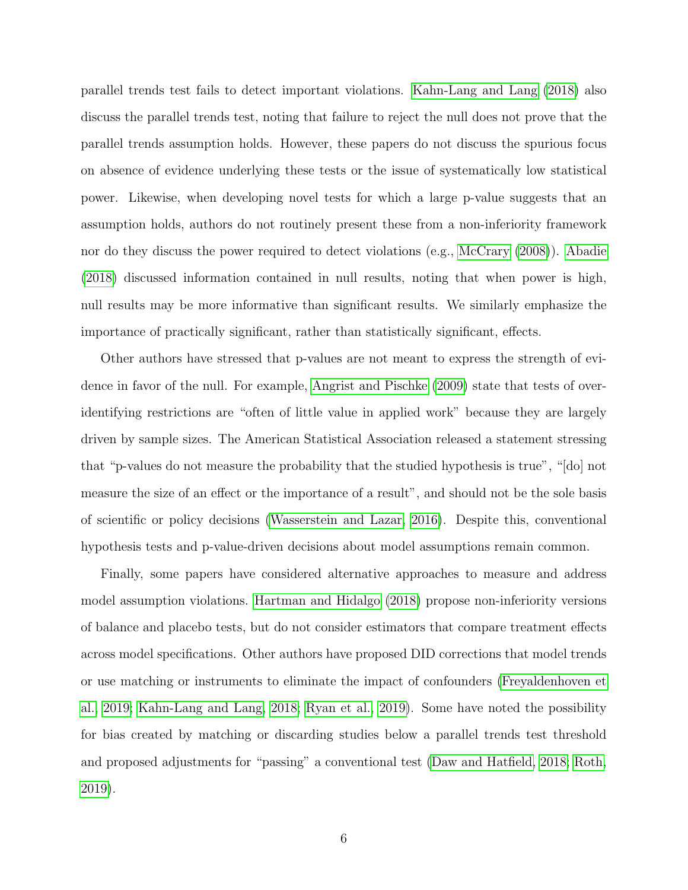parallel trends test fails to detect important violations. [Kahn-Lang and Lang](#page-63-2) [\(2018\)](#page-63-2) also discuss the parallel trends test, noting that failure to reject the null does not prove that the parallel trends assumption holds. However, these papers do not discuss the spurious focus on absence of evidence underlying these tests or the issue of systematically low statistical power. Likewise, when developing novel tests for which a large p-value suggests that an assumption holds, authors do not routinely present these from a non-inferiority framework nor do they discuss the power required to detect violations (e.g., [McCrary](#page-63-3) [\(2008\)](#page-63-3)). [Abadie](#page-61-1) [\(2018\)](#page-61-1) discussed information contained in null results, noting that when power is high, null results may be more informative than significant results. We similarly emphasize the importance of practically significant, rather than statistically significant, effects.

Other authors have stressed that p-values are not meant to express the strength of evidence in favor of the null. For example, [Angrist and Pischke](#page-61-2) [\(2009\)](#page-61-2) state that tests of overidentifying restrictions are "often of little value in applied work" because they are largely driven by sample sizes. The American Statistical Association released a statement stressing that "p-values do not measure the probability that the studied hypothesis is true", "[do] not measure the size of an effect or the importance of a result", and should not be the sole basis of scientific or policy decisions [\(Wasserstein and Lazar, 2016\)](#page-64-0). Despite this, conventional hypothesis tests and p-value-driven decisions about model assumptions remain common.

Finally, some papers have considered alternative approaches to measure and address model assumption violations. [Hartman and Hidalgo](#page-62-1) [\(2018\)](#page-62-1) propose non-inferiority versions of balance and placebo tests, but do not consider estimators that compare treatment effects across model specifications. Other authors have proposed DID corrections that model trends or use matching or instruments to eliminate the impact of confounders [\(Freyaldenhoven et](#page-62-0) [al., 2019;](#page-62-0) [Kahn-Lang and Lang, 2018;](#page-63-2) [Ryan et al., 2019\)](#page-64-1). Some have noted the possibility for bias created by matching or discarding studies below a parallel trends test threshold and proposed adjustments for "passing" a conventional test [\(Daw and Hatfield, 2018;](#page-62-2) [Roth,](#page-63-1) [2019\)](#page-63-1).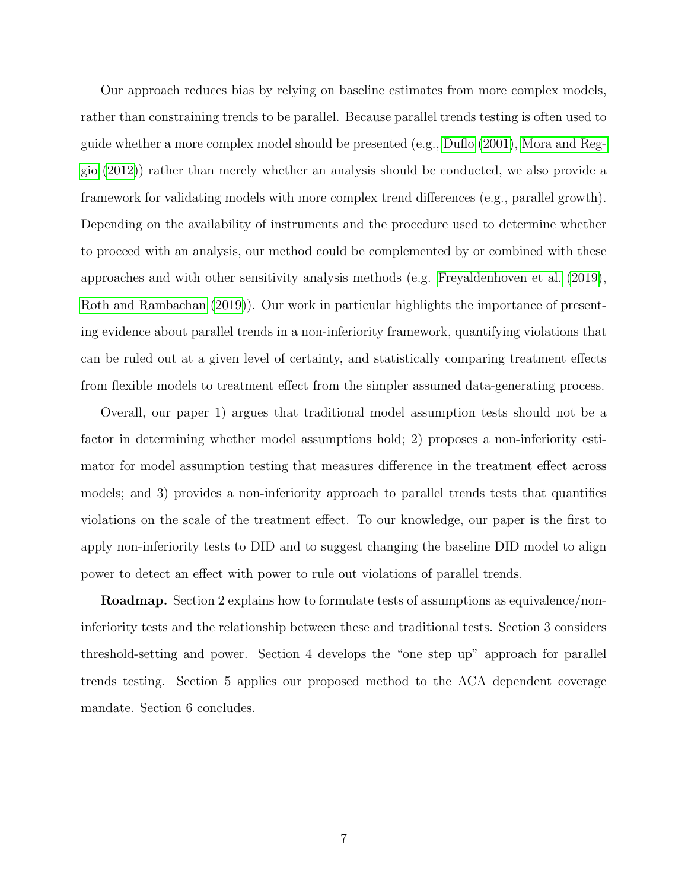Our approach reduces bias by relying on baseline estimates from more complex models, rather than constraining trends to be parallel. Because parallel trends testing is often used to guide whether a more complex model should be presented (e.g., [Duflo](#page-62-3) [\(2001\)](#page-62-3), [Mora and Reg](#page-63-4)[gio](#page-63-4) [\(2012\)](#page-63-4)) rather than merely whether an analysis should be conducted, we also provide a framework for validating models with more complex trend differences (e.g., parallel growth). Depending on the availability of instruments and the procedure used to determine whether to proceed with an analysis, our method could be complemented by or combined with these approaches and with other sensitivity analysis methods (e.g. [Freyaldenhoven et al.](#page-62-0) [\(2019\)](#page-62-0), [Roth and Rambachan](#page-64-2) [\(2019\)](#page-64-2)). Our work in particular highlights the importance of presenting evidence about parallel trends in a non-inferiority framework, quantifying violations that can be ruled out at a given level of certainty, and statistically comparing treatment effects from flexible models to treatment effect from the simpler assumed data-generating process.

Overall, our paper 1) argues that traditional model assumption tests should not be a factor in determining whether model assumptions hold; 2) proposes a non-inferiority estimator for model assumption testing that measures difference in the treatment effect across models; and 3) provides a non-inferiority approach to parallel trends tests that quantifies violations on the scale of the treatment effect. To our knowledge, our paper is the first to apply non-inferiority tests to DID and to suggest changing the baseline DID model to align power to detect an effect with power to rule out violations of parallel trends.

**Roadmap.** Section 2 explains how to formulate tests of assumptions as equivalence/noninferiority tests and the relationship between these and traditional tests. Section 3 considers threshold-setting and power. Section 4 develops the "one step up" approach for parallel trends testing. Section 5 applies our proposed method to the ACA dependent coverage mandate. Section 6 concludes.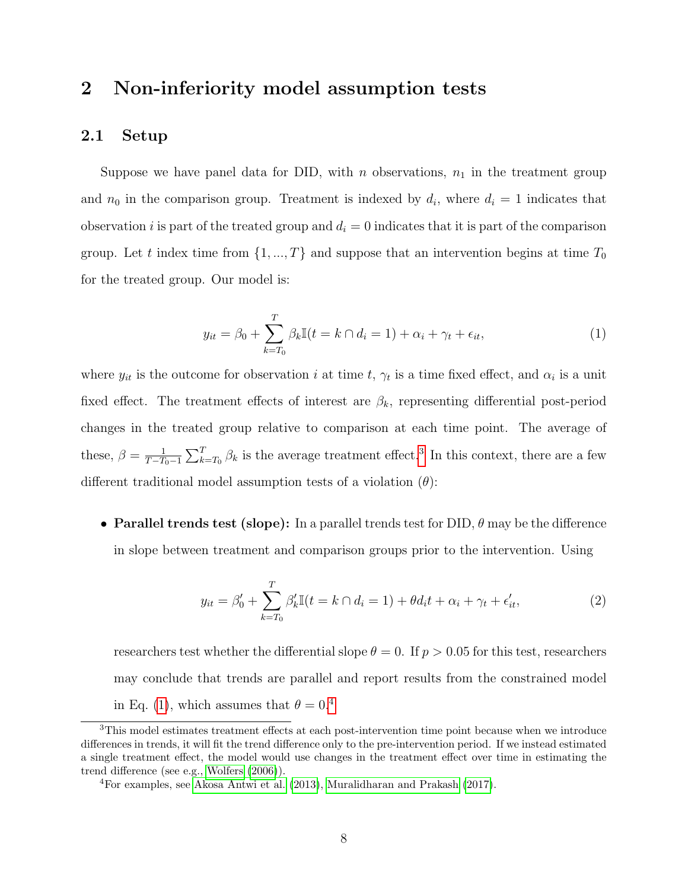# 2 Non-inferiority model assumption tests

### 2.1 Setup

Suppose we have panel data for DID, with n observations,  $n_1$  in the treatment group and  $n_0$  in the comparison group. Treatment is indexed by  $d_i$ , where  $d_i = 1$  indicates that observation i is part of the treated group and  $d_i = 0$  indicates that it is part of the comparison group. Let t index time from  $\{1, ..., T\}$  and suppose that an intervention begins at time  $T_0$ for the treated group. Our model is:

<span id="page-8-1"></span>
$$
y_{it} = \beta_0 + \sum_{k=T_0}^{T} \beta_k \mathbb{I}(t = k \cap d_i = 1) + \alpha_i + \gamma_t + \epsilon_{it}, \tag{1}
$$

where  $y_{it}$  is the outcome for observation i at time t,  $\gamma_t$  is a time fixed effect, and  $\alpha_i$  is a unit fixed effect. The treatment effects of interest are  $\beta_k$ , representing differential post-period changes in the treated group relative to comparison at each time point. The average of these,  $\beta = \frac{1}{T-T}$  $\frac{1}{T-T_0-1}\sum_{k=T_0}^T \beta_k$  is the average treatment effect.<sup>[3](#page-8-0)</sup> In this context, there are a few different traditional model assumption tests of a violation  $(\theta)$ :

• Parallel trends test (slope): In a parallel trends test for DID,  $\theta$  may be the difference in slope between treatment and comparison groups prior to the intervention. Using

<span id="page-8-3"></span>
$$
y_{it} = \beta'_0 + \sum_{k=T_0}^{T} \beta'_k \mathbb{I}(t = k \cap d_i = 1) + \theta d_i t + \alpha_i + \gamma_t + \epsilon'_{it}, \tag{2}
$$

researchers test whether the differential slope  $\theta = 0$ . If  $p > 0.05$  for this test, researchers may conclude that trends are parallel and report results from the constrained model in Eq. [\(1\)](#page-8-1), which assumes that  $\theta = 0^{4}$  $\theta = 0^{4}$  $\theta = 0^{4}$ 

<span id="page-8-0"></span><sup>&</sup>lt;sup>3</sup>This model estimates treatment effects at each post-intervention time point because when we introduce differences in trends, it will fit the trend difference only to the pre-intervention period. If we instead estimated a single treatment effect, the model would use changes in the treatment effect over time in estimating the trend difference (see e.g., [Wolfers](#page-64-3) [\(2006\)](#page-64-3)).

<span id="page-8-2"></span><sup>4</sup>For examples, see [Akosa Antwi et al.](#page-61-3) [\(2013\)](#page-61-3), [Muralidharan and Prakash](#page-63-5) [\(2017\)](#page-63-5).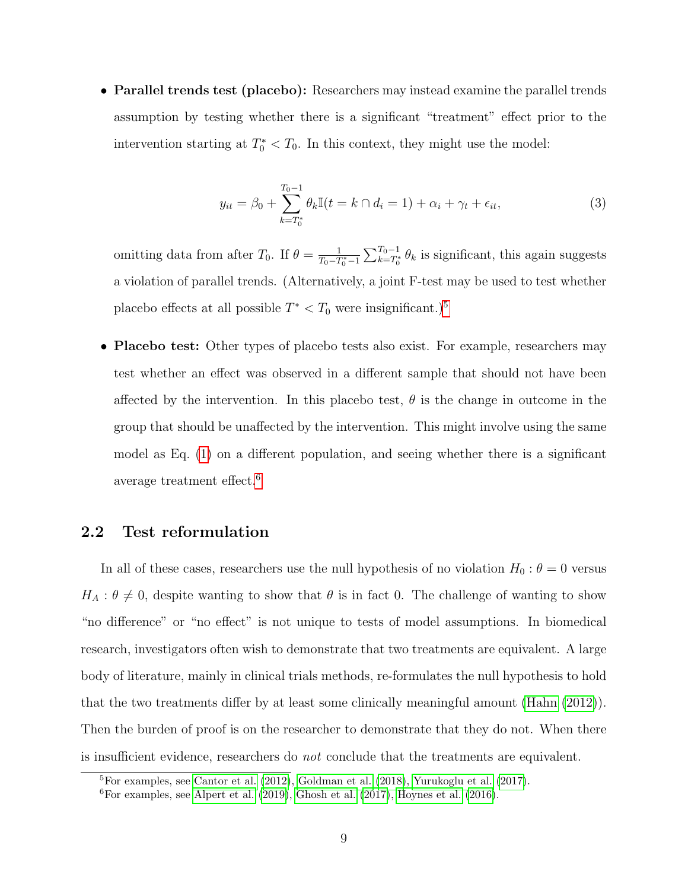• Parallel trends test (placebo): Researchers may instead examine the parallel trends assumption by testing whether there is a significant "treatment" effect prior to the intervention starting at  $T_0^* < T_0$ . In this context, they might use the model:

$$
y_{it} = \beta_0 + \sum_{k=T_0^*}^{T_0-1} \theta_k \mathbb{I}(t = k \cap d_i = 1) + \alpha_i + \gamma_t + \epsilon_{it}, \tag{3}
$$

omitting data from after  $T_0$ . If  $\theta = \frac{1}{T_0 - T_0}$  $\frac{1}{T_0 - T_0^* - 1} \sum_{k=T_0^*}^{T_0 - 1} \theta_k$  is significant, this again suggests a violation of parallel trends. (Alternatively, a joint F-test may be used to test whether placebo effects at all possible  $T^* < T_0$  were insignificant.)<sup>[5](#page-9-0)</sup>

• Placebo test: Other types of placebo tests also exist. For example, researchers may test whether an effect was observed in a different sample that should not have been affected by the intervention. In this placebo test,  $\theta$  is the change in outcome in the group that should be unaffected by the intervention. This might involve using the same model as Eq. [\(1\)](#page-8-1) on a different population, and seeing whether there is a significant average treatment effect.[6](#page-9-1)

## 2.2 Test reformulation

In all of these cases, researchers use the null hypothesis of no violation  $H_0$ :  $\theta = 0$  versus  $H_A: \theta \neq 0$ , despite wanting to show that  $\theta$  is in fact 0. The challenge of wanting to show "no difference" or "no effect" is not unique to tests of model assumptions. In biomedical research, investigators often wish to demonstrate that two treatments are equivalent. A large body of literature, mainly in clinical trials methods, re-formulates the null hypothesis to hold that the two treatments differ by at least some clinically meaningful amount [\(Hahn](#page-62-4) [\(2012\)](#page-62-4)). Then the burden of proof is on the researcher to demonstrate that they do not. When there is insufficient evidence, researchers do not conclude that the treatments are equivalent.

<span id="page-9-0"></span> ${}^{5}$ For examples, see [Cantor et al.](#page-61-4) [\(2012\)](#page-61-4), [Goldman et al.](#page-62-5) [\(2018\)](#page-62-5), [Yurukoglu et al.](#page-64-4) [\(2017\)](#page-64-4).

<span id="page-9-1"></span> ${}^{6}$ For examples, see [Alpert et al.](#page-61-5) [\(2019\)](#page-61-5), [Ghosh et al.](#page-62-6) [\(2017\)](#page-62-6), [Hoynes et al.](#page-63-6) [\(2016\)](#page-63-6).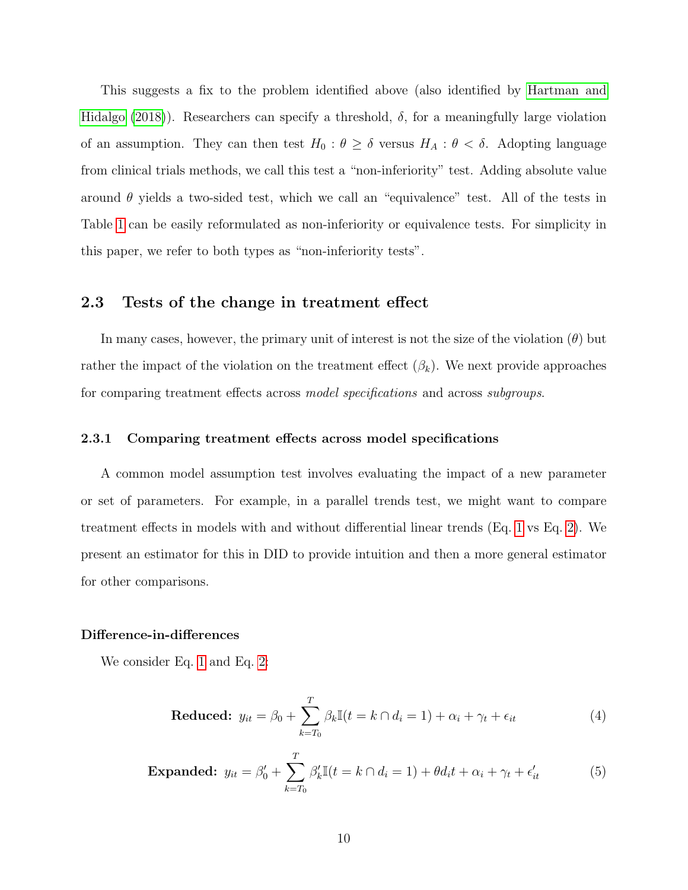This suggests a fix to the problem identified above (also identified by [Hartman and](#page-62-1) [Hidalgo](#page-62-1) [\(2018\)](#page-62-1)). Researchers can specify a threshold,  $\delta$ , for a meaningfully large violation of an assumption. They can then test  $H_0$ :  $\theta \geq \delta$  versus  $H_A$ :  $\theta < \delta$ . Adopting language from clinical trials methods, we call this test a "non-inferiority" test. Adding absolute value around  $\theta$  yields a two-sided test, which we call an "equivalence" test. All of the tests in Table [1](#page-2-0) can be easily reformulated as non-inferiority or equivalence tests. For simplicity in this paper, we refer to both types as "non-inferiority tests".

## 2.3 Tests of the change in treatment effect

In many cases, however, the primary unit of interest is not the size of the violation  $(\theta)$  but rather the impact of the violation on the treatment effect  $(\beta_k)$ . We next provide approaches for comparing treatment effects across model specifications and across subgroups.

#### 2.3.1 Comparing treatment effects across model specifications

A common model assumption test involves evaluating the impact of a new parameter or set of parameters. For example, in a parallel trends test, we might want to compare treatment effects in models with and without differential linear trends (Eq. [1](#page-8-1) vs Eq. [2\)](#page-8-3). We present an estimator for this in DID to provide intuition and then a more general estimator for other comparisons.

#### Difference-in-differences

We consider Eq. [1](#page-8-1) and Eq. [2:](#page-8-3)

<span id="page-10-1"></span>
$$
\text{Reduced: } y_{it} = \beta_0 + \sum_{k=T_0}^{T} \beta_k \mathbb{I}(t = k \cap d_i = 1) + \alpha_i + \gamma_t + \epsilon_{it} \tag{4}
$$

<span id="page-10-0"></span>**Expanded:** 
$$
y_{it} = \beta_0' + \sum_{k=T_0}^{T} \beta_k' \mathbb{I}(t = k \cap d_i = 1) + \theta d_i t + \alpha_i + \gamma_t + \epsilon_{it}'
$$
(5)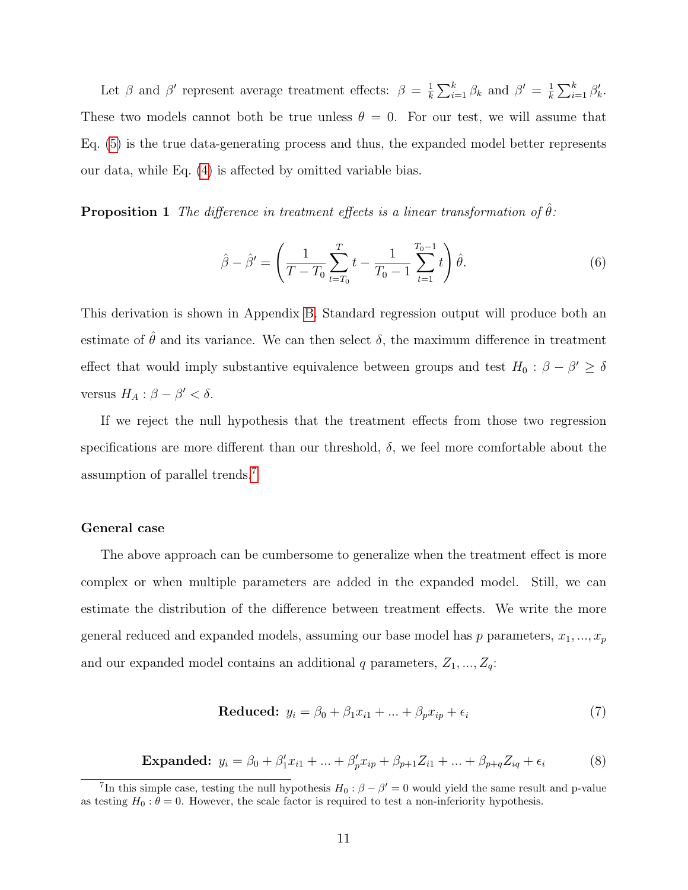Let  $\beta$  and  $\beta'$  represent average treatment effects:  $\beta = \frac{1}{k}$  $\frac{1}{k} \sum_{i=1}^{k} \beta_k$  and  $\beta' = \frac{1}{k}$  $\frac{1}{k} \sum_{i=1}^{k} \beta'_k$ . These two models cannot both be true unless  $\theta = 0$ . For our test, we will assume that Eq. [\(5\)](#page-10-0) is the true data-generating process and thus, the expanded model better represents our data, while Eq. [\(4\)](#page-10-1) is affected by omitted variable bias.

<span id="page-11-1"></span>**Proposition 1** The difference in treatment effects is a linear transformation of  $\hat{\theta}$ :

$$
\hat{\beta} - \hat{\beta}' = \left(\frac{1}{T - T_0} \sum_{t=T_0}^{T} t - \frac{1}{T_0 - 1} \sum_{t=1}^{T_0 - 1} t\right) \hat{\theta}.
$$
\n(6)

This derivation is shown in Appendix [B.](#page-45-0) Standard regression output will produce both an estimate of  $\hat{\theta}$  and its variance. We can then select  $\delta$ , the maximum difference in treatment effect that would imply substantive equivalence between groups and test  $H_0$ :  $\beta - \beta' \ge \delta$ versus  $H_A: \beta - \beta' < \delta$ .

If we reject the null hypothesis that the treatment effects from those two regression specifications are more different than our threshold,  $\delta$ , we feel more comfortable about the assumption of parallel trends.[7](#page-11-0)

#### General case

The above approach can be cumbersome to generalize when the treatment effect is more complex or when multiple parameters are added in the expanded model. Still, we can estimate the distribution of the difference between treatment effects. We write the more general reduced and expanded models, assuming our base model has p parameters,  $x_1, ..., x_p$ and our expanded model contains an additional  $q$  parameters,  $Z_1, ..., Z_q$ :

$$
Reduced: y_i = \beta_0 + \beta_1 x_{i1} + \dots + \beta_p x_{ip} + \epsilon_i \tag{7}
$$

**Expanded:** 
$$
y_i = \beta_0 + \beta'_1 x_{i1} + ... + \beta'_p x_{ip} + \beta_{p+1} Z_{i1} + ... + \beta_{p+q} Z_{iq} + \epsilon_i
$$
 (8)

<span id="page-11-0"></span><sup>&</sup>lt;sup>7</sup>In this simple case, testing the null hypothesis  $H_0$ :  $\beta - \beta' = 0$  would yield the same result and p-value as testing  $H_0: \theta = 0$ . However, the scale factor is required to test a non-inferiority hypothesis.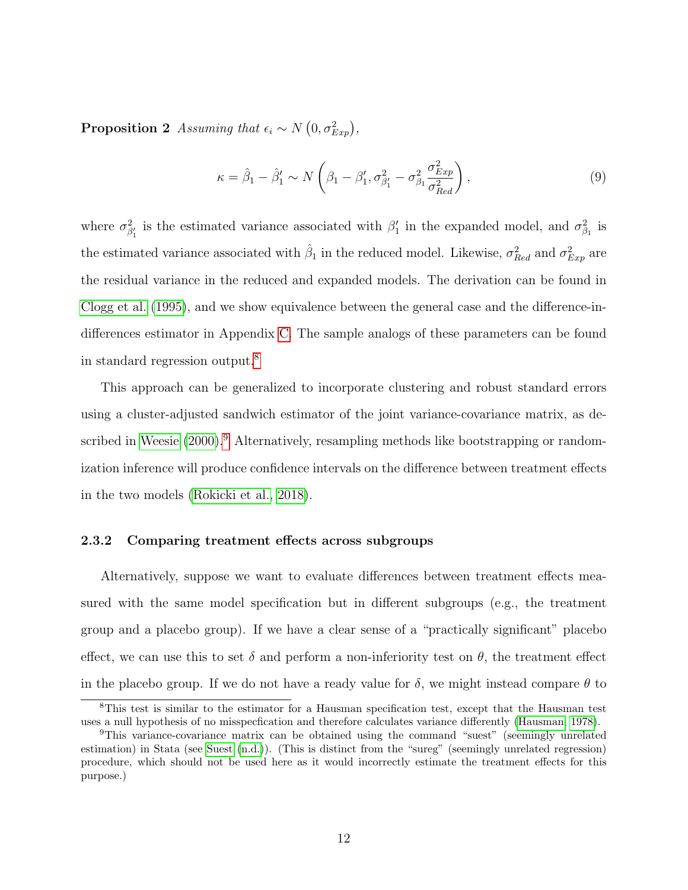**Proposition 2** Assuming that  $\epsilon_i \sim N(0, \sigma_{Exp}^2)$ ,

$$
\kappa = \hat{\beta}_1 - \hat{\beta}'_1 \sim N\left(\beta_1 - \beta'_1, \sigma^2_{\beta'_1} - \sigma^2_{\beta_1} \frac{\sigma^2_{Exp}}{\sigma^2_{Red}}\right),\tag{9}
$$

where  $\sigma_{\beta'_1}^2$  is the estimated variance associated with  $\beta'_1$  in the expanded model, and  $\sigma_{\beta_1}^2$  is the estimated variance associated with  $\hat{\beta}_1$  in the reduced model. Likewise,  $\sigma_{Red}^2$  and  $\sigma_{Exp}^2$  are the residual variance in the reduced and expanded models. The derivation can be found in [Clogg et al.](#page-61-6) [\(1995\)](#page-61-6), and we show equivalence between the general case and the difference-indifferences estimator in Appendix [C.](#page-47-0) The sample analogs of these parameters can be found in standard regression output.[8](#page-12-0)

This approach can be generalized to incorporate clustering and robust standard errors using a cluster-adjusted sandwich estimator of the joint variance-covariance matrix, as de-scribed in [Weesie](#page-64-5) [\(2000\)](#page-64-5).<sup>[9](#page-12-1)</sup> Alternatively, resampling methods like bootstrapping or randomization inference will produce confidence intervals on the difference between treatment effects in the two models [\(Rokicki et al., 2018\)](#page-63-7).

#### 2.3.2 Comparing treatment effects across subgroups

Alternatively, suppose we want to evaluate differences between treatment effects measured with the same model specification but in different subgroups (e.g., the treatment group and a placebo group). If we have a clear sense of a "practically significant" placebo effect, we can use this to set  $\delta$  and perform a non-inferiority test on  $\theta$ , the treatment effect in the placebo group. If we do not have a ready value for  $\delta$ , we might instead compare  $\theta$  to

<span id="page-12-0"></span><sup>8</sup>This test is similar to the estimator for a Hausman specification test, except that the Hausman test uses a null hypothesis of no misspecfication and therefore calculates variance differently [\(Hausman, 1978\)](#page-62-7).

<span id="page-12-1"></span><sup>9</sup>This variance-covariance matrix can be obtained using the command "suest" (seemingly unrelated estimation) in Stata (see [Suest](#page-64-6) [\(n.d.\)](#page-64-6)). (This is distinct from the "sureg" (seemingly unrelated regression) procedure, which should not be used here as it would incorrectly estimate the treatment effects for this purpose.)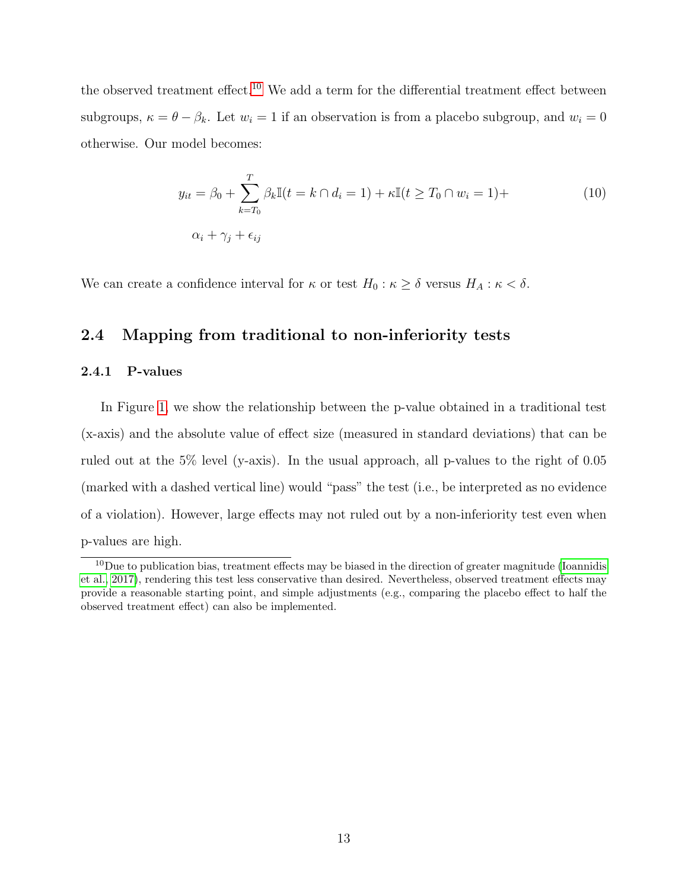the observed treatment effect.<sup>[10](#page-13-0)</sup> We add a term for the differential treatment effect between subgroups,  $\kappa = \theta - \beta_k$ . Let  $w_i = 1$  if an observation is from a placebo subgroup, and  $w_i = 0$ otherwise. Our model becomes:

$$
y_{it} = \beta_0 + \sum_{k=T_0}^{T} \beta_k \mathbb{I}(t = k \cap d_i = 1) + \kappa \mathbb{I}(t \ge T_0 \cap w_i = 1) +
$$
  

$$
\alpha_i + \gamma_j + \epsilon_{ij}
$$
 (10)

We can create a confidence interval for  $\kappa$  or test  $H_0 : \kappa \geq \delta$  versus  $H_A : \kappa < \delta$ .

#### 2.4 Mapping from traditional to non-inferiority tests

#### 2.4.1 P-values

In Figure [1,](#page-14-0) we show the relationship between the p-value obtained in a traditional test (x-axis) and the absolute value of effect size (measured in standard deviations) that can be ruled out at the 5% level (y-axis). In the usual approach, all p-values to the right of 0.05 (marked with a dashed vertical line) would "pass" the test (i.e., be interpreted as no evidence of a violation). However, large effects may not ruled out by a non-inferiority test even when p-values are high.

<span id="page-13-0"></span> $10$ Due to publication bias, treatment effects may be biased in the direction of greater magnitude [\(Ioannidis](#page-63-0) [et al., 2017\)](#page-63-0), rendering this test less conservative than desired. Nevertheless, observed treatment effects may provide a reasonable starting point, and simple adjustments (e.g., comparing the placebo effect to half the observed treatment effect) can also be implemented.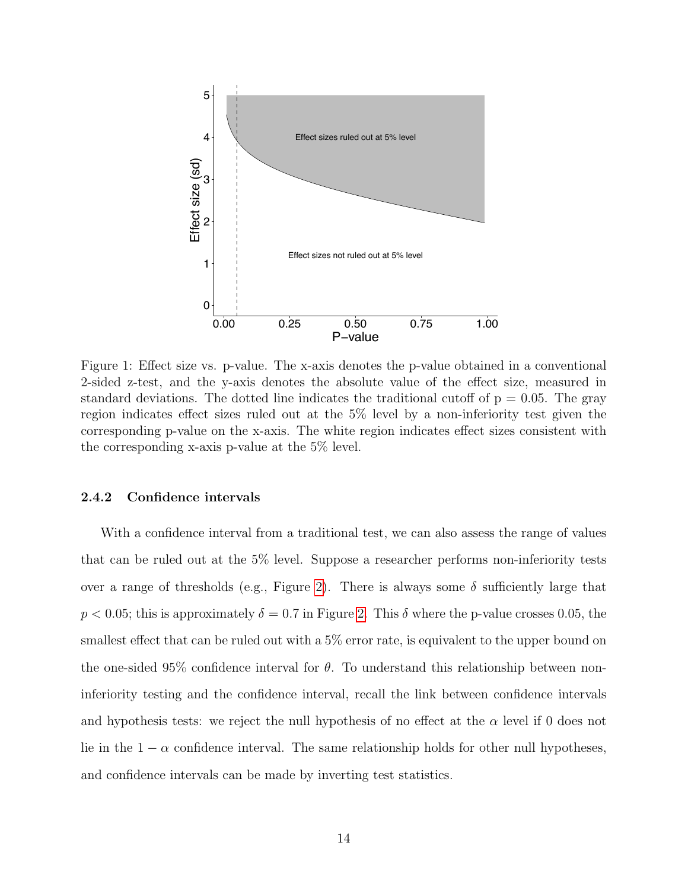<span id="page-14-0"></span>

Figure 1: Effect size vs. p-value. The x-axis denotes the p-value obtained in a conventional 2-sided z-test, and the y-axis denotes the absolute value of the effect size, measured in standard deviations. The dotted line indicates the traditional cutoff of  $p = 0.05$ . The gray region indicates effect sizes ruled out at the 5% level by a non-inferiority test given the corresponding p-value on the x-axis. The white region indicates effect sizes consistent with the corresponding x-axis p-value at the 5% level.

#### 2.4.2 Confidence intervals

With a confidence interval from a traditional test, we can also assess the range of values that can be ruled out at the 5% level. Suppose a researcher performs non-inferiority tests over a range of thresholds (e.g., Figure [2\)](#page-15-0). There is always some  $\delta$  sufficiently large that  $p < 0.05$ ; this is approximately  $\delta = 0.7$  in Figure [2.](#page-15-0) This  $\delta$  where the p-value crosses 0.05, the smallest effect that can be ruled out with a 5% error rate, is equivalent to the upper bound on the one-sided 95% confidence interval for  $\theta$ . To understand this relationship between noninferiority testing and the confidence interval, recall the link between confidence intervals and hypothesis tests: we reject the null hypothesis of no effect at the  $\alpha$  level if 0 does not lie in the  $1 - \alpha$  confidence interval. The same relationship holds for other null hypotheses, and confidence intervals can be made by inverting test statistics.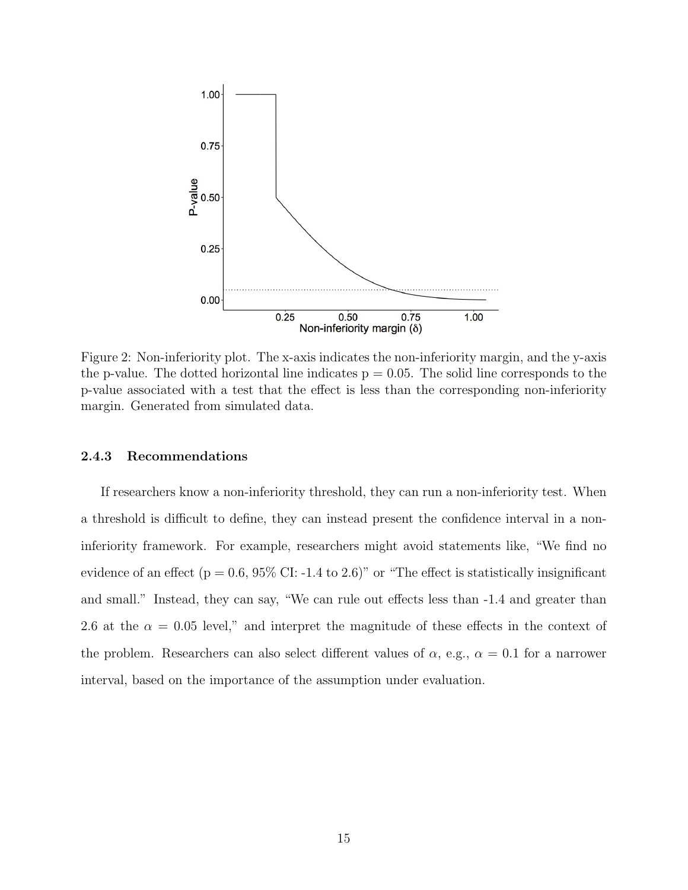<span id="page-15-0"></span>

Figure 2: Non-inferiority plot. The x-axis indicates the non-inferiority margin, and the y-axis the p-value. The dotted horizontal line indicates  $p = 0.05$ . The solid line corresponds to the p-value associated with a test that the effect is less than the corresponding non-inferiority margin. Generated from simulated data.

#### 2.4.3 Recommendations

If researchers know a non-inferiority threshold, they can run a non-inferiority test. When a threshold is difficult to define, they can instead present the confidence interval in a noninferiority framework. For example, researchers might avoid statements like, "We find no evidence of an effect ( $p = 0.6, 95\%$  CI: -1.4 to 2.6)" or "The effect is statistically insignificant and small." Instead, they can say, "We can rule out effects less than -1.4 and greater than 2.6 at the  $\alpha = 0.05$  level," and interpret the magnitude of these effects in the context of the problem. Researchers can also select different values of  $\alpha$ , e.g.,  $\alpha = 0.1$  for a narrower interval, based on the importance of the assumption under evaluation.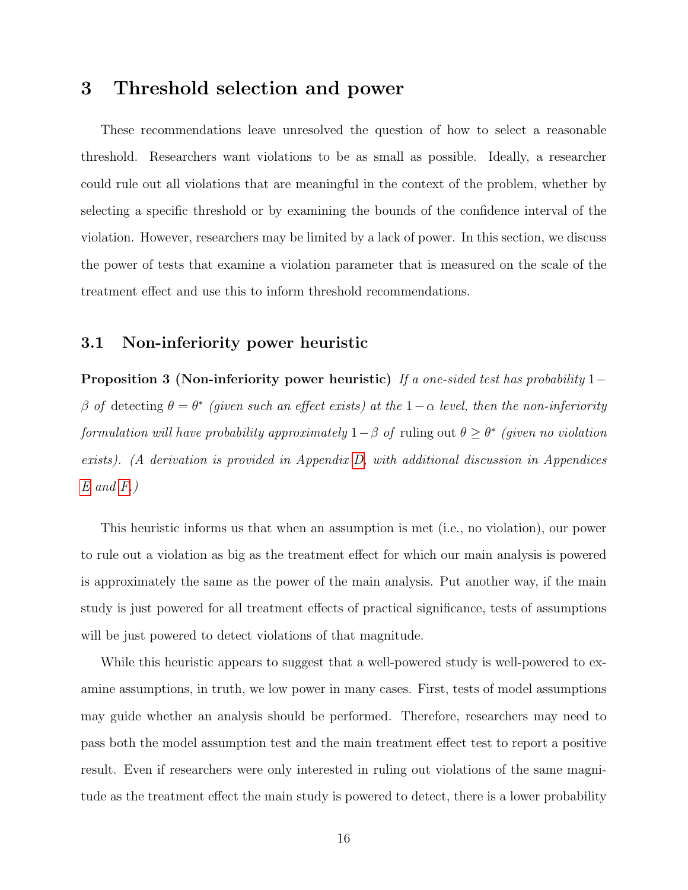# 3 Threshold selection and power

These recommendations leave unresolved the question of how to select a reasonable threshold. Researchers want violations to be as small as possible. Ideally, a researcher could rule out all violations that are meaningful in the context of the problem, whether by selecting a specific threshold or by examining the bounds of the confidence interval of the violation. However, researchers may be limited by a lack of power. In this section, we discuss the power of tests that examine a violation parameter that is measured on the scale of the treatment effect and use this to inform threshold recommendations.

### <span id="page-16-1"></span>3.1 Non-inferiority power heuristic

<span id="page-16-0"></span>**Proposition 3 (Non-inferiority power heuristic)** If a one-sided test has probability 1– β of detecting  $θ = θ^*$  (given such an effect exists) at the 1 – α level, then the non-inferiority formulation will have probability approximately  $1-\beta$  of ruling out  $\theta \geq \theta^*$  (given no violation exists). (A derivation is provided in Appendix [D,](#page-49-0) with additional discussion in Appendices  $E$  and  $F$ .)

This heuristic informs us that when an assumption is met (i.e., no violation), our power to rule out a violation as big as the treatment effect for which our main analysis is powered is approximately the same as the power of the main analysis. Put another way, if the main study is just powered for all treatment effects of practical significance, tests of assumptions will be just powered to detect violations of that magnitude.

While this heuristic appears to suggest that a well-powered study is well-powered to examine assumptions, in truth, we low power in many cases. First, tests of model assumptions may guide whether an analysis should be performed. Therefore, researchers may need to pass both the model assumption test and the main treatment effect test to report a positive result. Even if researchers were only interested in ruling out violations of the same magnitude as the treatment effect the main study is powered to detect, there is a lower probability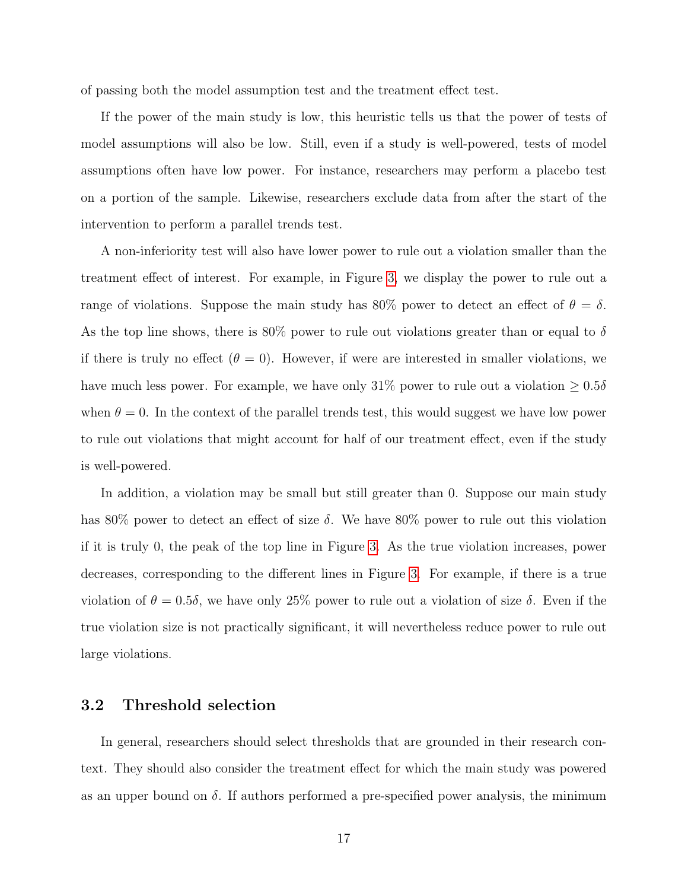of passing both the model assumption test and the treatment effect test.

If the power of the main study is low, this heuristic tells us that the power of tests of model assumptions will also be low. Still, even if a study is well-powered, tests of model assumptions often have low power. For instance, researchers may perform a placebo test on a portion of the sample. Likewise, researchers exclude data from after the start of the intervention to perform a parallel trends test.

A non-inferiority test will also have lower power to rule out a violation smaller than the treatment effect of interest. For example, in Figure [3,](#page-18-0) we display the power to rule out a range of violations. Suppose the main study has 80% power to detect an effect of  $\theta = \delta$ . As the top line shows, there is 80% power to rule out violations greater than or equal to  $\delta$ if there is truly no effect  $(\theta = 0)$ . However, if were are interested in smaller violations, we have much less power. For example, we have only 31% power to rule out a violation  $\geq 0.5\delta$ when  $\theta = 0$ . In the context of the parallel trends test, this would suggest we have low power to rule out violations that might account for half of our treatment effect, even if the study is well-powered.

In addition, a violation may be small but still greater than 0. Suppose our main study has 80% power to detect an effect of size  $\delta$ . We have 80% power to rule out this violation if it is truly 0, the peak of the top line in Figure [3.](#page-18-0) As the true violation increases, power decreases, corresponding to the different lines in Figure [3.](#page-18-0) For example, if there is a true violation of  $\theta = 0.5\delta$ , we have only 25% power to rule out a violation of size  $\delta$ . Even if the true violation size is not practically significant, it will nevertheless reduce power to rule out large violations.

#### 3.2 Threshold selection

In general, researchers should select thresholds that are grounded in their research context. They should also consider the treatment effect for which the main study was powered as an upper bound on  $\delta$ . If authors performed a pre-specified power analysis, the minimum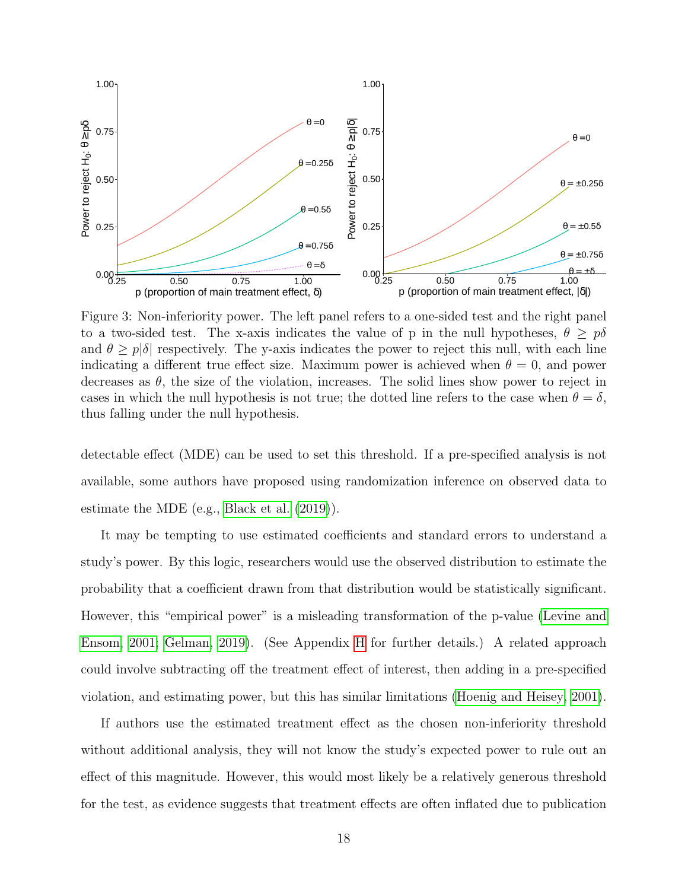<span id="page-18-0"></span>

Figure 3: Non-inferiority power. The left panel refers to a one-sided test and the right panel to a two-sided test. The x-axis indicates the value of p in the null hypotheses,  $\theta \geq p\delta$ and  $\theta \geq p|\delta|$  respectively. The y-axis indicates the power to reject this null, with each line indicating a different true effect size. Maximum power is achieved when  $\theta = 0$ , and power decreases as  $\theta$ , the size of the violation, increases. The solid lines show power to reject in cases in which the null hypothesis is not true; the dotted line refers to the case when  $\theta = \delta$ , thus falling under the null hypothesis.

detectable effect (MDE) can be used to set this threshold. If a pre-specified analysis is not available, some authors have proposed using randomization inference on observed data to estimate the MDE (e.g., [Black et al.](#page-61-7) [\(2019\)](#page-61-7)).

It may be tempting to use estimated coefficients and standard errors to understand a study's power. By this logic, researchers would use the observed distribution to estimate the probability that a coefficient drawn from that distribution would be statistically significant. However, this "empirical power" is a misleading transformation of the p-value [\(Levine and](#page-63-8) [Ensom, 2001;](#page-63-8) [Gelman, 2019\)](#page-62-8). (See Appendix [H](#page-58-0) for further details.) A related approach could involve subtracting off the treatment effect of interest, then adding in a pre-specified violation, and estimating power, but this has similar limitations [\(Hoenig and Heisey, 2001\)](#page-62-9).

If authors use the estimated treatment effect as the chosen non-inferiority threshold without additional analysis, they will not know the study's expected power to rule out an effect of this magnitude. However, this would most likely be a relatively generous threshold for the test, as evidence suggests that treatment effects are often inflated due to publication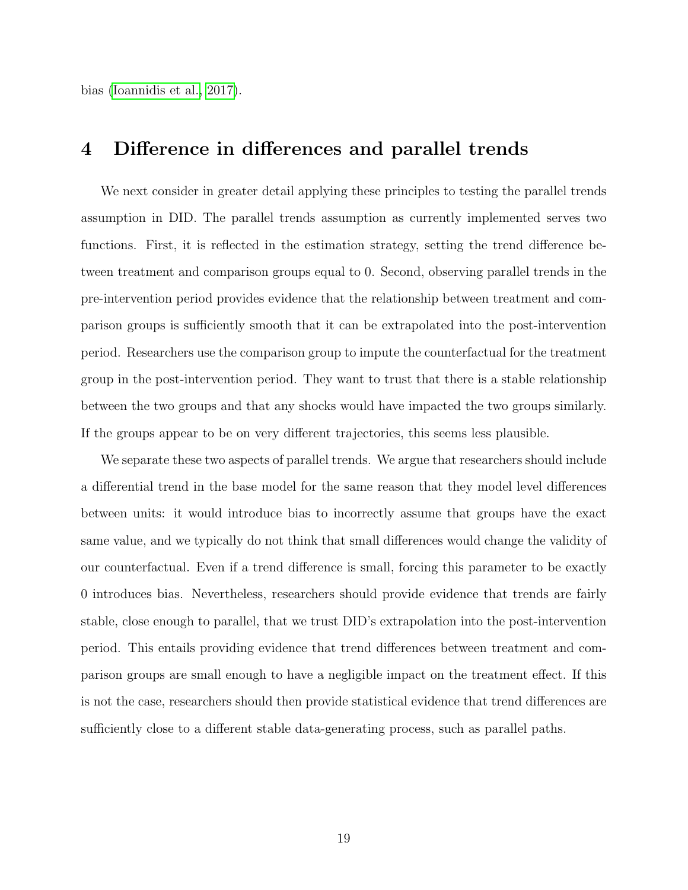bias [\(Ioannidis et al., 2017\)](#page-63-0).

## 4 Difference in differences and parallel trends

We next consider in greater detail applying these principles to testing the parallel trends assumption in DID. The parallel trends assumption as currently implemented serves two functions. First, it is reflected in the estimation strategy, setting the trend difference between treatment and comparison groups equal to 0. Second, observing parallel trends in the pre-intervention period provides evidence that the relationship between treatment and comparison groups is sufficiently smooth that it can be extrapolated into the post-intervention period. Researchers use the comparison group to impute the counterfactual for the treatment group in the post-intervention period. They want to trust that there is a stable relationship between the two groups and that any shocks would have impacted the two groups similarly. If the groups appear to be on very different trajectories, this seems less plausible.

We separate these two aspects of parallel trends. We argue that researchers should include a differential trend in the base model for the same reason that they model level differences between units: it would introduce bias to incorrectly assume that groups have the exact same value, and we typically do not think that small differences would change the validity of our counterfactual. Even if a trend difference is small, forcing this parameter to be exactly 0 introduces bias. Nevertheless, researchers should provide evidence that trends are fairly stable, close enough to parallel, that we trust DID's extrapolation into the post-intervention period. This entails providing evidence that trend differences between treatment and comparison groups are small enough to have a negligible impact on the treatment effect. If this is not the case, researchers should then provide statistical evidence that trend differences are sufficiently close to a different stable data-generating process, such as parallel paths.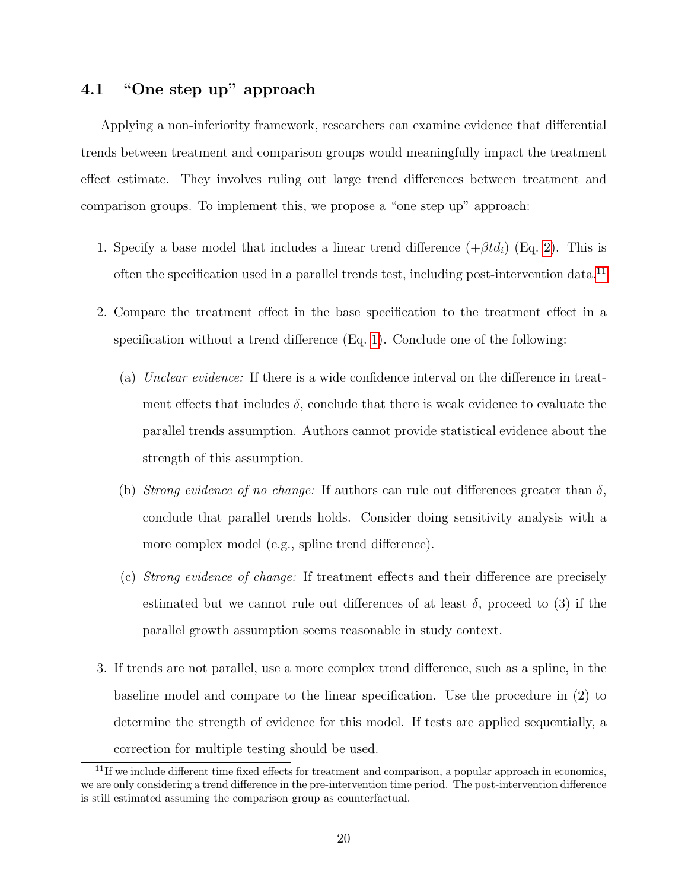## 4.1 "One step up" approach

Applying a non-inferiority framework, researchers can examine evidence that differential trends between treatment and comparison groups would meaningfully impact the treatment effect estimate. They involves ruling out large trend differences between treatment and comparison groups. To implement this, we propose a "one step up" approach:

- 1. Specify a base model that includes a linear trend difference  $(+\beta td_i)$  (Eq. [2\)](#page-8-3). This is often the specification used in a parallel trends test, including post-intervention data.[11](#page-20-0)
- 2. Compare the treatment effect in the base specification to the treatment effect in a specification without a trend difference (Eq. [1\)](#page-8-1). Conclude one of the following:
	- (a) Unclear evidence: If there is a wide confidence interval on the difference in treatment effects that includes  $\delta$ , conclude that there is weak evidence to evaluate the parallel trends assumption. Authors cannot provide statistical evidence about the strength of this assumption.
	- (b) Strong evidence of no change: If authors can rule out differences greater than  $\delta$ , conclude that parallel trends holds. Consider doing sensitivity analysis with a more complex model (e.g., spline trend difference).
	- (c) Strong evidence of change: If treatment effects and their difference are precisely estimated but we cannot rule out differences of at least  $\delta$ , proceed to (3) if the parallel growth assumption seems reasonable in study context.
- 3. If trends are not parallel, use a more complex trend difference, such as a spline, in the baseline model and compare to the linear specification. Use the procedure in (2) to determine the strength of evidence for this model. If tests are applied sequentially, a correction for multiple testing should be used.

<span id="page-20-0"></span> $11$ If we include different time fixed effects for treatment and comparison, a popular approach in economics, we are only considering a trend difference in the pre-intervention time period. The post-intervention difference is still estimated assuming the comparison group as counterfactual.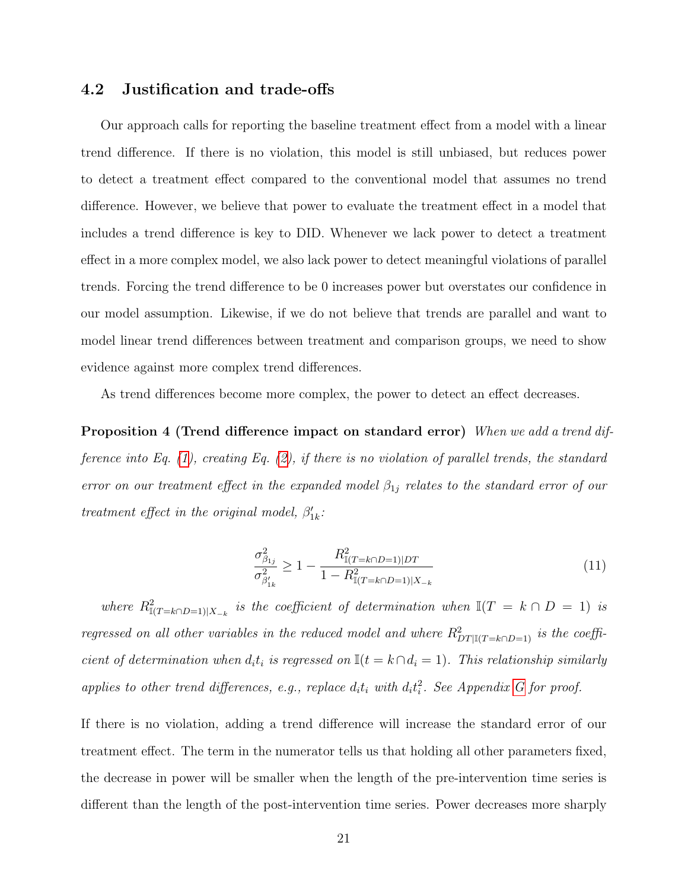### 4.2 Justification and trade-offs

Our approach calls for reporting the baseline treatment effect from a model with a linear trend difference. If there is no violation, this model is still unbiased, but reduces power to detect a treatment effect compared to the conventional model that assumes no trend difference. However, we believe that power to evaluate the treatment effect in a model that includes a trend difference is key to DID. Whenever we lack power to detect a treatment effect in a more complex model, we also lack power to detect meaningful violations of parallel trends. Forcing the trend difference to be 0 increases power but overstates our confidence in our model assumption. Likewise, if we do not believe that trends are parallel and want to model linear trend differences between treatment and comparison groups, we need to show evidence against more complex trend differences.

<span id="page-21-0"></span>As trend differences become more complex, the power to detect an effect decreases.

Proposition 4 (Trend difference impact on standard error) When we add a trend difference into Eq.  $(1)$ , creating Eq.  $(2)$ , if there is no violation of parallel trends, the standard error on our treatment effect in the expanded model  $\beta_{1j}$  relates to the standard error of our treatment effect in the original model,  $\beta'_{1k}$ :

$$
\frac{\sigma_{\beta_{1j}}^2}{\sigma_{\beta'_{1k}}^2} \ge 1 - \frac{R_{\mathbb{I}(T=k\cap D=1)|DT}^2}{1 - R_{\mathbb{I}(T=k\cap D=1)|X_{-k}}} \tag{11}
$$

where  $R^2_{\mathbb{I}(T=k\cap D=1)|X_{-k}}$  is the coefficient of determination when  $\mathbb{I}(T=k\cap D=1)$  is regressed on all other variables in the reduced model and where  $R_{DT|I(T=k\cap D=1)}^2$  is the coefficient of determination when  $d_i t_i$  is regressed on  $\mathbb{I}(t = k \cap d_i = 1)$ . This relationship similarly applies to other trend differences, e.g., replace  $d_i t_i$  with  $d_i t_i^2$ . See Appendix [G](#page-57-0) for proof.

If there is no violation, adding a trend difference will increase the standard error of our treatment effect. The term in the numerator tells us that holding all other parameters fixed, the decrease in power will be smaller when the length of the pre-intervention time series is different than the length of the post-intervention time series. Power decreases more sharply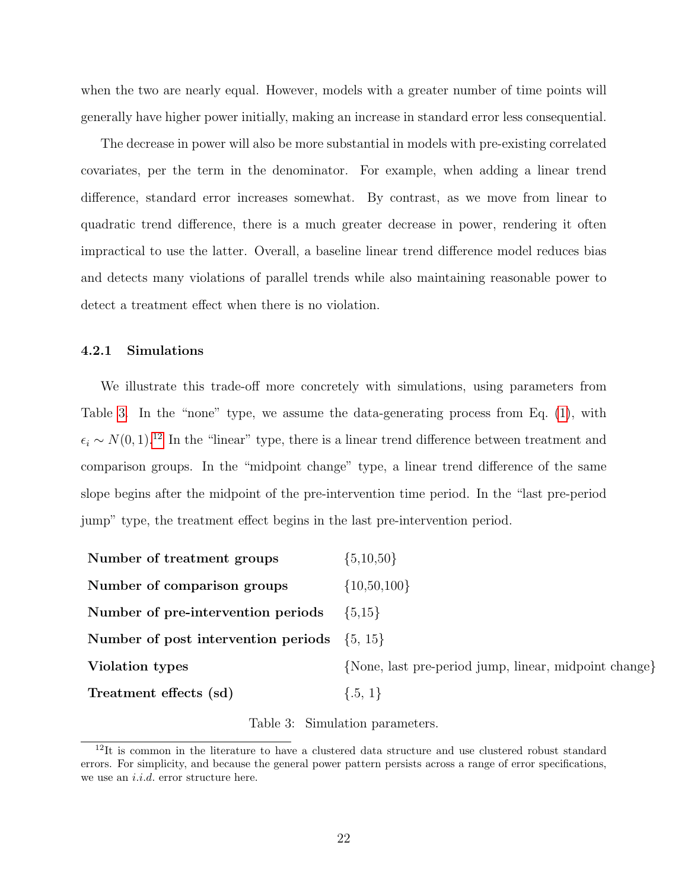when the two are nearly equal. However, models with a greater number of time points will generally have higher power initially, making an increase in standard error less consequential.

The decrease in power will also be more substantial in models with pre-existing correlated covariates, per the term in the denominator. For example, when adding a linear trend difference, standard error increases somewhat. By contrast, as we move from linear to quadratic trend difference, there is a much greater decrease in power, rendering it often impractical to use the latter. Overall, a baseline linear trend difference model reduces bias and detects many violations of parallel trends while also maintaining reasonable power to detect a treatment effect when there is no violation.

#### 4.2.1 Simulations

We illustrate this trade-off more concretely with simulations, using parameters from Table [3.](#page-22-0) In the "none" type, we assume the data-generating process from Eq. [\(1\)](#page-8-1), with  $\epsilon_i \sim N(0, 1).$ <sup>[12](#page-22-1)</sup> In the "linear" type, there is a linear trend difference between treatment and comparison groups. In the "midpoint change" type, a linear trend difference of the same slope begins after the midpoint of the pre-intervention time period. In the "last pre-period jump" type, the treatment effect begins in the last pre-intervention period.

<span id="page-22-0"></span>

| Number of treatment groups                      | $\{5,10,50\}$                                         |
|-------------------------------------------------|-------------------------------------------------------|
| Number of comparison groups                     | $\{10, 50, 100\}$                                     |
| Number of pre-intervention periods              | $\{5,15\}$                                            |
| Number of post intervention periods $\{5, 15\}$ |                                                       |
| Violation types                                 | {None, last pre-period jump, linear, midpoint change} |
| Treatment effects (sd)                          | $\{.5, 1\}$                                           |

Table 3: Simulation parameters.

<span id="page-22-1"></span><sup>&</sup>lt;sup>12</sup>It is common in the literature to have a clustered data structure and use clustered robust standard errors. For simplicity, and because the general power pattern persists across a range of error specifications, we use an *i.i.d.* error structure here.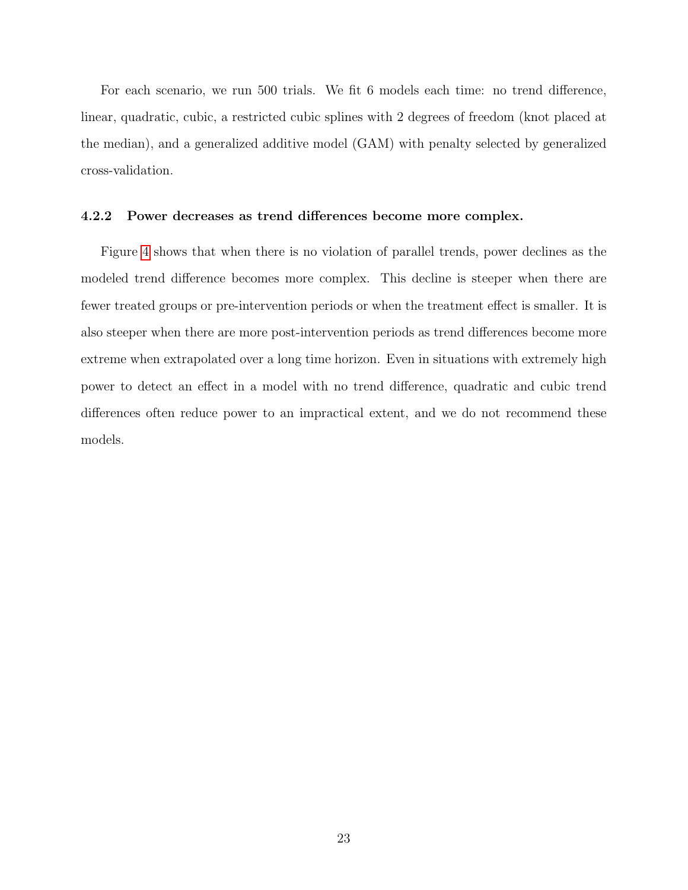For each scenario, we run 500 trials. We fit 6 models each time: no trend difference, linear, quadratic, cubic, a restricted cubic splines with 2 degrees of freedom (knot placed at the median), and a generalized additive model (GAM) with penalty selected by generalized cross-validation.

#### 4.2.2 Power decreases as trend differences become more complex.

Figure [4](#page-24-0) shows that when there is no violation of parallel trends, power declines as the modeled trend difference becomes more complex. This decline is steeper when there are fewer treated groups or pre-intervention periods or when the treatment effect is smaller. It is also steeper when there are more post-intervention periods as trend differences become more extreme when extrapolated over a long time horizon. Even in situations with extremely high power to detect an effect in a model with no trend difference, quadratic and cubic trend differences often reduce power to an impractical extent, and we do not recommend these models.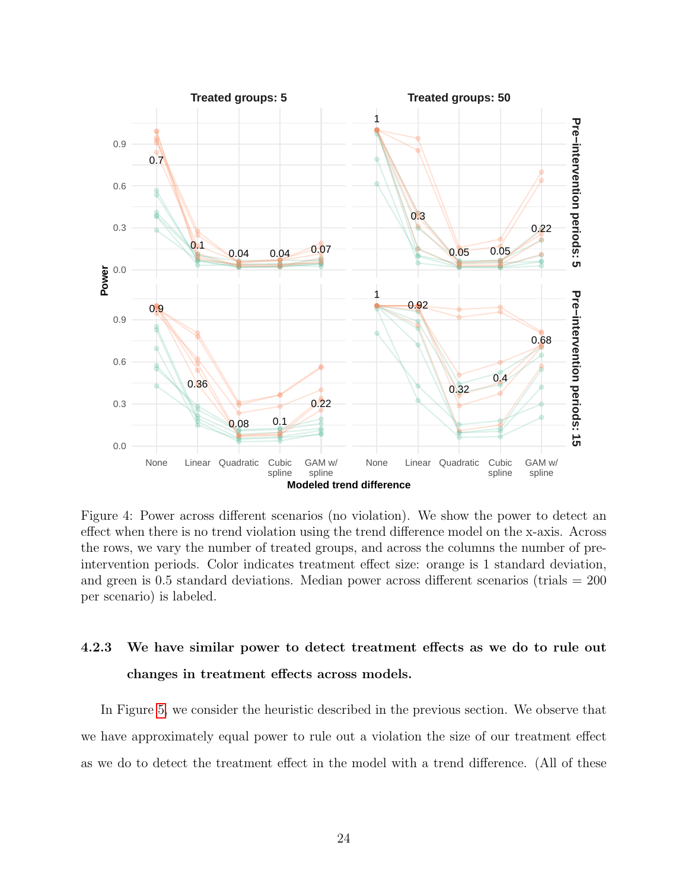<span id="page-24-0"></span>

Figure 4: Power across different scenarios (no violation). We show the power to detect an effect when there is no trend violation using the trend difference model on the x-axis. Across the rows, we vary the number of treated groups, and across the columns the number of preintervention periods. Color indicates treatment effect size: orange is 1 standard deviation, and green is  $0.5$  standard deviations. Median power across different scenarios (trials  $= 200$ ) per scenario) is labeled.

# 4.2.3 We have similar power to detect treatment effects as we do to rule out changes in treatment effects across models.

In Figure [5,](#page-25-0) we consider the heuristic described in the previous section. We observe that we have approximately equal power to rule out a violation the size of our treatment effect as we do to detect the treatment effect in the model with a trend difference. (All of these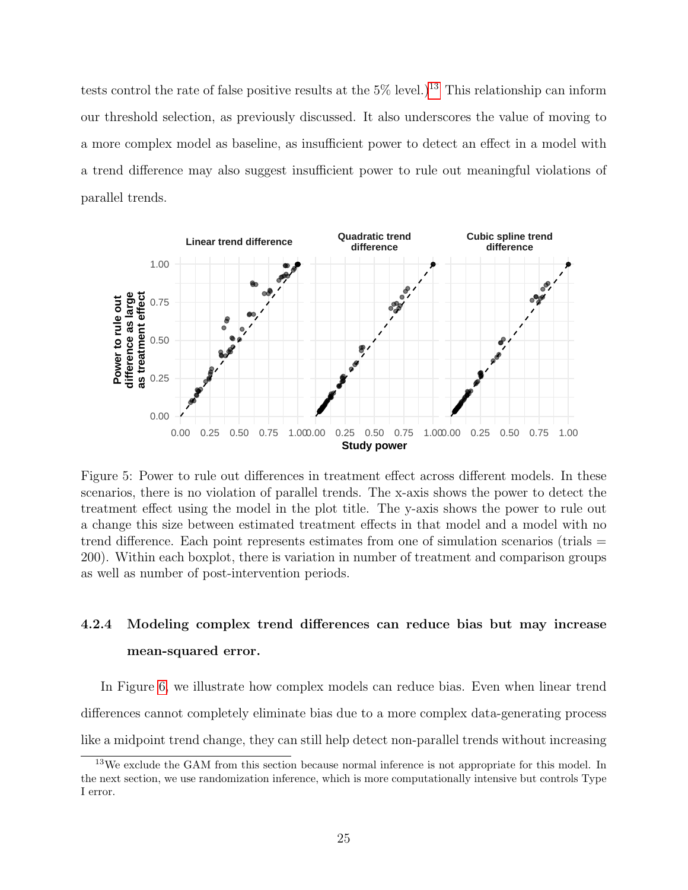tests control the rate of false positive results at the  $5\%$  level.)<sup>[13](#page-25-1)</sup> This relationship can inform our threshold selection, as previously discussed. It also underscores the value of moving to a more complex model as baseline, as insufficient power to detect an effect in a model with a trend difference may also suggest insufficient power to rule out meaningful violations of parallel trends.

<span id="page-25-0"></span>

Figure 5: Power to rule out differences in treatment effect across different models. In these scenarios, there is no violation of parallel trends. The x-axis shows the power to detect the treatment effect using the model in the plot title. The y-axis shows the power to rule out a change this size between estimated treatment effects in that model and a model with no trend difference. Each point represents estimates from one of simulation scenarios (trials = 200). Within each boxplot, there is variation in number of treatment and comparison groups as well as number of post-intervention periods.

# 4.2.4 Modeling complex trend differences can reduce bias but may increase mean-squared error.

In Figure [6,](#page-27-0) we illustrate how complex models can reduce bias. Even when linear trend differences cannot completely eliminate bias due to a more complex data-generating process like a midpoint trend change, they can still help detect non-parallel trends without increasing

<span id="page-25-1"></span><sup>&</sup>lt;sup>13</sup>We exclude the GAM from this section because normal inference is not appropriate for this model. In the next section, we use randomization inference, which is more computationally intensive but controls Type I error.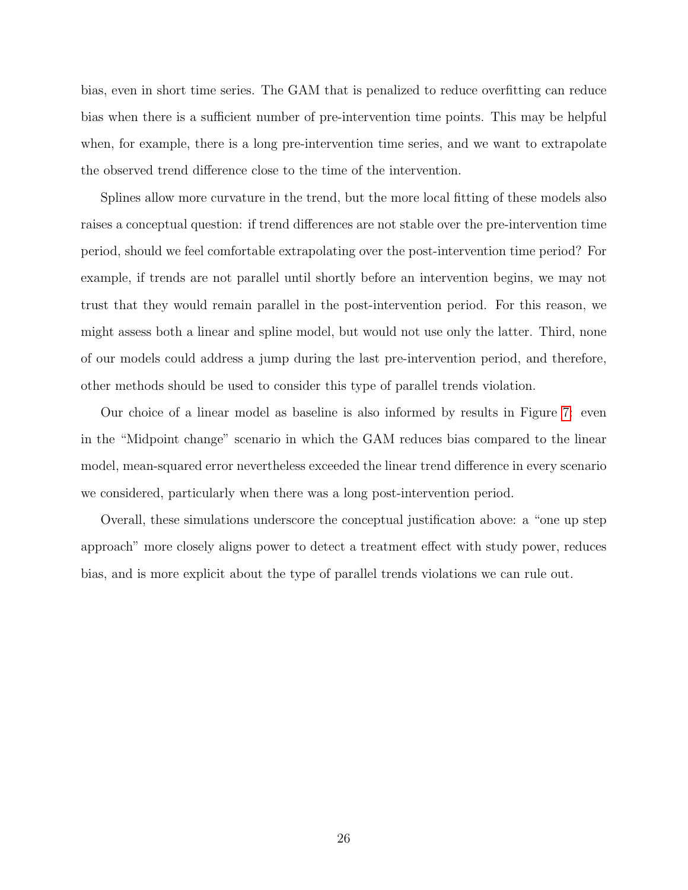bias, even in short time series. The GAM that is penalized to reduce overfitting can reduce bias when there is a sufficient number of pre-intervention time points. This may be helpful when, for example, there is a long pre-intervention time series, and we want to extrapolate the observed trend difference close to the time of the intervention.

Splines allow more curvature in the trend, but the more local fitting of these models also raises a conceptual question: if trend differences are not stable over the pre-intervention time period, should we feel comfortable extrapolating over the post-intervention time period? For example, if trends are not parallel until shortly before an intervention begins, we may not trust that they would remain parallel in the post-intervention period. For this reason, we might assess both a linear and spline model, but would not use only the latter. Third, none of our models could address a jump during the last pre-intervention period, and therefore, other methods should be used to consider this type of parallel trends violation.

Our choice of a linear model as baseline is also informed by results in Figure [7:](#page-28-0) even in the "Midpoint change" scenario in which the GAM reduces bias compared to the linear model, mean-squared error nevertheless exceeded the linear trend difference in every scenario we considered, particularly when there was a long post-intervention period.

Overall, these simulations underscore the conceptual justification above: a "one up step approach" more closely aligns power to detect a treatment effect with study power, reduces bias, and is more explicit about the type of parallel trends violations we can rule out.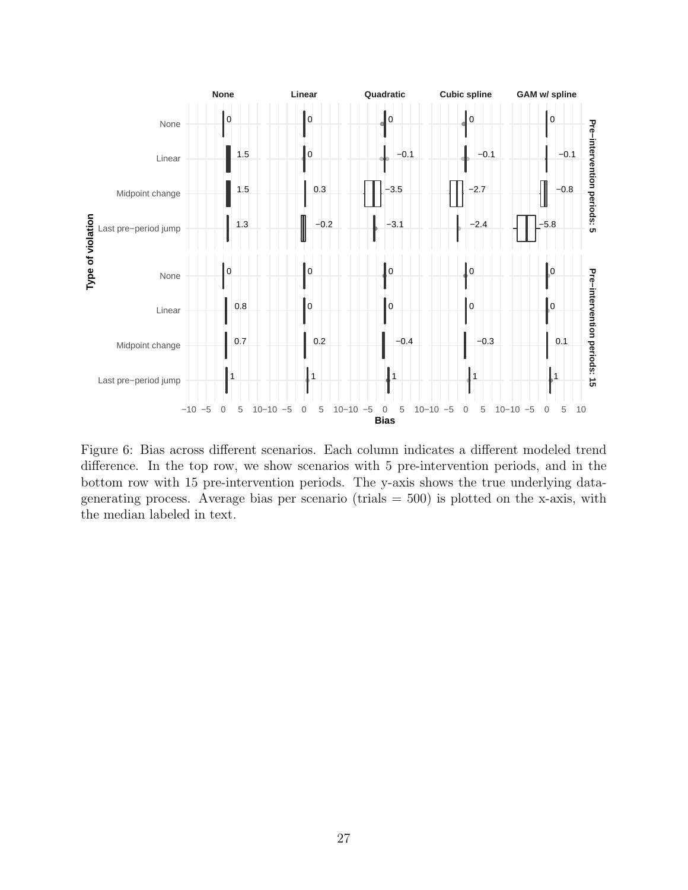<span id="page-27-0"></span>

Figure 6: Bias across different scenarios. Each column indicates a different modeled trend difference. In the top row, we show scenarios with 5 pre-intervention periods, and in the bottom row with 15 pre-intervention periods. The y-axis shows the true underlying datagenerating process. Average bias per scenario (trials  $= 500$ ) is plotted on the x-axis, with the median labeled in text.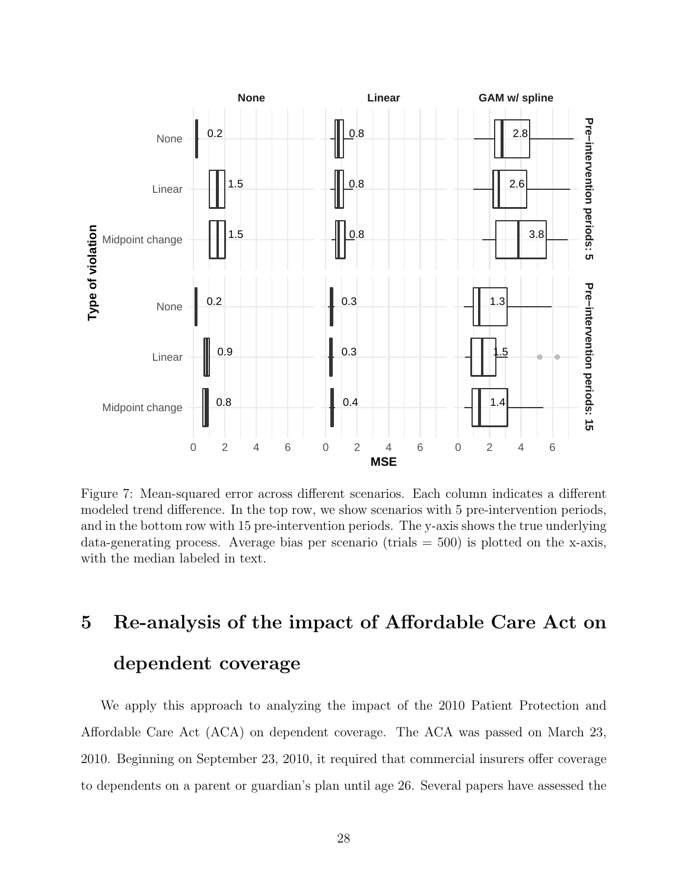<span id="page-28-0"></span>

Figure 7: Mean-squared error across different scenarios. Each column indicates a different modeled trend difference. In the top row, we show scenarios with 5 pre-intervention periods, and in the bottom row with 15 pre-intervention periods. The y-axis shows the true underlying data-generating process. Average bias per scenario (trials  $=$  500) is plotted on the x-axis, with the median labeled in text.

# 5 Re-analysis of the impact of Affordable Care Act on dependent coverage

We apply this approach to analyzing the impact of the 2010 Patient Protection and Affordable Care Act (ACA) on dependent coverage. The ACA was passed on March 23, 2010. Beginning on September 23, 2010, it required that commercial insurers offer coverage to dependents on a parent or guardian's plan until age 26. Several papers have assessed the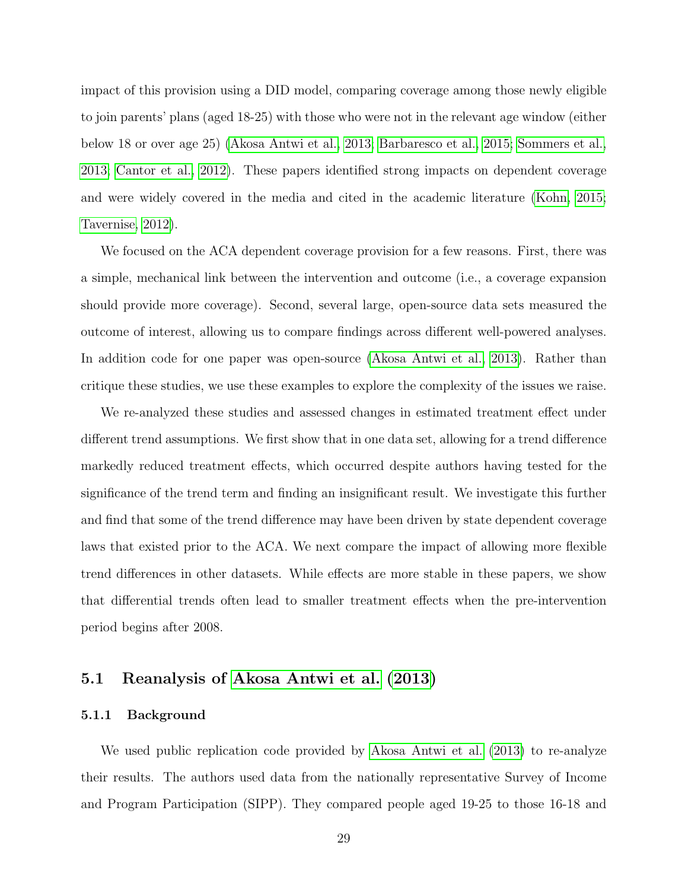impact of this provision using a DID model, comparing coverage among those newly eligible to join parents' plans (aged 18-25) with those who were not in the relevant age window (either below 18 or over age 25) [\(Akosa Antwi et al., 2013;](#page-61-3) [Barbaresco et al., 2015;](#page-61-8) [Sommers et al.,](#page-64-7) [2013;](#page-64-7) [Cantor et al., 2012\)](#page-61-4). These papers identified strong impacts on dependent coverage and were widely covered in the media and cited in the academic literature [\(Kohn, 2015;](#page-63-9) [Tavernise, 2012\)](#page-64-8).

We focused on the ACA dependent coverage provision for a few reasons. First, there was a simple, mechanical link between the intervention and outcome (i.e., a coverage expansion should provide more coverage). Second, several large, open-source data sets measured the outcome of interest, allowing us to compare findings across different well-powered analyses. In addition code for one paper was open-source [\(Akosa Antwi et al., 2013\)](#page-61-3). Rather than critique these studies, we use these examples to explore the complexity of the issues we raise.

We re-analyzed these studies and assessed changes in estimated treatment effect under different trend assumptions. We first show that in one data set, allowing for a trend difference markedly reduced treatment effects, which occurred despite authors having tested for the significance of the trend term and finding an insignificant result. We investigate this further and find that some of the trend difference may have been driven by state dependent coverage laws that existed prior to the ACA. We next compare the impact of allowing more flexible trend differences in other datasets. While effects are more stable in these papers, we show that differential trends often lead to smaller treatment effects when the pre-intervention period begins after 2008.

### 5.1 Reanalysis of [Akosa Antwi et al.](#page-61-3) [\(2013\)](#page-61-3)

#### 5.1.1 Background

We used public replication code provided by [Akosa Antwi et al.](#page-61-3) [\(2013\)](#page-61-3) to re-analyze their results. The authors used data from the nationally representative Survey of Income and Program Participation (SIPP). They compared people aged 19-25 to those 16-18 and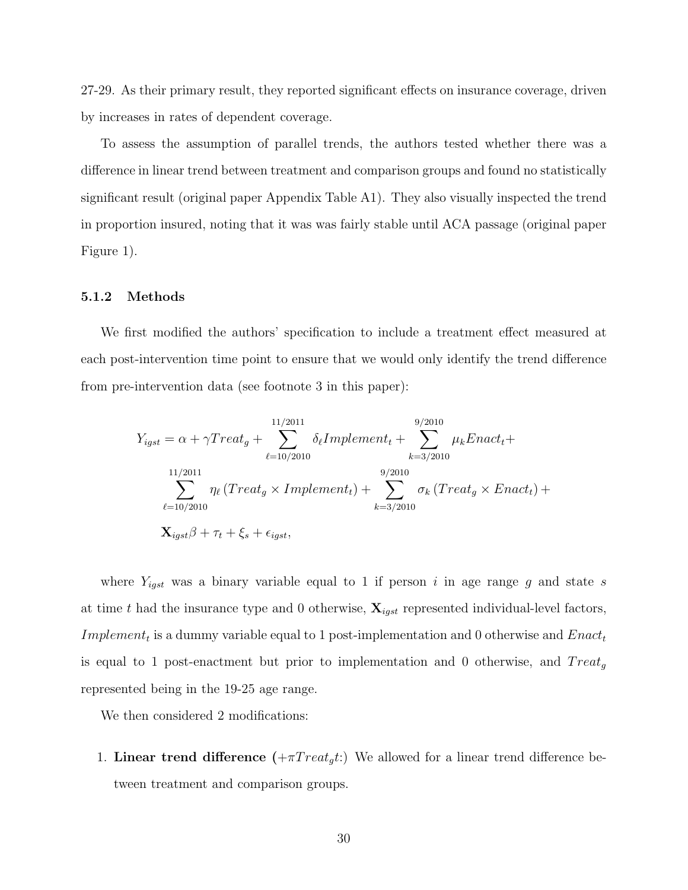27-29. As their primary result, they reported significant effects on insurance coverage, driven by increases in rates of dependent coverage.

To assess the assumption of parallel trends, the authors tested whether there was a difference in linear trend between treatment and comparison groups and found no statistically significant result (original paper Appendix Table A1). They also visually inspected the trend in proportion insured, noting that it was was fairly stable until ACA passage (original paper Figure 1).

#### 5.1.2 Methods

We first modified the authors' specification to include a treatment effect measured at each post-intervention time point to ensure that we would only identify the trend difference from pre-intervention data (see footnote 3 in this paper):

$$
Y_{igst} = \alpha + \gamma Treat_g + \sum_{\ell=10/2010}^{11/2011} \delta_{\ell} Implement_t + \sum_{k=3/2010}^{9/2010} \mu_kExact_t + \sum_{\ell=10/2011}^{11/2011} \eta_{\ell} (Treat_g \times Implement_t) + \sum_{k=3/2010}^{9/2010} \sigma_k (Treat_g \times Enact_t) + \sum_{k=3/2010}^{11/2011} \sigma_k (Treat_g \times Enact_t) + \sum_{k=3/2010}^{11/2011} \sigma_k (Treat_g \times Enact_t) + \sum_{k=3/2010}^{11/2011} \sigma_k (Treat_g \times Enact_t) + \sum_{\ell=10/2010}^{11/2011} \sigma_k (Treat_g \times Enact_t) + \sum_{\ell=10/2010}^{11/2011} \sigma_k (Treat_g \times Enact_t) + \sum_{\ell=10/2010}^{11/2011} \sigma_k (Treat_g \times Enact_t) + \sum_{\ell=10/2010}^{11/2011} \sigma_k (Treat_g \times Enact_t) + \sum_{\ell=10/2010}^{11/2011} \sigma_k (Treat_g \times Enact_t) + \sum_{\ell=10/2010}^{11/2011} \sigma_k (Treat_g \times Enact_t) + \sum_{\ell=10/2010}^{11/2011} \sigma_k (Treat_g \times Enact_t) + \sum_{\ell=10/2010}^{11/2011} \sigma_k (Treat_g \times Enact_t) + \sum_{\ell=10/2010}^{11/2011} \sigma_k (Treat_g \times Enact_t) + \sum_{\ell=10/2010}^{11/2011} \sigma_k (Treat_g \times Enact_t) + \sum_{\ell=10/2010}^{11/2011} \sigma_k (Treat_g \times Enact_t) + \sum_{\ell=10/2010}^{11/2011} \sigma_k (Treat_g \times Enact_t) + \sum_{\ell=10/2010}^{11/2011} \sigma_k (Treat_g \times Enact_t) + \sum_{\ell=10/2010}^{11/2011} \sigma_k (T
$$

where  $Y_{igst}$  was a binary variable equal to 1 if person i in age range g and state s at time t had the insurance type and 0 otherwise,  $\mathbf{X}_{igst}$  represented individual-level factors, *Implement<sub>t</sub>* is a dummy variable equal to 1 post-implementation and 0 otherwise and  $Enact_t$ is equal to 1 post-enactment but prior to implementation and 0 otherwise, and  $Treat_q$ represented being in the 19-25 age range.

We then considered 2 modifications:

1. Linear trend difference  $(+\pi Treat_g t)$  We allowed for a linear trend difference between treatment and comparison groups.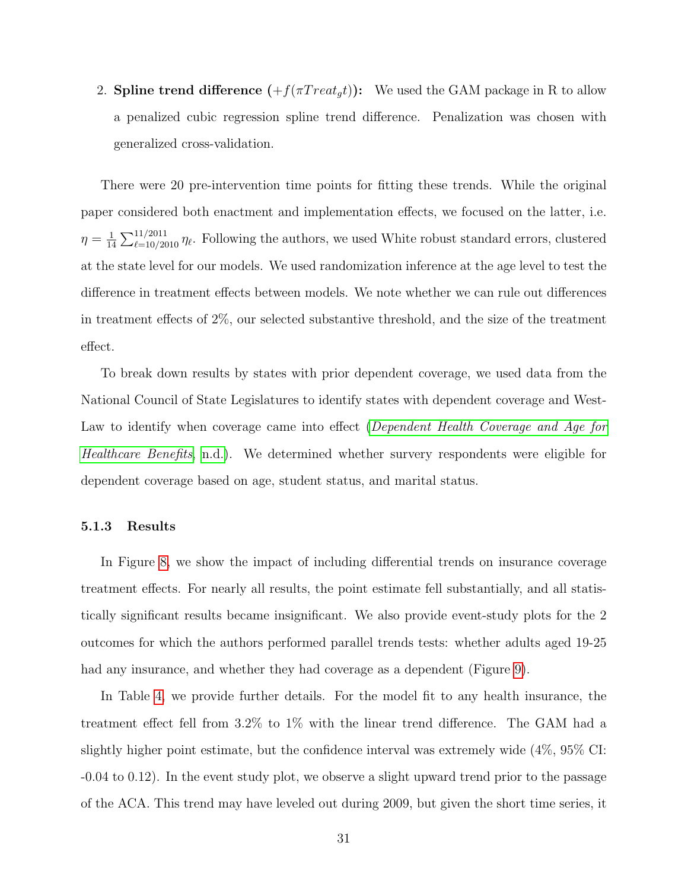2. Spline trend difference  $(+f(\pi Treat<sub>a</sub>t))$ : We used the GAM package in R to allow a penalized cubic regression spline trend difference. Penalization was chosen with generalized cross-validation.

There were 20 pre-intervention time points for fitting these trends. While the original paper considered both enactment and implementation effects, we focused on the latter, i.e.  $\eta=\frac{1}{14}$  $\frac{1}{14}\sum_{\ell=10/2010}^{11/2011}\eta_{\ell}$ . Following the authors, we used White robust standard errors, clustered at the state level for our models. We used randomization inference at the age level to test the difference in treatment effects between models. We note whether we can rule out differences in treatment effects of 2%, our selected substantive threshold, and the size of the treatment effect.

To break down results by states with prior dependent coverage, we used data from the National Council of State Legislatures to identify states with dependent coverage and West-Law to identify when coverage came into effect ([Dependent Health Coverage and Age for](#page-62-10) [Healthcare Benefits](#page-62-10), [n.d.\)](#page-62-10). We determined whether survery respondents were eligible for dependent coverage based on age, student status, and marital status.

#### 5.1.3 Results

In Figure [8,](#page-33-0) we show the impact of including differential trends on insurance coverage treatment effects. For nearly all results, the point estimate fell substantially, and all statistically significant results became insignificant. We also provide event-study plots for the 2 outcomes for which the authors performed parallel trends tests: whether adults aged 19-25 had any insurance, and whether they had coverage as a dependent (Figure [9\)](#page-33-1).

In Table [4,](#page-34-0) we provide further details. For the model fit to any health insurance, the treatment effect fell from 3.2% to 1% with the linear trend difference. The GAM had a slightly higher point estimate, but the confidence interval was extremely wide (4%, 95% CI: -0.04 to 0.12). In the event study plot, we observe a slight upward trend prior to the passage of the ACA. This trend may have leveled out during 2009, but given the short time series, it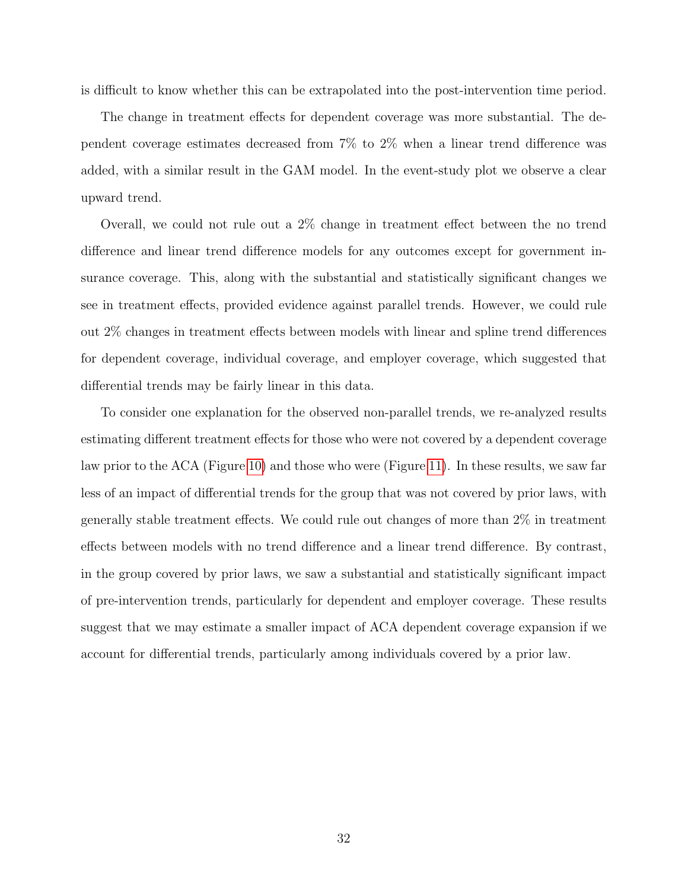is difficult to know whether this can be extrapolated into the post-intervention time period.

The change in treatment effects for dependent coverage was more substantial. The dependent coverage estimates decreased from 7% to 2% when a linear trend difference was added, with a similar result in the GAM model. In the event-study plot we observe a clear upward trend.

Overall, we could not rule out a 2% change in treatment effect between the no trend difference and linear trend difference models for any outcomes except for government insurance coverage. This, along with the substantial and statistically significant changes we see in treatment effects, provided evidence against parallel trends. However, we could rule out 2% changes in treatment effects between models with linear and spline trend differences for dependent coverage, individual coverage, and employer coverage, which suggested that differential trends may be fairly linear in this data.

To consider one explanation for the observed non-parallel trends, we re-analyzed results estimating different treatment effects for those who were not covered by a dependent coverage law prior to the ACA (Figure [10\)](#page-35-0) and those who were (Figure [11\)](#page-35-1). In these results, we saw far less of an impact of differential trends for the group that was not covered by prior laws, with generally stable treatment effects. We could rule out changes of more than 2% in treatment effects between models with no trend difference and a linear trend difference. By contrast, in the group covered by prior laws, we saw a substantial and statistically significant impact of pre-intervention trends, particularly for dependent and employer coverage. These results suggest that we may estimate a smaller impact of ACA dependent coverage expansion if we account for differential trends, particularly among individuals covered by a prior law.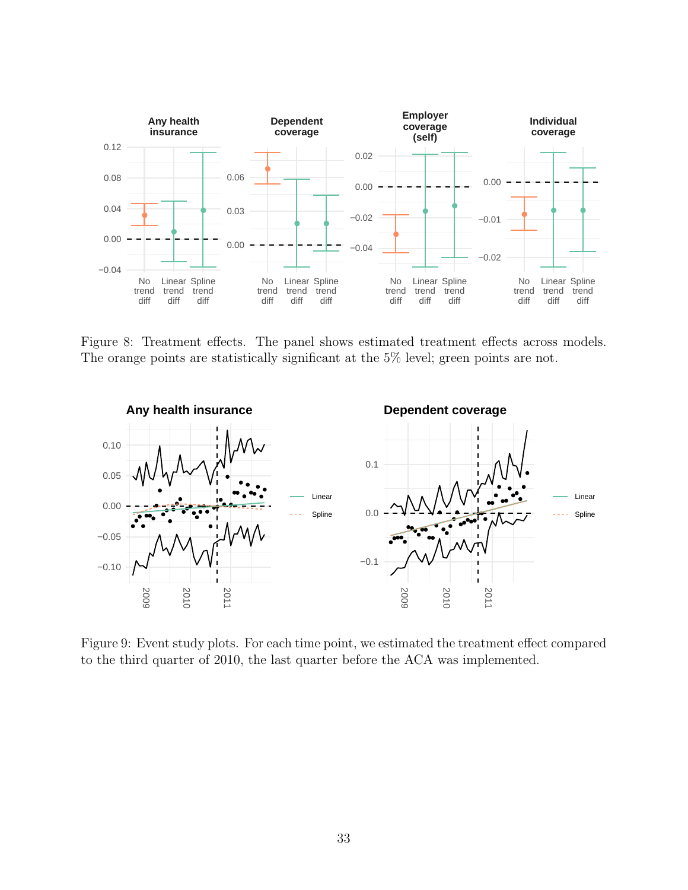<span id="page-33-0"></span>

Figure 8: Treatment effects. The panel shows estimated treatment effects across models. The orange points are statistically significant at the 5% level; green points are not.

<span id="page-33-1"></span>

Figure 9: Event study plots. For each time point, we estimated the treatment effect compared to the third quarter of 2010, the last quarter before the ACA was implemented.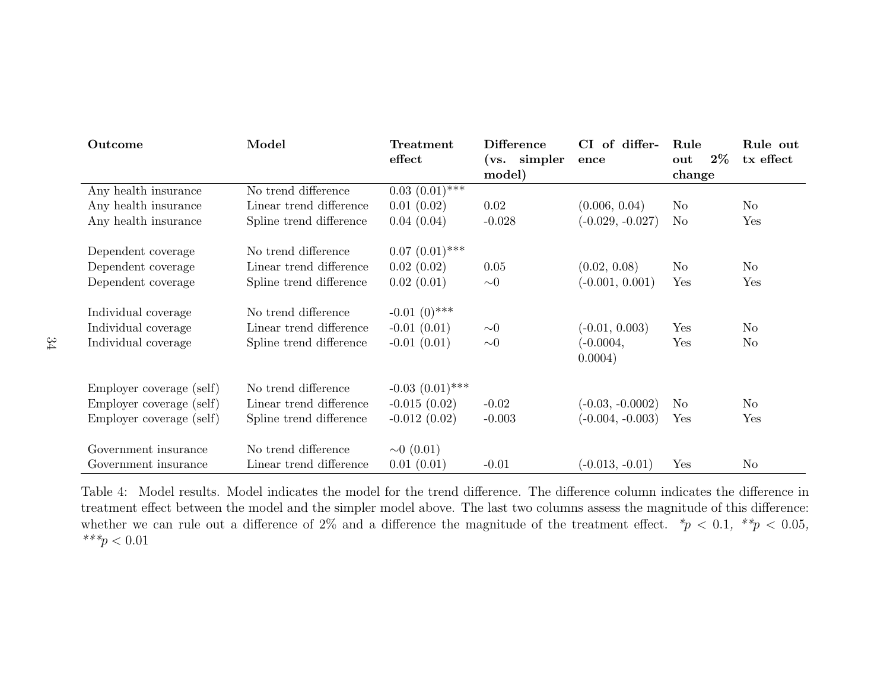<span id="page-34-0"></span>

| Outcome                  | Model                   | Treatment            | <b>Difference</b> | CI of differ-      | Rule         | Rule out       |
|--------------------------|-------------------------|----------------------|-------------------|--------------------|--------------|----------------|
|                          |                         | effect               | (vs. simpler)     | ence               | $2\%$<br>out | tx effect      |
|                          |                         |                      | model)            |                    | change       |                |
| Any health insurance     | No trend difference     | $0.03(0.01)$ ***     |                   |                    |              |                |
| Any health insurance     | Linear trend difference | 0.01(0.02)           | 0.02              | (0.006, 0.04)      | $\rm No$     | No             |
| Any health insurance     | Spline trend difference | 0.04(0.04)           | $-0.028$          | $(-0.029, -0.027)$ | No           | Yes            |
| Dependent coverage       | No trend difference     | $0.07~(0.01)$ ***    |                   |                    |              |                |
| Dependent coverage       | Linear trend difference | 0.02(0.02)           | 0.05              | (0.02, 0.08)       | $\rm No$     | N <sub>o</sub> |
| Dependent coverage       | Spline trend difference | 0.02(0.01)           | $\sim\!\!0$       | $(-0.001, 0.001)$  | Yes          | Yes            |
|                          |                         |                      |                   |                    |              |                |
| Individual coverage      | No trend difference     | $-0.01(0)$ ***       |                   |                    |              |                |
| Individual coverage      | Linear trend difference | $-0.01(0.01)$        | $\sim 0$          | $(-0.01, 0.003)$   | Yes          | No             |
| Individual coverage      | Spline trend difference | $-0.01(0.01)$        | $\sim\!\!0$       | $(-0.0004,$        | Yes          | No             |
|                          |                         |                      |                   | 0.0004)            |              |                |
| Employer coverage (self) | No trend difference     | $-0.03$ $(0.01)$ *** |                   |                    |              |                |
| Employer coverage (self) | Linear trend difference | $-0.015(0.02)$       | $-0.02$           | $(-0.03, -0.0002)$ | No           | N <sub>o</sub> |
| Employer coverage (self) | Spline trend difference | $-0.012(0.02)$       | $-0.003$          | $(-0.004, -0.003)$ | Yes          | Yes            |
|                          |                         |                      |                   |                    |              |                |
| Government insurance     | No trend difference     | $\sim 0$ (0.01)      |                   |                    |              |                |
| Government insurance     | Linear trend difference | 0.01(0.01)           | $-0.01$           | $(-0.013, -0.01)$  | Yes          | N <sub>o</sub> |

Table 4: Model results. Model indicates the model for the trend difference. The difference column indicates the difference in treatment effect between the model and the simpler model above. The last two columns assess the magnitude of this difference:whether we can rule out a difference of 2% and a difference the magnitude of the treatment effect.  $*p < 0.1, **p < 0.05$ ,  $***p < 0.01$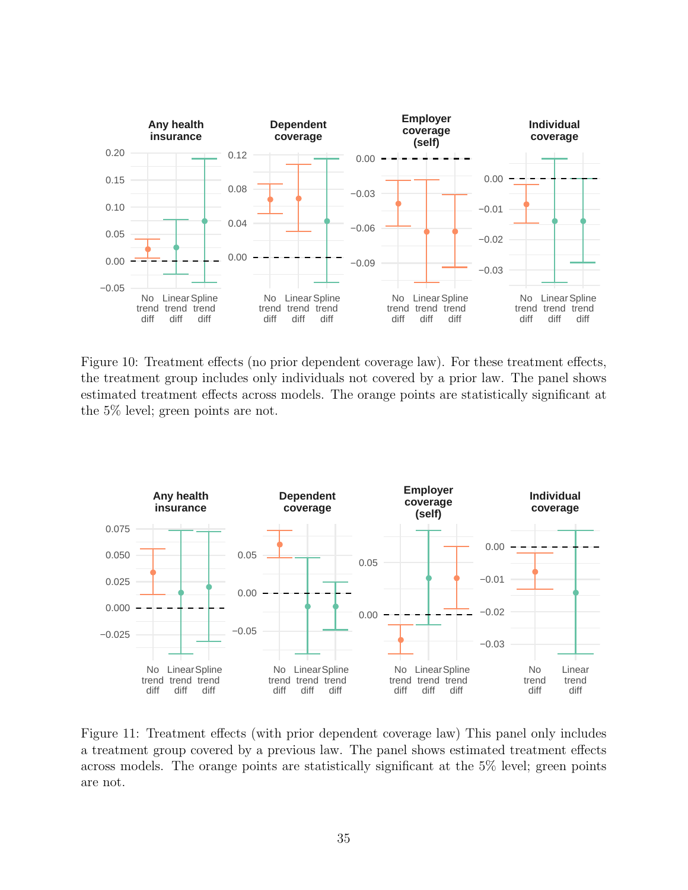<span id="page-35-0"></span>

Figure 10: Treatment effects (no prior dependent coverage law). For these treatment effects, the treatment group includes only individuals not covered by a prior law. The panel shows estimated treatment effects across models. The orange points are statistically significant at the 5% level; green points are not.

<span id="page-35-1"></span>

Figure 11: Treatment effects (with prior dependent coverage law) This panel only includes a treatment group covered by a previous law. The panel shows estimated treatment effects across models. The orange points are statistically significant at the 5% level; green points are not.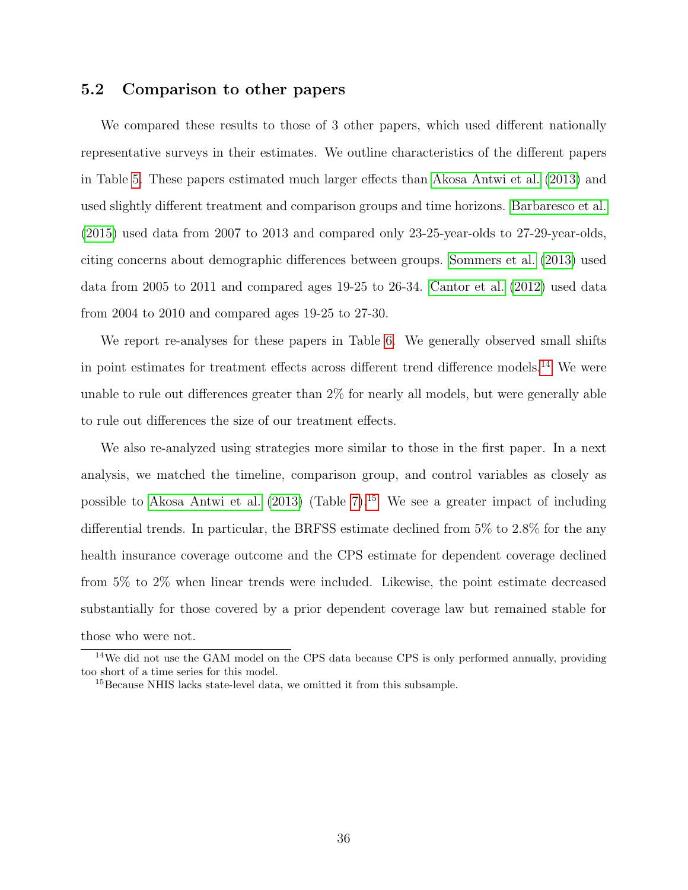### 5.2 Comparison to other papers

We compared these results to those of 3 other papers, which used different nationally representative surveys in their estimates. We outline characteristics of the different papers in Table [5.](#page-37-0) These papers estimated much larger effects than [Akosa Antwi et al.](#page-61-3) [\(2013\)](#page-61-3) and used slightly different treatment and comparison groups and time horizons. [Barbaresco et al.](#page-61-8) [\(2015\)](#page-61-8) used data from 2007 to 2013 and compared only 23-25-year-olds to 27-29-year-olds, citing concerns about demographic differences between groups. [Sommers et al.](#page-64-7) [\(2013\)](#page-64-7) used data from 2005 to 2011 and compared ages 19-25 to 26-34. [Cantor et al.](#page-61-4) [\(2012\)](#page-61-4) used data from 2004 to 2010 and compared ages 19-25 to 27-30.

We report re-analyses for these papers in Table [6.](#page-38-0) We generally observed small shifts in point estimates for treatment effects across different trend difference models.[14](#page-36-0) We were unable to rule out differences greater than 2% for nearly all models, but were generally able to rule out differences the size of our treatment effects.

We also re-analyzed using strategies more similar to those in the first paper. In a next analysis, we matched the timeline, comparison group, and control variables as closely as possible to [Akosa Antwi et al.](#page-61-3)  $(2013)$  (Table [7\)](#page-39-0).<sup>[15](#page-36-1)</sup> We see a greater impact of including differential trends. In particular, the BRFSS estimate declined from 5% to 2.8% for the any health insurance coverage outcome and the CPS estimate for dependent coverage declined from 5% to 2% when linear trends were included. Likewise, the point estimate decreased substantially for those covered by a prior dependent coverage law but remained stable for those who were not.

<span id="page-36-0"></span><sup>&</sup>lt;sup>14</sup>We did not use the GAM model on the CPS data because CPS is only performed annually, providing too short of a time series for this model.

<span id="page-36-1"></span><sup>15</sup>Because NHIS lacks state-level data, we omitted it from this subsample.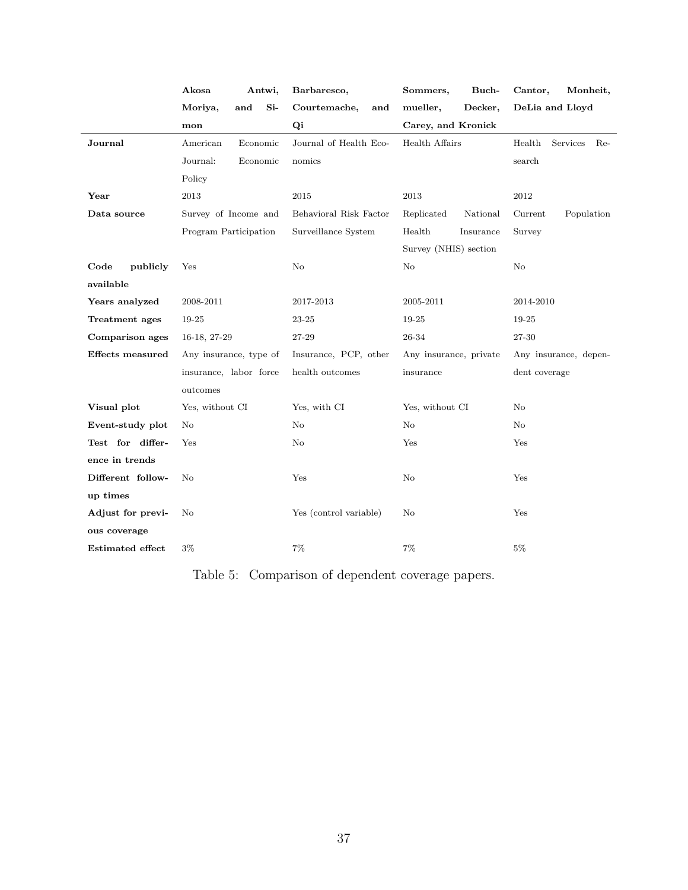<span id="page-37-0"></span>

|                         | Akosa<br>Antwi,         | Barbaresco,            | Buch-<br>Sommers,      | Monheit,<br>Cantor,         |  |  |
|-------------------------|-------------------------|------------------------|------------------------|-----------------------------|--|--|
|                         | $Si-$<br>Moriya,<br>and | Courtemache,<br>and    | mueller,<br>Decker,    | DeLia and Lloyd             |  |  |
|                         | mon                     | Qi                     | Carey, and Kronick     |                             |  |  |
| Journal                 | American<br>Economic    | Journal of Health Eco- | Health Affairs         | Health<br>Services<br>$Re-$ |  |  |
|                         | Journal:<br>Economic    | nomics                 |                        | search                      |  |  |
|                         | Policy                  |                        |                        |                             |  |  |
| Year                    | 2013                    | 2015                   | 2013                   | $2012\,$                    |  |  |
| Data source             | Survey of Income and    | Behavioral Risk Factor | Replicated<br>National | Population<br>Current       |  |  |
|                         | Program Participation   | Surveillance System    | Health<br>Insurance    | Survey                      |  |  |
|                         |                         |                        | Survey (NHIS) section  |                             |  |  |
| Code<br>publicly        | Yes                     | No                     | No                     | No                          |  |  |
| available               |                         |                        |                        |                             |  |  |
| Years analyzed          | 2008-2011               | 2017-2013              | 2005-2011              | 2014-2010                   |  |  |
| Treatment ages          | 19-25                   | 23-25                  | 19-25                  | 19-25                       |  |  |
| Comparison ages         | 16-18, 27-29            | 27-29                  | 26-34                  | 27-30                       |  |  |
| <b>Effects</b> measured | Any insurance, type of  | Insurance, PCP, other  | Any insurance, private | Any insurance, depen-       |  |  |
|                         | insurance, labor force  | health outcomes        | insurance              | dent coverage               |  |  |
|                         | outcomes                |                        |                        |                             |  |  |
| Visual plot             | Yes, without CI         | Yes, with CI           | Yes, without CI        | N <sub>o</sub>              |  |  |
| Event-study plot        | No                      | No                     | No                     | No                          |  |  |
| Test for differ-        | Yes                     | No                     | Yes                    | Yes                         |  |  |
| ence in trends          |                         |                        |                        |                             |  |  |
| Different follow-       | No                      | Yes                    | No                     | Yes                         |  |  |
| up times                |                         |                        |                        |                             |  |  |
| Adjust for previ-       | No                      | Yes (control variable) | $\rm No$               | Yes                         |  |  |
| ous coverage            |                         |                        |                        |                             |  |  |
| <b>Estimated effect</b> | $3\%$                   | 7%                     | $7\%$                  | $5\%$                       |  |  |

Table 5: Comparison of dependent coverage papers.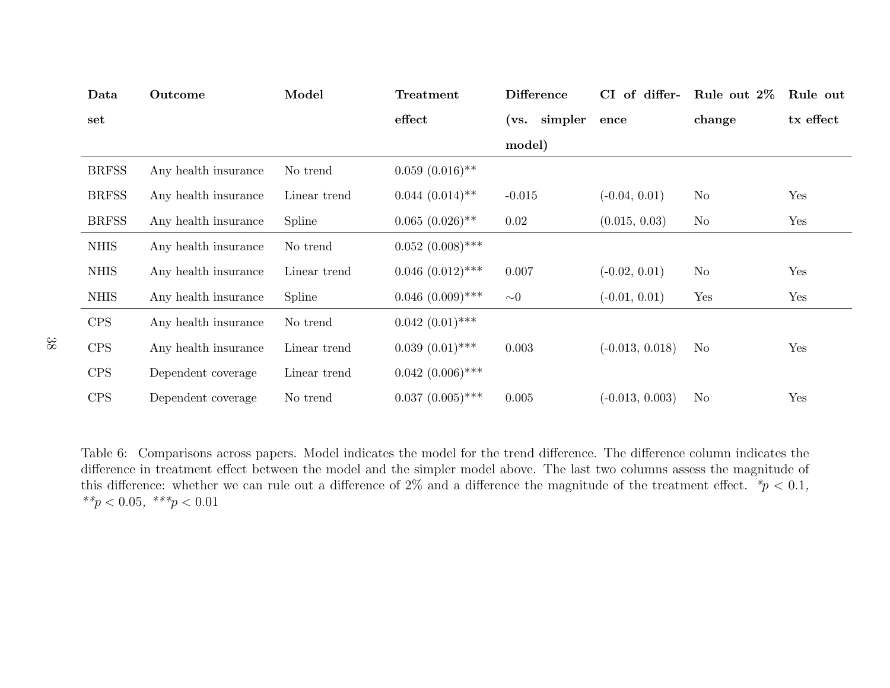<span id="page-38-0"></span>

| Data         | Outcome              | Model        | Treatment                     | <b>Difference</b><br>CI of differ- |                   | Rule out 2\%   | Rule out  |
|--------------|----------------------|--------------|-------------------------------|------------------------------------|-------------------|----------------|-----------|
| set          |                      |              | effect                        | simpler<br>(vs.                    | ence              | change         | tx effect |
|              |                      |              |                               | model)                             |                   |                |           |
| <b>BRFSS</b> | Any health insurance | No trend     | $0.059~(0.016)$ **            |                                    |                   |                |           |
| <b>BRFSS</b> | Any health insurance | Linear trend | $0.044~(0.014)$ <sup>**</sup> | $-0.015$                           | $(-0.04, 0.01)$   | N <sub>o</sub> | Yes       |
| <b>BRFSS</b> | Any health insurance | Spline       | $0.065~(0.026)$ **            | 0.02                               | (0.015, 0.03)     | $\rm No$       | Yes       |
| <b>NHIS</b>  | Any health insurance | No trend     | $0.052~(0.008)$ ***           |                                    |                   |                |           |
| <b>NHIS</b>  | Any health insurance | Linear trend | $0.046~(0.012)$ ***           | 0.007                              | $(-0.02, 0.01)$   | $\rm No$       | Yes       |
| <b>NHIS</b>  | Any health insurance | Spline       | $0.046~(0.009)$ ***           | $\sim\!\!0$                        | $(-0.01, 0.01)$   | Yes            | Yes       |
| <b>CPS</b>   | Any health insurance | No trend     | $0.042~(0.01)$ ***            |                                    |                   |                |           |
| <b>CPS</b>   | Any health insurance | Linear trend | $0.039(0.01)$ ***             | 0.003                              | $(-0.013, 0.018)$ | N <sub>o</sub> | Yes       |
| <b>CPS</b>   | Dependent coverage   | Linear trend | $0.042~(0.006)$ ***           |                                    |                   |                |           |
| <b>CPS</b>   | Dependent coverage   | No trend     | $0.037~(0.005)$ ***           | 0.005                              | $(-0.013, 0.003)$ | N <sub>o</sub> | Yes       |

Table 6: Comparisons across papers. Model indicates the model for the trend difference. The difference column indicates the difference in treatment effect between the model and the simpler model above. The last two columns assess the magnitude ofthis difference: whether we can rule out a difference of 2% and a difference the magnitude of the treatment effect.  $*p < 0.1$ , \*\* $p < 0.05,$  \*\*\* $p < 0.01$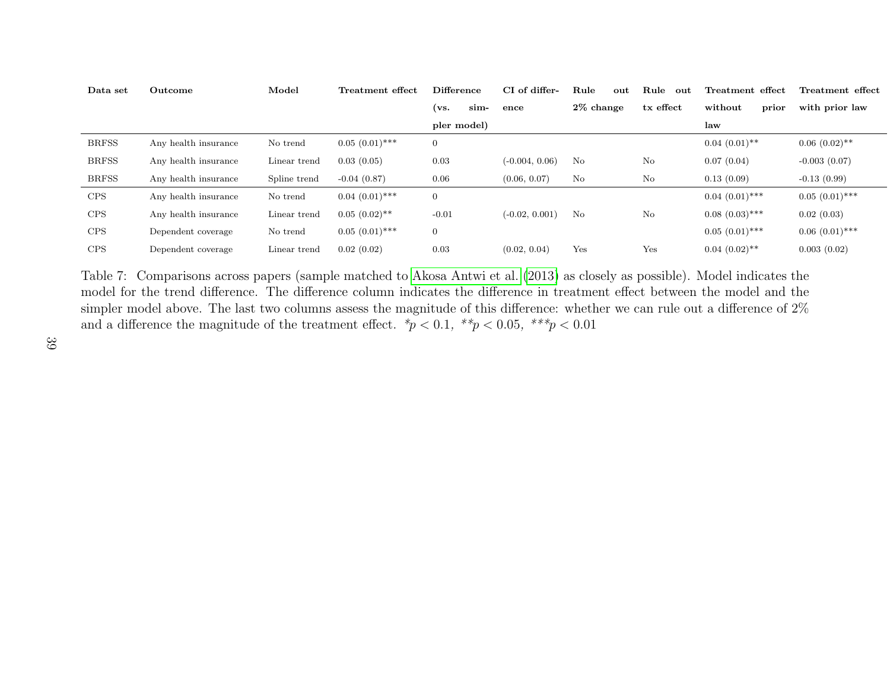| Data set     | Outcome              | Model        | Treatment effect  | <b>Difference</b> |      | CI of differ-    | Rule         | out | Rule<br>-out | Treatment effect  |       | Treatment effect |
|--------------|----------------------|--------------|-------------------|-------------------|------|------------------|--------------|-----|--------------|-------------------|-------|------------------|
|              |                      |              |                   | (vs.              | sim- | ence             | $2\%$ change |     | tx effect    | without           | prior | with prior law   |
|              |                      |              |                   | pler model)       |      |                  |              |     |              | law               |       |                  |
| <b>BRFSS</b> | Any health insurance | No trend     | $0.05(0.01)$ ***  | $\overline{0}$    |      |                  |              |     |              | $0.04(0.01)$ **   |       | $0.06(0.02)$ **  |
| <b>BRFSS</b> | Any health insurance | Linear trend | 0.03(0.05)        | 0.03              |      | $(-0.004, 0.06)$ | No           |     | No           | 0.07(0.04)        |       | $-0.003(0.07)$   |
| <b>BRFSS</b> | Any health insurance | Spline trend | $-0.04(0.87)$     | 0.06              |      | (0.06, 0.07)     | No           |     | No           | 0.13(0.09)        |       | $-0.13(0.99)$    |
| <b>CPS</b>   | Any health insurance | No trend     | $0.04~(0.01)$ *** | $\mathbf{0}$      |      |                  |              |     |              | $0.04~(0.01)$ *** |       | $0.05(0.01)$ *** |
| <b>CPS</b>   | Any health insurance | Linear trend | $0.05(0.02)$ **   | $-0.01$           |      | $(-0.02, 0.001)$ | No           |     | No           | $0.08(0.03)$ ***  |       | 0.02(0.03)       |
| <b>CPS</b>   | Dependent coverage   | No trend     | $0.05(0.01)$ ***  | $\overline{0}$    |      |                  |              |     |              | $0.05(0.01)$ ***  |       | $0.06(0.01)$ *** |
| <b>CPS</b>   | Dependent coverage   | Linear trend | 0.02(0.02)        | 0.03              |      | (0.02, 0.04)     | Yes          |     | Yes          | $0.04(0.02)$ **   |       | 0.003(0.02)      |

<span id="page-39-0"></span>Table 7: Comparisons across papers (sample matched to [Akosa](#page-61-9) Antwi et al. ([2013\)](#page-61-9) as closely as possible). Model indicates the model for the trend difference. The difference column indicates the difference in treatment effect between the model and thesimpler model above. The last two columns assess the magnitude of this difference: whether we can rule out a difference of  $2\%$ and a difference the magnitude of the treatment effect.  $*p < 0.1, **p < 0.05, ***p < 0.01$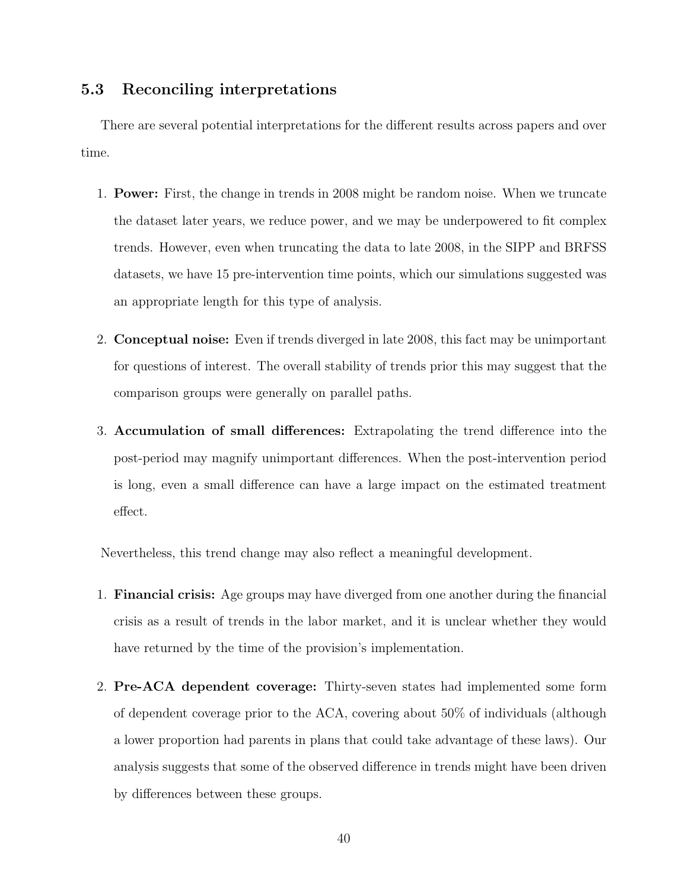## 5.3 Reconciling interpretations

There are several potential interpretations for the different results across papers and over time.

- 1. Power: First, the change in trends in 2008 might be random noise. When we truncate the dataset later years, we reduce power, and we may be underpowered to fit complex trends. However, even when truncating the data to late 2008, in the SIPP and BRFSS datasets, we have 15 pre-intervention time points, which our simulations suggested was an appropriate length for this type of analysis.
- 2. Conceptual noise: Even if trends diverged in late 2008, this fact may be unimportant for questions of interest. The overall stability of trends prior this may suggest that the comparison groups were generally on parallel paths.
- 3. Accumulation of small differences: Extrapolating the trend difference into the post-period may magnify unimportant differences. When the post-intervention period is long, even a small difference can have a large impact on the estimated treatment effect.

Nevertheless, this trend change may also reflect a meaningful development.

- 1. Financial crisis: Age groups may have diverged from one another during the financial crisis as a result of trends in the labor market, and it is unclear whether they would have returned by the time of the provision's implementation.
- 2. Pre-ACA dependent coverage: Thirty-seven states had implemented some form of dependent coverage prior to the ACA, covering about 50% of individuals (although a lower proportion had parents in plans that could take advantage of these laws). Our analysis suggests that some of the observed difference in trends might have been driven by differences between these groups.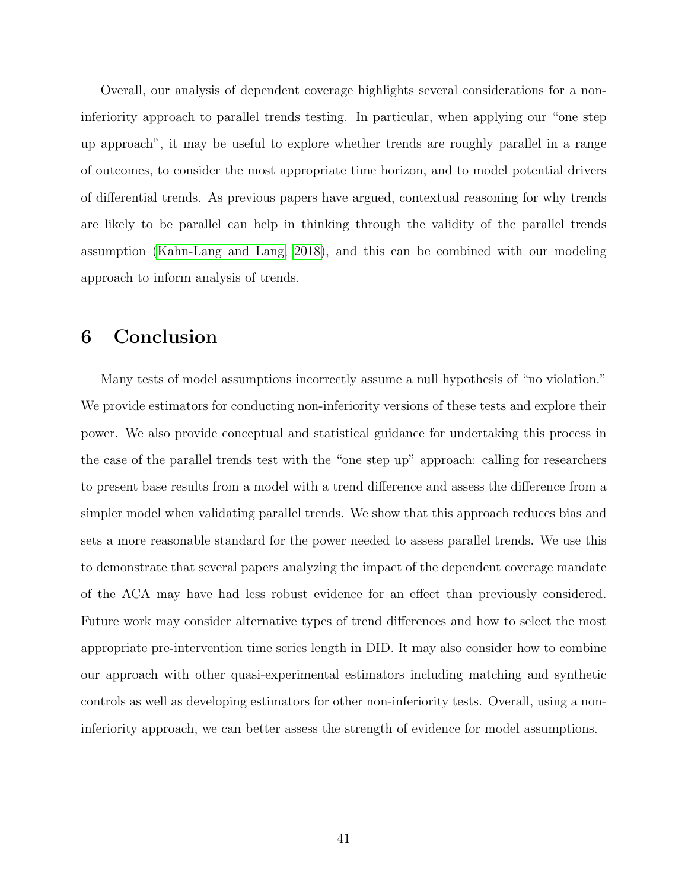Overall, our analysis of dependent coverage highlights several considerations for a noninferiority approach to parallel trends testing. In particular, when applying our "one step up approach", it may be useful to explore whether trends are roughly parallel in a range of outcomes, to consider the most appropriate time horizon, and to model potential drivers of differential trends. As previous papers have argued, contextual reasoning for why trends are likely to be parallel can help in thinking through the validity of the parallel trends assumption [\(Kahn-Lang and Lang, 2018\)](#page-63-2), and this can be combined with our modeling approach to inform analysis of trends.

# 6 Conclusion

Many tests of model assumptions incorrectly assume a null hypothesis of "no violation." We provide estimators for conducting non-inferiority versions of these tests and explore their power. We also provide conceptual and statistical guidance for undertaking this process in the case of the parallel trends test with the "one step up" approach: calling for researchers to present base results from a model with a trend difference and assess the difference from a simpler model when validating parallel trends. We show that this approach reduces bias and sets a more reasonable standard for the power needed to assess parallel trends. We use this to demonstrate that several papers analyzing the impact of the dependent coverage mandate of the ACA may have had less robust evidence for an effect than previously considered. Future work may consider alternative types of trend differences and how to select the most appropriate pre-intervention time series length in DID. It may also consider how to combine our approach with other quasi-experimental estimators including matching and synthetic controls as well as developing estimators for other non-inferiority tests. Overall, using a noninferiority approach, we can better assess the strength of evidence for model assumptions.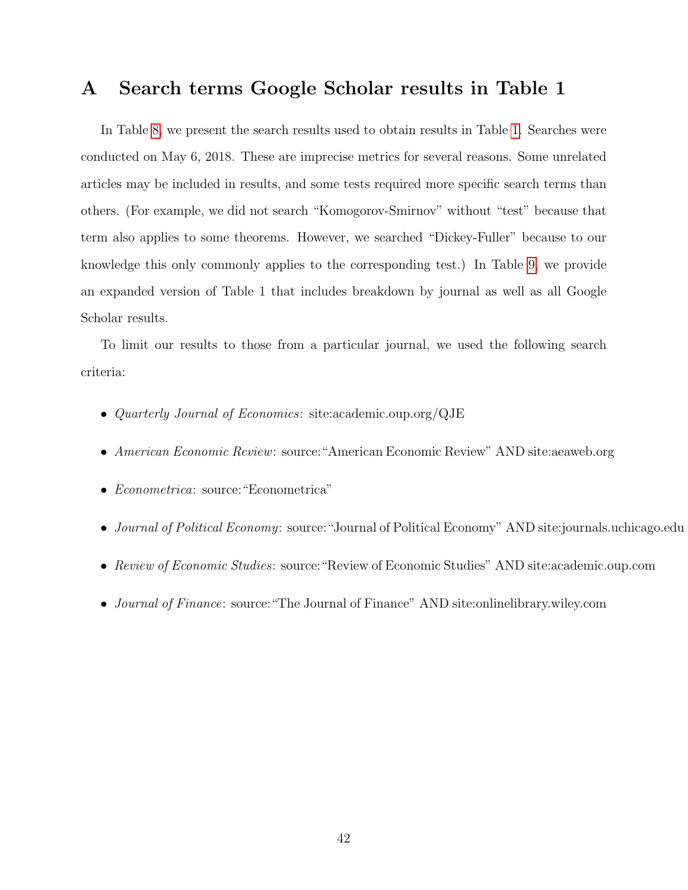## <span id="page-42-0"></span>A Search terms Google Scholar results in Table 1

In Table [8,](#page-43-0) we present the search results used to obtain results in Table [1.](#page-2-0) Searches were conducted on May 6, 2018. These are imprecise metrics for several reasons. Some unrelated articles may be included in results, and some tests required more specific search terms than others. (For example, we did not search "Komogorov-Smirnov" without "test" because that term also applies to some theorems. However, we searched "Dickey-Fuller" because to our knowledge this only commonly applies to the corresponding test.) In Table [9,](#page-44-0) we provide an expanded version of Table 1 that includes breakdown by journal as well as all Google Scholar results.

To limit our results to those from a particular journal, we used the following search criteria:

- Quarterly Journal of Economics: site:academic.oup.org/QJE
- American Economic Review: source:"American Economic Review" AND site:aeaweb.org
- Econometrica: source:"Econometrica"
- Journal of Political Economy: source:"Journal of Political Economy" AND site:journals.uchicago.edu
- Review of Economic Studies: source:"Review of Economic Studies" AND site:academic.oup.com
- *Journal of Finance*: source: "The Journal of Finance" AND site: onlinelibrary.wiley.com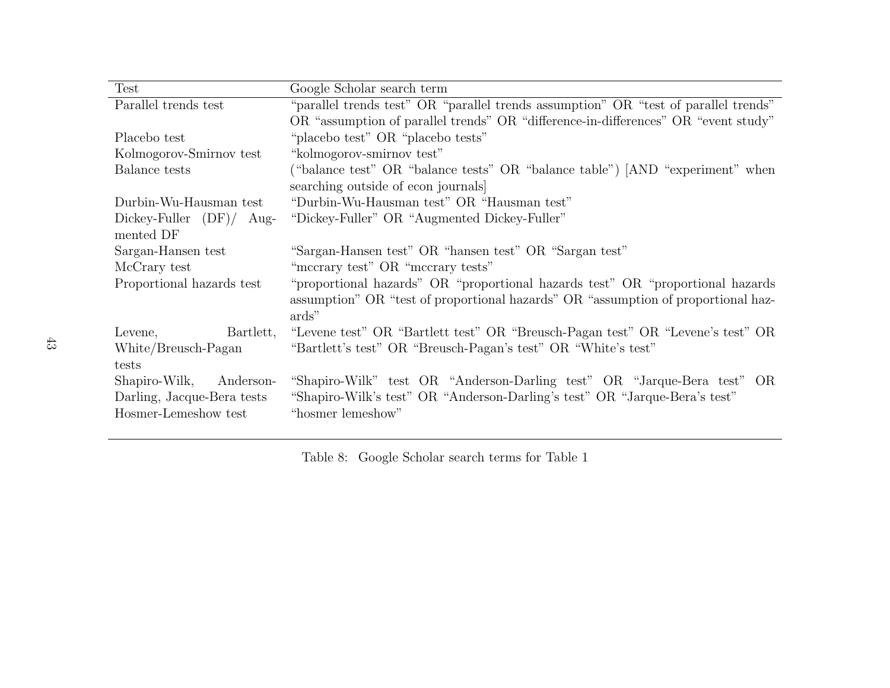| Test                             | Google Scholar search term                                                          |  |  |  |  |  |
|----------------------------------|-------------------------------------------------------------------------------------|--|--|--|--|--|
| Parallel trends test             | "parallel trends test" OR "parallel trends assumption" OR "test of parallel trends" |  |  |  |  |  |
|                                  | OR "assumption of parallel trends" OR "difference-in-differences" OR "event study"  |  |  |  |  |  |
| Placebo test                     | "placebo test" OR "placebo tests"                                                   |  |  |  |  |  |
| Kolmogorov-Smirnov test          | "kolmogorov-smirnov test"                                                           |  |  |  |  |  |
| Balance tests                    | ("balance test" OR "balance tests" OR "balance table") [AND "experiment" when       |  |  |  |  |  |
|                                  | searching outside of econ journals                                                  |  |  |  |  |  |
| Durbin-Wu-Hausman test           | "Durbin-Wu-Hausman test" OR "Hausman test"                                          |  |  |  |  |  |
| $Dickey$ -Fuller $(DF)/$<br>Aug- | "Dickey-Fuller" OR "Augmented Dickey-Fuller"                                        |  |  |  |  |  |
| mented DF                        |                                                                                     |  |  |  |  |  |
| Sargan-Hansen test               | "Sargan-Hansen test" OR "hansen test" OR "Sargan test"                              |  |  |  |  |  |
| McCrary test                     | "mecrary test" OR "mecrary tests"                                                   |  |  |  |  |  |
| Proportional hazards test        | "proportional hazards" OR "proportional hazards test" OR "proportional hazards"     |  |  |  |  |  |
|                                  | assumption" OR "test of proportional hazards" OR "assumption of proportional haz-   |  |  |  |  |  |
|                                  | ards"                                                                               |  |  |  |  |  |
| Levene,<br>Bartlett,             | "Levene test" OR "Bartlett test" OR "Breusch-Pagan test" OR "Levene's test" OR      |  |  |  |  |  |
| White/Breusch-Pagan              | "Bartlett's test" OR "Breusch-Pagan's test" OR "White's test"                       |  |  |  |  |  |
| tests                            |                                                                                     |  |  |  |  |  |
| Shapiro-Wilk,<br>Anderson-       | "Shapiro-Wilk" test OR "Anderson-Darling test" OR "Jarque-Bera test" OR             |  |  |  |  |  |
| Darling, Jacque-Bera tests       | "Shapiro-Wilk's test" OR "Anderson-Darling's test" OR "Jarque-Bera's test"          |  |  |  |  |  |
| Hosmer-Lemeshow test             | "hosmer lemeshow"                                                                   |  |  |  |  |  |

<span id="page-43-0"></span>Table 8: Google Scholar search terms for Table 1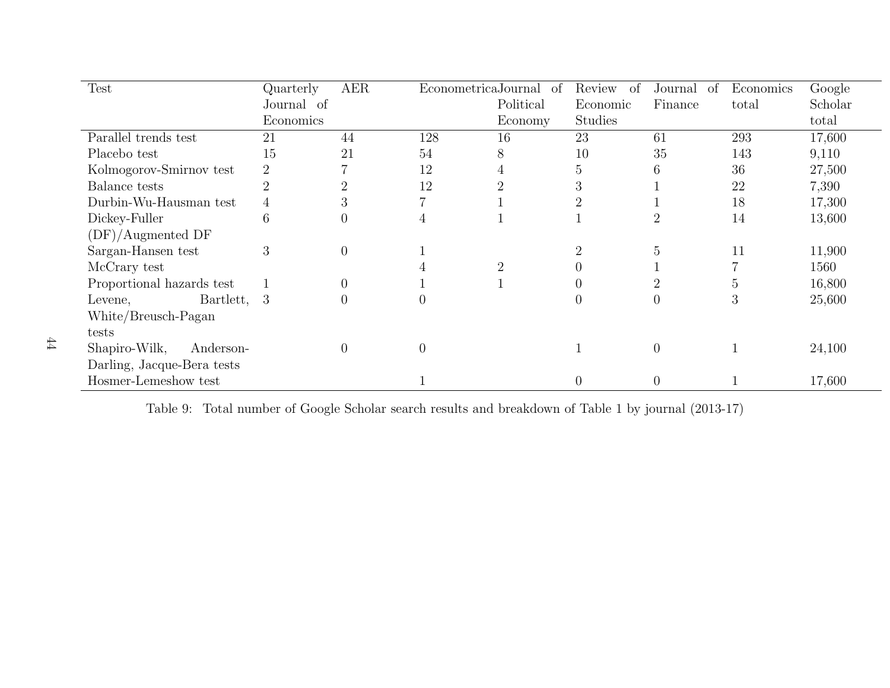| <b>Test</b>                | Quarterly       | <b>AER</b>       | Econometrica Journal of |                | Review<br>of   | Journal<br><sub>of</sub> | Economics  | Google  |
|----------------------------|-----------------|------------------|-------------------------|----------------|----------------|--------------------------|------------|---------|
|                            | Journal of      |                  |                         | Political      | Economic       | Finance                  | total      | Scholar |
|                            | Economics       |                  |                         | Economy        | Studies        |                          |            | total   |
| Parallel trends test       | 21              | 44               | 128                     | 16             | 23             | 61                       | 293        | 17,600  |
| Placebo test               | 15              | 21               | 54                      | 8              | 10             | 35                       | 143        | 9,110   |
| Kolmogorov-Smirnov test    | $\overline{2}$  |                  | 12                      | 4              | 5              | 6                        | 36         | 27,500  |
| Balance tests              |                 | $\overline{2}$   | 12                      | ີ              | 3              |                          | 22         | 7,390   |
| Durbin-Wu-Hausman test     | 4               | 3                |                         |                | 2              |                          | 18         | 17,300  |
| Dickey-Fuller              | $6\phantom{.}6$ | $\boldsymbol{0}$ | 4                       |                |                | 2                        | 14         | 13,600  |
| (DF)/Augmented DF          |                 |                  |                         |                |                |                          |            |         |
| Sargan-Hansen test         | 3               | $\theta$         |                         |                | $\overline{2}$ | 5                        | 11         | 11,900  |
| McCrary test               |                 |                  |                         | $\overline{2}$ | $\overline{0}$ |                          |            | 1560    |
| Proportional hazards test  |                 | $\overline{0}$   |                         |                | $\overline{0}$ | $\overline{2}$           | $\ddot{c}$ | 16,800  |
| Bartlett,<br>Levene,       | -3              | $\overline{0}$   |                         |                | $\overline{0}$ |                          | 3          | 25,600  |
| White/Breusch-Pagan        |                 |                  |                         |                |                |                          |            |         |
| tests                      |                 |                  |                         |                |                |                          |            |         |
| Anderson-<br>Shapiro-Wilk, |                 | $\overline{0}$   |                         |                |                | $\theta$                 |            | 24,100  |
| Darling, Jacque-Bera tests |                 |                  |                         |                |                |                          |            |         |
| Hosmer-Lemeshow test       |                 |                  |                         |                | $\theta$       | $\overline{0}$           |            | 17,600  |

<span id="page-44-0"></span>Table 9: Total number of Google Scholar search results and breakdown of Table <sup>1</sup> by journal (2013-17)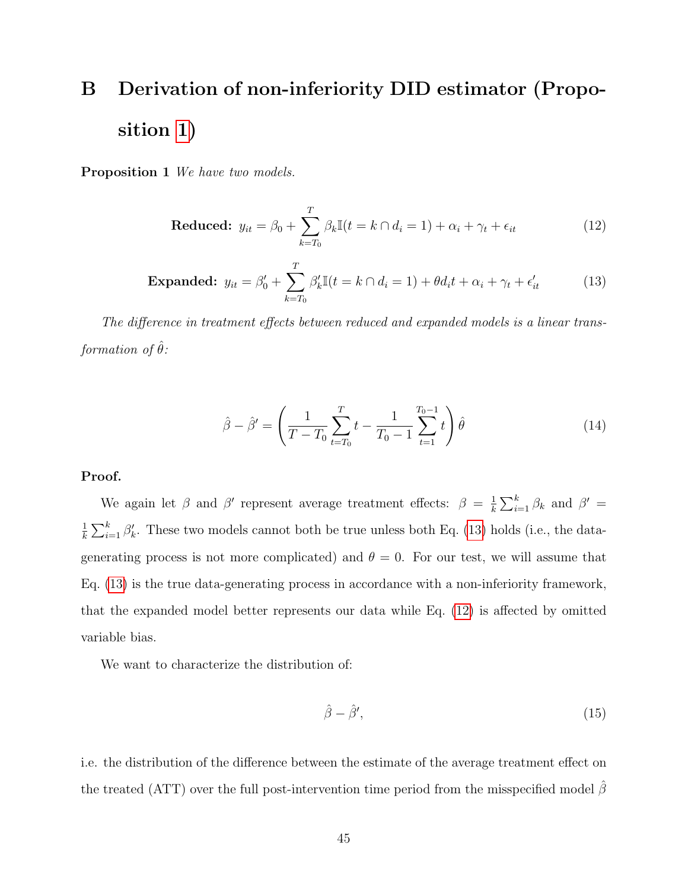# <span id="page-45-0"></span>B Derivation of non-inferiority DID estimator (Proposition [1\)](#page-11-1)

Proposition 1 We have two models.

<span id="page-45-2"></span>
$$
\text{Reduced: } y_{it} = \beta_0 + \sum_{k=T_0}^{T} \beta_k \mathbb{I}(t = k \cap d_i = 1) + \alpha_i + \gamma_t + \epsilon_{it}
$$
\n(12)

<span id="page-45-1"></span>**Expanded:** 
$$
y_{it} = \beta_0' + \sum_{k=T_0}^{T} \beta_k' \mathbb{I}(t = k \cap d_i = 1) + \theta d_i t + \alpha_i + \gamma_t + \epsilon_{it}' \tag{13}
$$

The difference in treatment effects between reduced and expanded models is a linear transformation of  $\hat{\theta}$ :

$$
\hat{\beta} - \hat{\beta}' = \left(\frac{1}{T - T_0} \sum_{t=T_0}^{T} t - \frac{1}{T_0 - 1} \sum_{t=1}^{T_0 - 1} t\right) \hat{\theta}
$$
\n(14)

Proof.

We again let  $\beta$  and  $\beta'$  represent average treatment effects:  $\beta = \frac{1}{k}$  $\frac{1}{k} \sum_{i=1}^{k} \beta_k$  and  $\beta' =$ 1  $\frac{1}{k} \sum_{i=1}^{k} \beta'_{k}$ . These two models cannot both be true unless both Eq. [\(13\)](#page-45-1) holds (i.e., the datagenerating process is not more complicated) and  $\theta = 0$ . For our test, we will assume that Eq. [\(13\)](#page-45-1) is the true data-generating process in accordance with a non-inferiority framework, that the expanded model better represents our data while Eq. [\(12\)](#page-45-2) is affected by omitted variable bias.

We want to characterize the distribution of:

$$
\hat{\beta} - \hat{\beta}',\tag{15}
$$

i.e. the distribution of the difference between the estimate of the average treatment effect on the treated (ATT) over the full post-intervention time period from the misspecified model  $\hat{\beta}$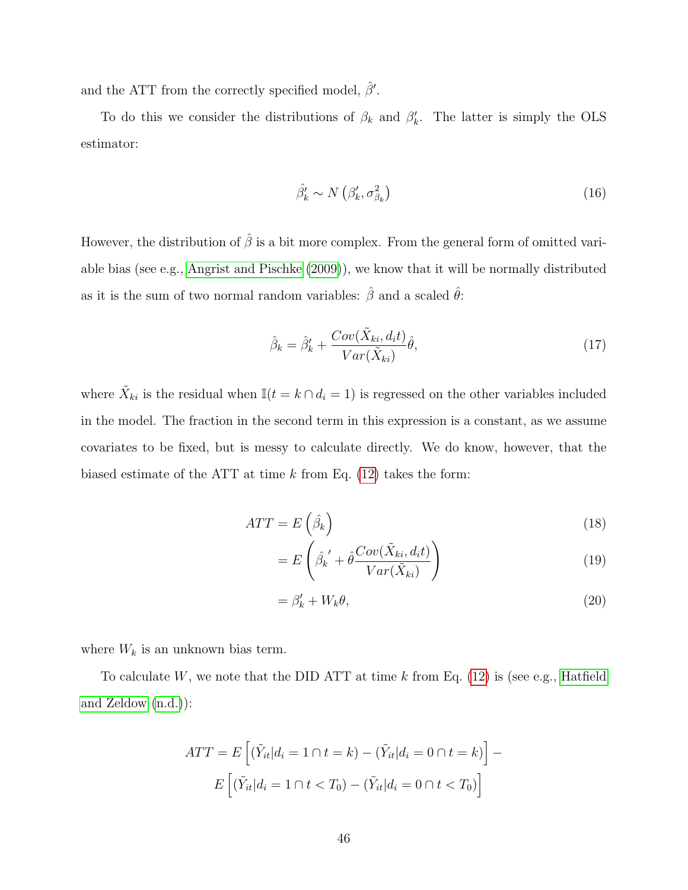and the ATT from the correctly specified model,  $\hat{\beta}'$ .

To do this we consider the distributions of  $\beta_k$  and  $\beta'_k$ . The latter is simply the OLS estimator:

$$
\hat{\beta}'_k \sim N\left(\beta'_k, \sigma^2_{\beta_k}\right) \tag{16}
$$

However, the distribution of  $\hat{\beta}$  is a bit more complex. From the general form of omitted variable bias (see e.g., [Angrist and Pischke](#page-61-2) [\(2009\)](#page-61-2)), we know that it will be normally distributed as it is the sum of two normal random variables:  $\hat{\beta}$  and a scaled  $\hat{\theta}$ :

$$
\hat{\beta}_k = \hat{\beta}'_k + \frac{Cov(\tilde{X}_{ki}, d_i t)}{Var(\tilde{X}_{ki})}\hat{\theta},\tag{17}
$$

where  $\tilde{X}_{ki}$  is the residual when  $\mathbb{I}(t = k \cap d_i = 1)$  is regressed on the other variables included in the model. The fraction in the second term in this expression is a constant, as we assume covariates to be fixed, but is messy to calculate directly. We do know, however, that the biased estimate of the ATT at time  $k$  from Eq. [\(12\)](#page-45-2) takes the form:

$$
ATT = E\left(\hat{\beta}_k\right) \tag{18}
$$

$$
=E\left(\hat{\beta_k}' + \hat{\theta}\frac{Cov(\tilde{X}_{ki}, d_i t)}{Var(\tilde{X}_{ki})}\right)
$$
(19)

$$
=\beta'_k + W_k \theta,\tag{20}
$$

where  $W_k$  is an unknown bias term.

To calculate  $W$ , we note that the DID ATT at time k from Eq. [\(12\)](#page-45-2) is (see e.g., [Hatfield](#page-62-11) [and Zeldow](#page-62-11) [\(n.d.\)](#page-62-11)):

$$
ATT = E\left[ (\tilde{Y}_{it}|d_i = 1 \cap t = k) - (\tilde{Y}_{it}|d_i = 0 \cap t = k) \right] -
$$

$$
E\left[ (\tilde{Y}_{it}|d_i = 1 \cap t < T_0) - (\tilde{Y}_{it}|d_i = 0 \cap t < T_0) \right]
$$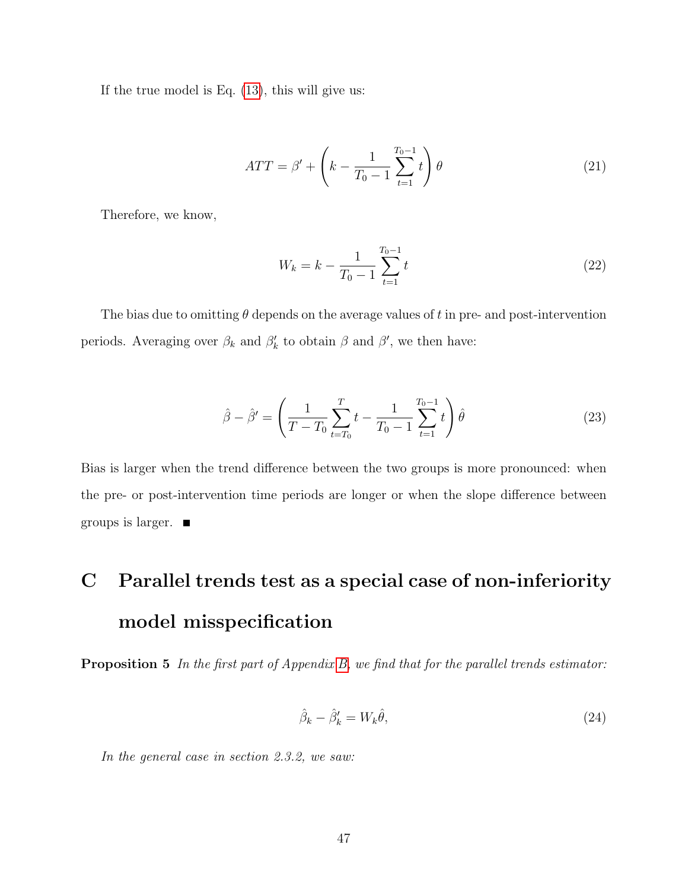If the true model is Eq.  $(13)$ , this will give us:

$$
ATT = \beta' + \left(k - \frac{1}{T_0 - 1} \sum_{t=1}^{T_0 - 1} t\right) \theta
$$
 (21)

Therefore, we know,

$$
W_k = k - \frac{1}{T_0 - 1} \sum_{t=1}^{T_0 - 1} t
$$
\n(22)

The bias due to omitting  $\theta$  depends on the average values of t in pre- and post-intervention periods. Averaging over  $\beta_k$  and  $\beta'_k$  to obtain  $\beta$  and  $\beta'$ , we then have:

$$
\hat{\beta} - \hat{\beta}' = \left(\frac{1}{T - T_0} \sum_{t=T_0}^{T} t - \frac{1}{T_0 - 1} \sum_{t=1}^{T_0 - 1} t\right) \hat{\theta}
$$
\n(23)

Bias is larger when the trend difference between the two groups is more pronounced: when the pre- or post-intervention time periods are longer or when the slope difference between groups is larger.  $\blacksquare$ 

# <span id="page-47-0"></span>C Parallel trends test as a special case of non-inferiority model misspecification

Proposition 5 In the first part of Appendix [B,](#page-45-0) we find that for the parallel trends estimator:

<span id="page-47-1"></span>
$$
\hat{\beta}_k - \hat{\beta}'_k = W_k \hat{\theta},\tag{24}
$$

In the general case in section 2.3.2, we saw: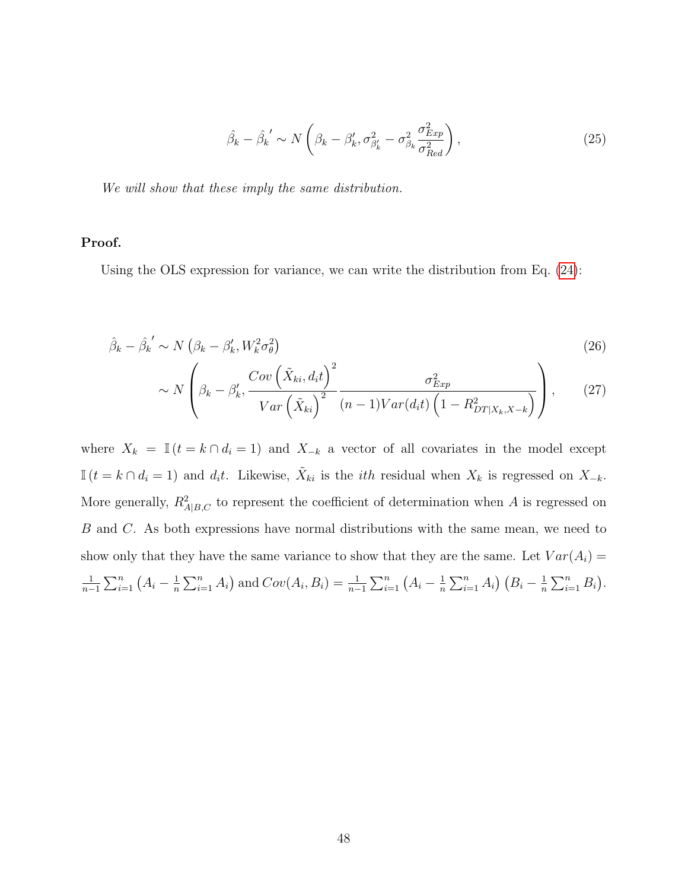$$
\hat{\beta_k} - \hat{\beta_k}' \sim N\left(\beta_k - \beta'_k, \sigma^2_{\beta'_k} - \sigma^2_{\beta_k} \frac{\sigma^2_{Exp}}{\sigma^2_{Red}}\right),\tag{25}
$$

We will show that these imply the same distribution.

#### Proof.

Using the OLS expression for variance, we can write the distribution from Eq. [\(24\)](#page-47-1):

$$
\hat{\beta}_k - \hat{\beta}_k' \sim N\left(\beta_k - \beta'_k, W_k^2 \sigma_\theta^2\right)
$$
\n
$$
\left(\begin{array}{cc}Cov\left(\tilde{X}_k, d_t\right)^2 & 2\end{array}\right)
$$
\n(26)

$$
\sim N\left(\beta_k - \beta'_k, \frac{Cov\left(\tilde{X}_{ki}, d_i t\right)^2}{Var\left(\tilde{X}_{ki}\right)^2} \frac{\sigma_{Exp}^2}{(n-1)Var(d_i t)\left(1 - R_{DT|X_k, X-k}^2\right)}\right),\tag{27}
$$

where  $X_k = \mathbb{I}(t = k \cap d_i = 1)$  and  $X_{-k}$  a vector of all covariates in the model except  $\mathbb{I}(t = k \cap d_i = 1)$  and  $d_i t$ . Likewise,  $\tilde{X}_{ki}$  is the *i*th residual when  $X_k$  is regressed on  $X_{-k}$ . More generally,  $R_{A|B,C}^2$  to represent the coefficient of determination when A is regressed on B and C. As both expressions have normal distributions with the same mean, we need to show only that they have the same variance to show that they are the same. Let  $Var(A_i)$  = 1  $\frac{1}{n-1}\sum_{i=1}^{n} (A_i - \frac{1}{n}$  $\frac{1}{n}\sum_{i=1}^{n} A_i$  and  $Cov(A_i, B_i) = \frac{1}{n-1}\sum_{i=1}^{n} (A_i - \frac{1}{n})$  $\frac{1}{n}\sum_{i=1}^n A_i (B_i - \frac{1}{n})$  $\frac{1}{n}\sum_{i=1}^n B_i$ .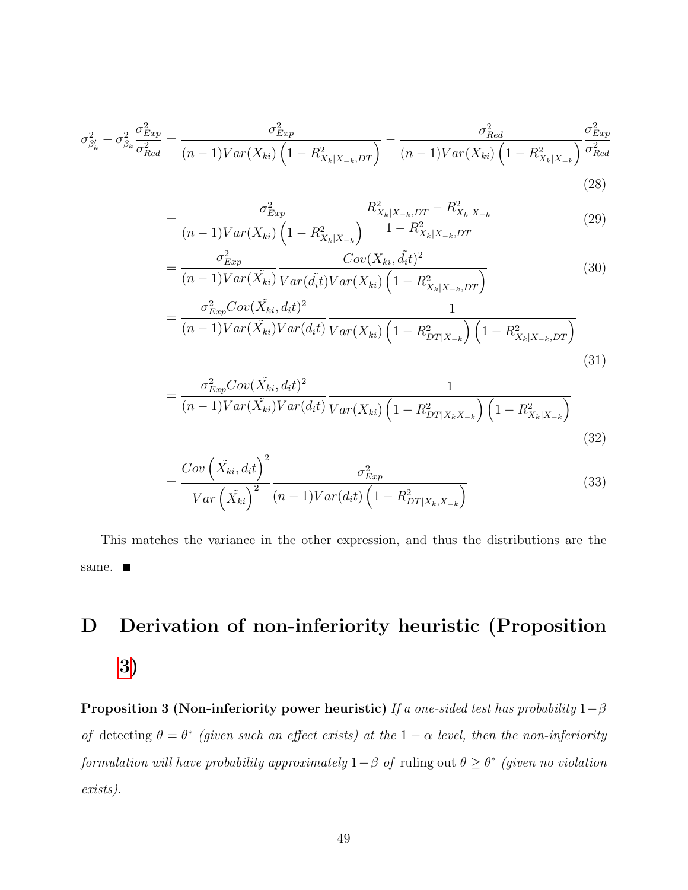$$
\sigma_{\beta'_{k}}^{2} - \sigma_{\beta_{k}}^{2} \frac{\sigma_{Exp}^{2}}{\sigma_{Red}^{2}} = \frac{\sigma_{Exp}^{2}}{(n-1)Var(X_{ki})\left(1 - R_{X_{k}|X_{-k}}, DT\right)} - \frac{\sigma_{Red}^{2}}{(n-1)Var(X_{ki})\left(1 - R_{X_{k}|X_{-k}}^{2}\right)} \frac{\sigma_{Exp}^{2}}{\sigma_{Red}^{2}}
$$
\n(28)

$$
= \frac{\sigma_{Exp}^2}{(n-1)Var(X_{ki})\left(1 - R_{X_k|X_{-k}}^2\right)} \frac{R_{X_k|X_{-k},DT}^2 - R_{X_k|X_{-k}}^2}{1 - R_{X_k|X_{-k},DT}^2} \tag{29}
$$

$$
= \frac{\sigma_{Exp}^2}{(n-1)Var(\tilde{X}_{ki})} \frac{Cov(X_{ki}, \tilde{d}_it)^2}{Var(\tilde{d}_it)Var(X_{ki}) \left(1 - R_{X_k|X_{-k}, DT}^2\right)} \tag{30}
$$

$$
= \frac{\sigma_{Exp}^2 Cov(\tilde{X}_{ki}, d_i t)^2}{(n-1)Var(\tilde{X}_{ki})Var(d_i t)} \frac{1}{Var(X_{ki})\left(1 - R_{DT|X_{-k}}^2\right)\left(1 - R_{X_k|X_{-k}, DT}^2\right)}
$$
(31)

$$
= \frac{\sigma_{Exp}^2 Cov(\tilde{X}_{ki}, d_i t)^2}{(n-1)Var(\tilde{X}_{ki})Var(d_i t)} \frac{1}{Var(X_{ki})\left(1 - R_{DT|X_k X_{-k}}^2\right)\left(1 - R_{X_k|X_{-k}}^2\right)}
$$
(32)

$$
=\frac{Cov\left(\tilde{X}_{ki},d_i t\right)^2}{Var\left(\tilde{X}_{ki}\right)^2}\frac{\sigma_{Exp}^2}{(n-1)Var(d_i t)\left(1-R_{DT|X_k,X_{-k}}^2\right)}
$$
(33)

This matches the variance in the other expression, and thus the distributions are the same.  $\blacksquare$ 

# <span id="page-49-0"></span>D Derivation of non-inferiority heuristic (Proposition [3\)](#page-16-0)

**Proposition 3 (Non-inferiority power heuristic)** If a one-sided test has probability  $1-\beta$ of detecting  $\theta = \theta^*$  (given such an effect exists) at the  $1 - \alpha$  level, then the non-inferiority formulation will have probability approximately  $1-\beta$  of ruling out  $\theta \geq \theta^*$  (given no violation exists).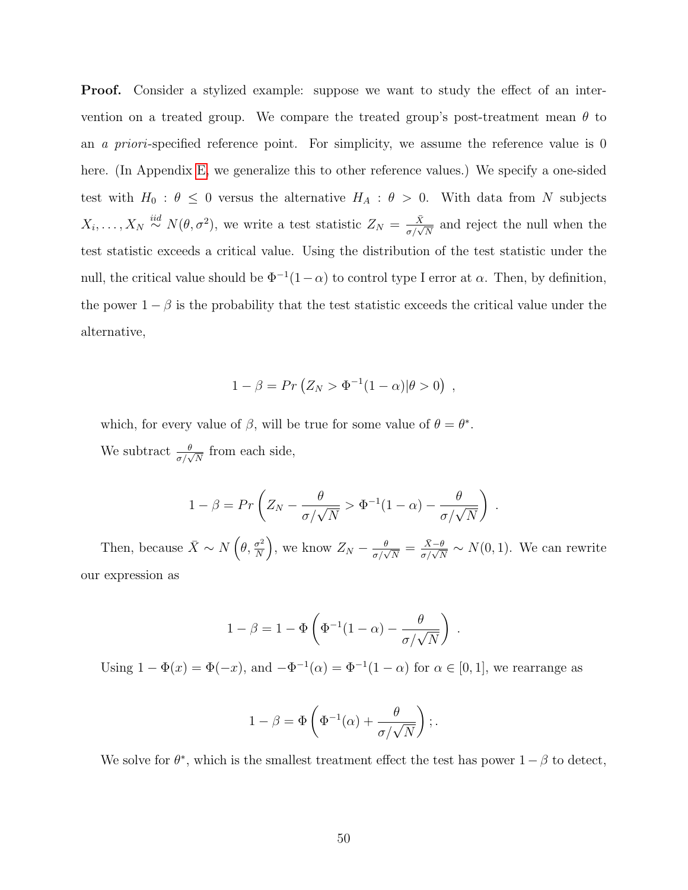Proof. Consider a stylized example: suppose we want to study the effect of an intervention on a treated group. We compare the treated group's post-treatment mean  $\theta$  to an *a priori*-specified reference point. For simplicity, we assume the reference value is 0 here. (In Appendix [E,](#page-52-0) we generalize this to other reference values.) We specify a one-sided test with  $H_0$ :  $\theta \leq 0$  versus the alternative  $H_A$ :  $\theta > 0$ . With data from N subjects  $X_i, \ldots, X_N \stackrel{iid}{\sim} N(\theta, \sigma^2)$ , we write a test statistic  $Z_N = \frac{\bar{X}}{\sigma/\sqrt{N}}$  and reject the null when the test statistic exceeds a critical value. Using the distribution of the test statistic under the null, the critical value should be  $\Phi^{-1}(1-\alpha)$  to control type I error at  $\alpha$ . Then, by definition, the power  $1 - \beta$  is the probability that the test statistic exceeds the critical value under the alternative,

$$
1 - \beta = Pr\left(Z_N > \Phi^{-1}(1-\alpha)|\theta > 0\right) ,
$$

which, for every value of  $\beta$ , will be true for some value of  $\theta = \theta^*$ . We subtract  $\frac{\theta}{\sigma/\sqrt{N}}$  from each side,

$$
1 - \beta = Pr\left(Z_N - \frac{\theta}{\sigma/\sqrt{N}} > \Phi^{-1}(1-\alpha) - \frac{\theta}{\sigma/\sqrt{N}}\right).
$$

Then, because  $\bar{X} \sim N\left(\theta, \frac{\sigma^2}{N}\right)$  $\frac{\sigma^2}{N}$ , we know  $Z_N - \frac{\theta}{\sigma/\sqrt{N}} = \frac{\bar{X}-\theta}{\sigma/\sqrt{N}} \sim N(0, 1)$ . We can rewrite our expression as

$$
1 - \beta = 1 - \Phi\left(\Phi^{-1}(1 - \alpha) - \frac{\theta}{\sigma/\sqrt{N}}\right)
$$

.

Using  $1 - \Phi(x) = \Phi(-x)$ , and  $-\Phi^{-1}(\alpha) = \Phi^{-1}(1 - \alpha)$  for  $\alpha \in [0, 1]$ , we rearrange as

$$
1 - \beta = \Phi\left(\Phi^{-1}(\alpha) + \frac{\theta}{\sigma/\sqrt{N}}\right);.
$$

We solve for  $\theta^*$ , which is the smallest treatment effect the test has power  $1 - \beta$  to detect,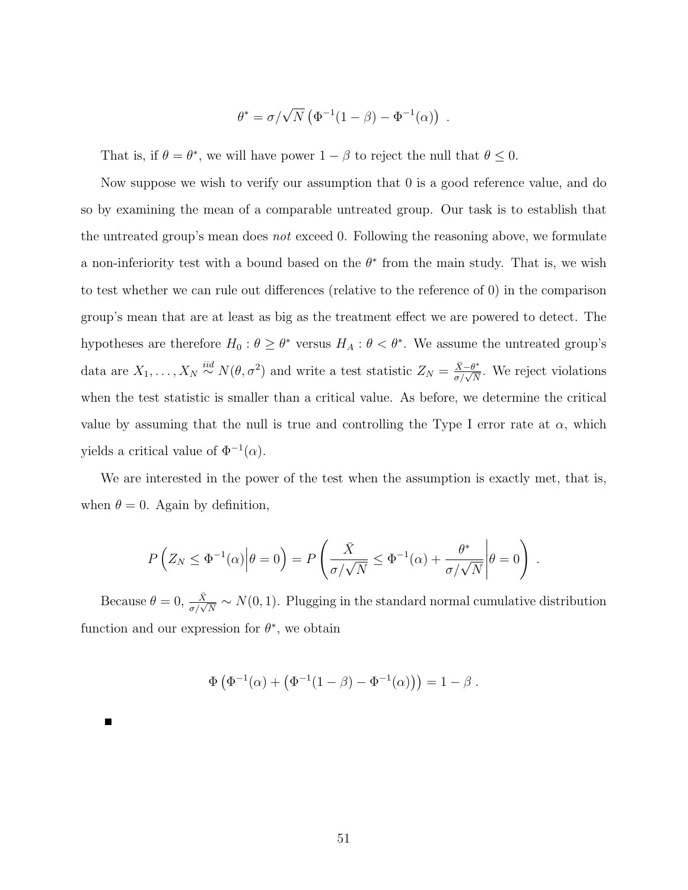$$
\theta^* = \sigma/\sqrt{N} \left( \Phi^{-1}(1-\beta) - \Phi^{-1}(\alpha) \right) .
$$

That is, if  $\theta = \theta^*$ , we will have power  $1 - \beta$  to reject the null that  $\theta \leq 0$ .

Now suppose we wish to verify our assumption that 0 is a good reference value, and do so by examining the mean of a comparable untreated group. Our task is to establish that the untreated group's mean does *not* exceed 0. Following the reasoning above, we formulate a non-inferiority test with a bound based on the  $\theta^*$  from the main study. That is, we wish to test whether we can rule out differences (relative to the reference of 0) in the comparison group's mean that are at least as big as the treatment effect we are powered to detect. The hypotheses are therefore  $H_0: \theta \geq \theta^*$  versus  $H_A: \theta < \theta^*$ . We assume the untreated group's data are  $X_1, \ldots, X_N \stackrel{iid}{\sim} N(\theta, \sigma^2)$  and write a test statistic  $Z_N = \frac{\bar{X} - \theta^*}{\sigma/\sqrt{N}}$ . We reject violations when the test statistic is smaller than a critical value. As before, we determine the critical value by assuming that the null is true and controlling the Type I error rate at  $\alpha$ , which yields a critical value of  $\Phi^{-1}(\alpha)$ .

We are interested in the power of the test when the assumption is exactly met, that is, when  $\theta = 0$ . Again by definition,

$$
P\left(Z_N \leq \Phi^{-1}(\alpha)\middle|\theta=0\right) = P\left(\frac{\bar{X}}{\sigma/\sqrt{N}} \leq \Phi^{-1}(\alpha) + \frac{\theta^*}{\sigma/\sqrt{N}}\middle|\theta=0\right).
$$

Because  $\theta = 0$ ,  $\frac{\bar{X}}{\sigma/\sqrt{N}} \sim N(0, 1)$ . Plugging in the standard normal cumulative distribution function and our expression for  $\theta^*$ , we obtain

$$
\Phi(\Phi^{-1}(\alpha) + (\Phi^{-1}(1-\beta) - \Phi^{-1}(\alpha))) = 1 - \beta.
$$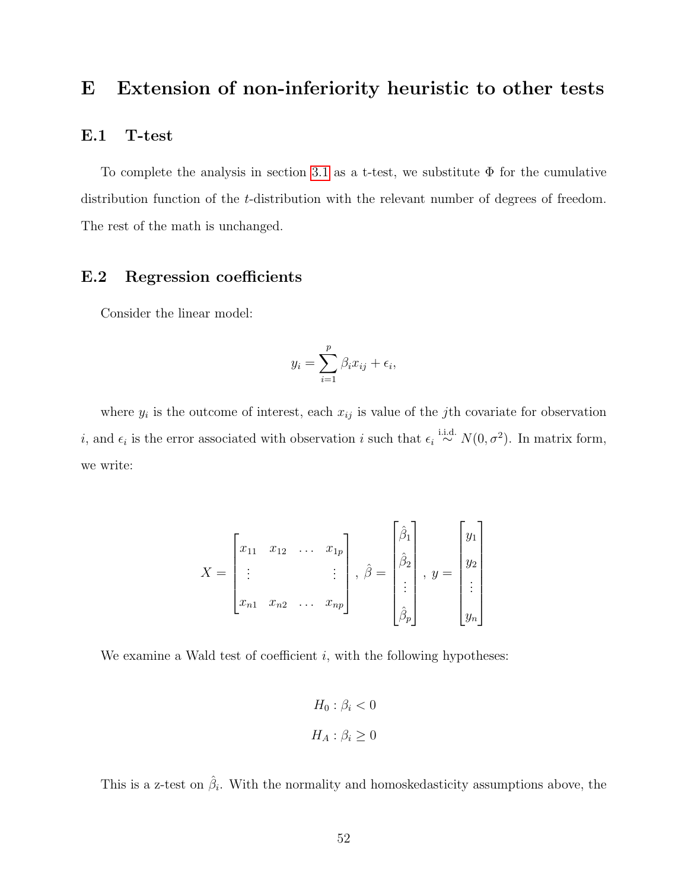# <span id="page-52-0"></span>E Extension of non-inferiority heuristic to other tests

## E.1 T-test

To complete the analysis in section [3.1](#page-16-1) as a t-test, we substitute  $\Phi$  for the cumulative distribution function of the t-distribution with the relevant number of degrees of freedom. The rest of the math is unchanged.

## E.2 Regression coefficients

Consider the linear model:

$$
y_i = \sum_{i=1}^p \beta_i x_{ij} + \epsilon_i,
$$

where  $y_i$  is the outcome of interest, each  $x_{ij}$  is value of the *j*th covariate for observation *i*, and  $\epsilon_i$  is the error associated with observation *i* such that  $\epsilon_i \stackrel{\text{i.i.d.}}{\sim} N(0, \sigma^2)$ . In matrix form, we write:

$$
X = \begin{bmatrix} x_{11} & x_{12} & \dots & x_{1p} \\ \vdots & & & \vdots \\ x_{n1} & x_{n2} & \dots & x_{np} \end{bmatrix}, \hat{\beta} = \begin{bmatrix} \hat{\beta}_1 \\ \hat{\beta}_2 \\ \vdots \\ \hat{\beta}_p \end{bmatrix}, y = \begin{bmatrix} y_1 \\ y_2 \\ \vdots \\ y_n \end{bmatrix}
$$

We examine a Wald test of coefficient  $i$ , with the following hypotheses:

$$
H_0: \beta_i < 0
$$
\n
$$
H_A: \beta_i \ge 0
$$

This is a z-test on  $\hat{\beta}_i$ . With the normality and homoskedasticity assumptions above, the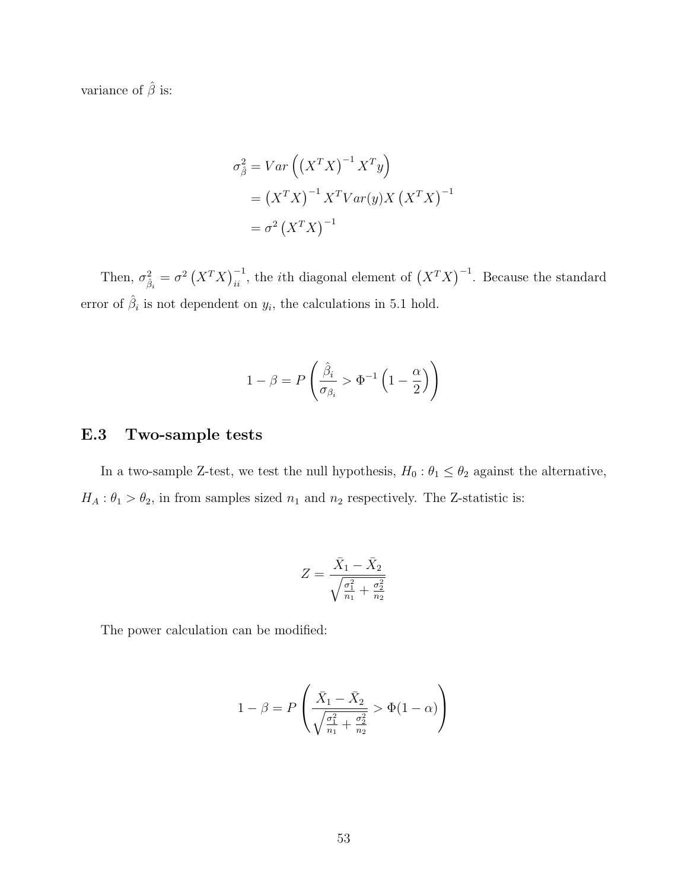variance of  $\hat{\beta}$  is:

$$
\sigma_{\hat{\beta}}^2 = Var\left(\left(X^T X\right)^{-1} X^T y\right)
$$
  
= 
$$
\left(X^T X\right)^{-1} X^T Var(y) X \left(X^T X\right)^{-1}
$$
  
= 
$$
\sigma^2 \left(X^T X\right)^{-1}
$$

Then,  $\sigma_{\hat{\beta}_i}^2 = \sigma^2 (X^T X)^{-1}_{ii}$ , the *i*th diagonal element of  $(X^T X)^{-1}$ . Because the standard error of  $\hat{\beta}_i$  is not dependent on  $y_i$ , the calculations in 5.1 hold.

$$
1 - \beta = P\left(\frac{\hat{\beta}_i}{\sigma_{\beta_i}} > \Phi^{-1}\left(1 - \frac{\alpha}{2}\right)\right)
$$

## E.3 Two-sample tests

In a two-sample Z-test, we test the null hypothesis,  $H_0: \theta_1 \leq \theta_2$  against the alternative,  $H_A: \theta_1 > \theta_2$ , in from samples sized  $n_1$  and  $n_2$  respectively. The Z-statistic is:

$$
Z = \frac{\bar{X}_1 - \bar{X}_2}{\sqrt{\frac{\sigma_1^2}{n_1} + \frac{\sigma_2^2}{n_2}}}
$$

The power calculation can be modified:

$$
1 - \beta = P\left(\frac{\bar{X}_1 - \bar{X}_2}{\sqrt{\frac{\sigma_1^2}{n_1} + \frac{\sigma_2^2}{n_2}}} > \Phi(1 - \alpha)\right)
$$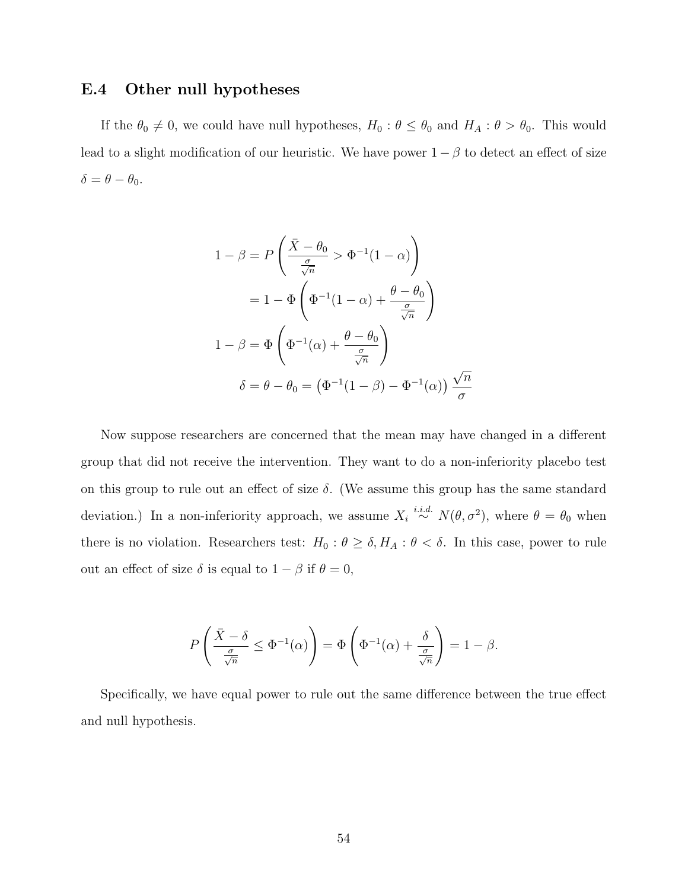## E.4 Other null hypotheses

If the  $\theta_0 \neq 0$ , we could have null hypotheses,  $H_0 : \theta \leq \theta_0$  and  $H_A : \theta > \theta_0$ . This would lead to a slight modification of our heuristic. We have power  $1 - \beta$  to detect an effect of size  $\delta = \theta - \theta_0.$ 

$$
1 - \beta = P\left(\frac{\bar{X} - \theta_0}{\frac{\sigma}{\sqrt{n}}} > \Phi^{-1}(1 - \alpha)\right)
$$

$$
= 1 - \Phi\left(\Phi^{-1}(1 - \alpha) + \frac{\theta - \theta_0}{\frac{\sigma}{\sqrt{n}}}\right)
$$

$$
1 - \beta = \Phi\left(\Phi^{-1}(\alpha) + \frac{\theta - \theta_0}{\frac{\sigma}{\sqrt{n}}}\right)
$$

$$
\delta = \theta - \theta_0 = \left(\Phi^{-1}(1 - \beta) - \Phi^{-1}(\alpha)\right)\frac{\sqrt{n}}{\sigma}
$$

Now suppose researchers are concerned that the mean may have changed in a different group that did not receive the intervention. They want to do a non-inferiority placebo test on this group to rule out an effect of size  $\delta$ . (We assume this group has the same standard deviation.) In a non-inferiority approach, we assume  $X_i \stackrel{i.i.d.}{\sim} N(\theta, \sigma^2)$ , where  $\theta = \theta_0$  when there is no violation. Researchers test:  $H_0: \theta \ge \delta, H_A: \theta < \delta$ . In this case, power to rule out an effect of size  $\delta$  is equal to  $1 - \beta$  if  $\theta = 0$ ,

$$
P\left(\frac{\bar{X}-\delta}{\frac{\sigma}{\sqrt{n}}} \leq \Phi^{-1}(\alpha)\right) = \Phi\left(\Phi^{-1}(\alpha) + \frac{\delta}{\frac{\sigma}{\sqrt{n}}}\right) = 1 - \beta.
$$

Specifically, we have equal power to rule out the same difference between the true effect and null hypothesis.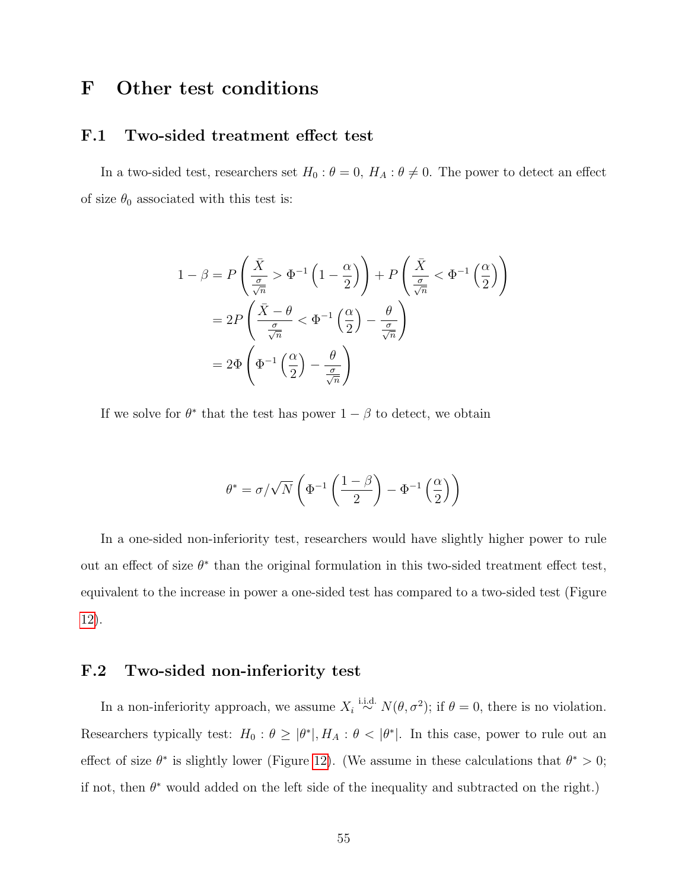## <span id="page-55-0"></span>F Other test conditions

#### F.1 Two-sided treatment effect test

In a two-sided test, researchers set  $H_0: \theta = 0$ ,  $H_A: \theta \neq 0$ . The power to detect an effect of size  $\theta_0$  associated with this test is:

$$
1 - \beta = P\left(\frac{\bar{X}}{\frac{\sigma}{\sqrt{n}}} > \Phi^{-1}\left(1 - \frac{\alpha}{2}\right)\right) + P\left(\frac{\bar{X}}{\frac{\sigma}{\sqrt{n}}} < \Phi^{-1}\left(\frac{\alpha}{2}\right)\right)
$$

$$
= 2P\left(\frac{\bar{X} - \theta}{\frac{\sigma}{\sqrt{n}}} < \Phi^{-1}\left(\frac{\alpha}{2}\right) - \frac{\theta}{\frac{\sigma}{\sqrt{n}}}\right)
$$

$$
= 2\Phi\left(\Phi^{-1}\left(\frac{\alpha}{2}\right) - \frac{\theta}{\frac{\sigma}{\sqrt{n}}}\right)
$$

If we solve for  $\theta^*$  that the test has power  $1 - \beta$  to detect, we obtain

$$
\theta^* = \sigma/\sqrt{N}\left(\Phi^{-1}\left(\frac{1-\beta}{2}\right) - \Phi^{-1}\left(\frac{\alpha}{2}\right)\right)
$$

In a one-sided non-inferiority test, researchers would have slightly higher power to rule out an effect of size  $\theta^*$  than the original formulation in this two-sided treatment effect test, equivalent to the increase in power a one-sided test has compared to a two-sided test (Figure [12\)](#page-56-0).

## F.2 Two-sided non-inferiority test

In a non-inferiority approach, we assume  $X_i \stackrel{\text{i.i.d.}}{\sim} N(\theta, \sigma^2)$ ; if  $\theta = 0$ , there is no violation. Researchers typically test:  $H_0: \theta \ge |\theta^*|$ ,  $H_A: \theta < |\theta^*|$ . In this case, power to rule out an effect of size  $\theta^*$  is slightly lower (Figure [12\)](#page-56-0). (We assume in these calculations that  $\theta^* > 0$ ; if not, then  $\theta^*$  would added on the left side of the inequality and subtracted on the right.)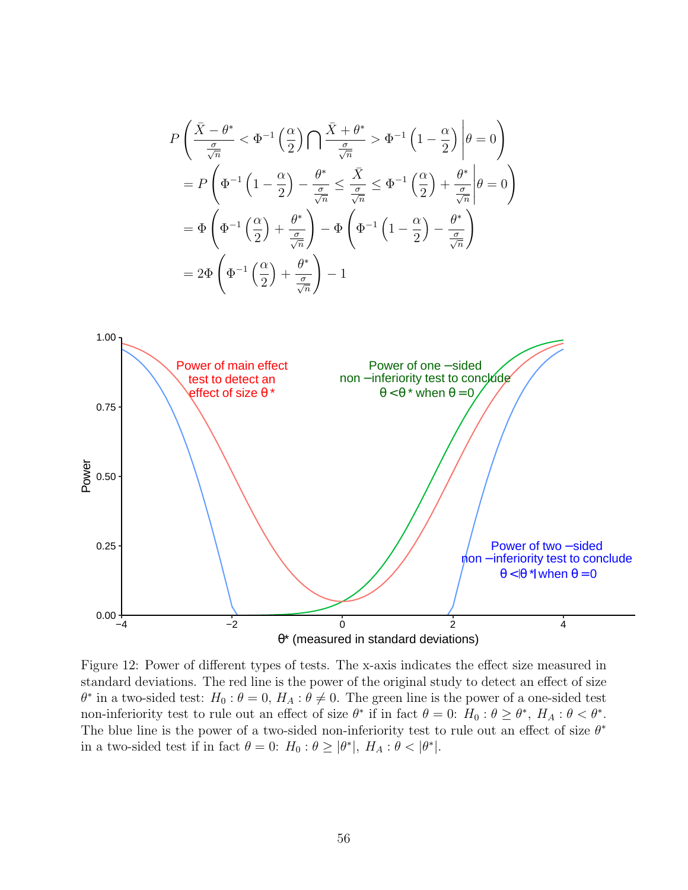<span id="page-56-0"></span>
$$
P\left(\frac{\bar{X}-\theta^{*}}{\frac{\sigma}{\sqrt{n}}}<\Phi^{-1}\left(\frac{\alpha}{2}\right)\bigcap \frac{\bar{X}+\theta^{*}}{\frac{\sigma}{\sqrt{n}}}> \Phi^{-1}\left(1-\frac{\alpha}{2}\right)\middle|\theta=0\right)
$$
\n
$$
= P\left(\Phi^{-1}\left(1-\frac{\alpha}{2}\right)-\frac{\theta^{*}}{\frac{\sigma}{\sqrt{n}}}\leq \frac{\bar{X}}{\frac{\sigma}{\sqrt{n}}}\leq \Phi^{-1}\left(\frac{\alpha}{2}\right)+\frac{\theta^{*}}{\frac{\sigma}{\sqrt{n}}}\middle|\theta=0\right)
$$
\n
$$
= \Phi\left(\Phi^{-1}\left(\frac{\alpha}{2}\right)+\frac{\theta^{*}}{\frac{\sigma}{\sqrt{n}}}\right)-\Phi\left(\Phi^{-1}\left(1-\frac{\alpha}{2}\right)-\frac{\theta^{*}}{\frac{\sigma}{\sqrt{n}}}\right)
$$
\n
$$
= 2\Phi\left(\Phi^{-1}\left(\frac{\alpha}{2}\right)+\frac{\theta^{*}}{\frac{\sigma}{\sqrt{n}}}\right)-1
$$
\n1.00\n\nPower of main effect  
\ntest to detect an non-interiority test to conclude  
\neffect of size  $\theta^{*}$   
\n0.75\n\n
$$
0.75
$$
\n
$$
0.75
$$
\n
$$
0.85
$$
\n
$$
0.00
$$
\n
$$
0.25
$$
\n
$$
0.00
$$
\n
$$
0.00
$$
\n
$$
0.00
$$
\n
$$
0.00
$$
\n
$$
0.00
$$
\n
$$
0.00
$$
\n
$$
0.00
$$
\n
$$
0.00
$$
\n
$$
0.00
$$
\n
$$
0.00
$$
\n
$$
0.00
$$
\n
$$
0.00
$$
\n
$$
0.00
$$
\n
$$
0.00
$$
\n
$$
0.00
$$
\n
$$
0.00
$$
\n
$$
0.00
$$
\n
$$
0.00
$$
\n
$$
0.00
$$
\n
$$
0.00
$$
\n
$$
0.00
$$
\n
$$
0
$$

Figure 12: Power of different types of tests. The x-axis indicates the effect size measured in standard deviations. The red line is the power of the original study to detect an effect of size  $\theta^*$  in a two-sided test:  $H_0: \theta = 0$ ,  $H_A: \theta \neq 0$ . The green line is the power of a one-sided test non-inferiority test to rule out an effect of size  $\theta^*$  if in fact  $\theta = 0$ :  $H_0: \theta \ge \theta^*$ ,  $H_A: \theta < \theta^*$ . The blue line is the power of a two-sided non-inferiority test to rule out an effect of size  $\theta^*$ in a two-sided test if in fact  $\theta = 0$ :  $H_0: \theta \ge |\theta^*|$ ,  $H_A: \theta < |\theta^*|$ .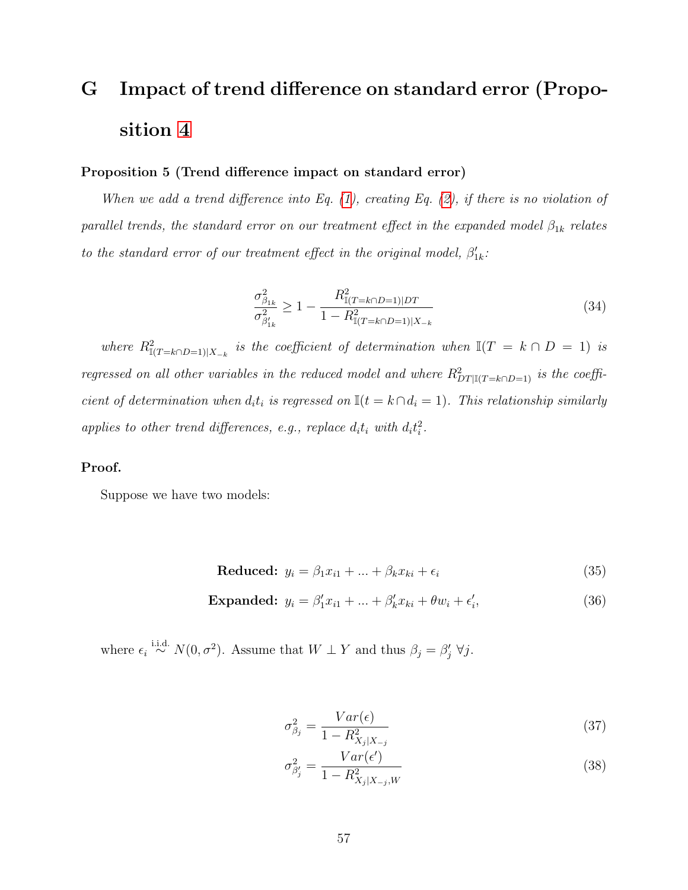# <span id="page-57-0"></span>G Impact of trend difference on standard error (Proposition [4](#page-21-0)

#### Proposition 5 (Trend difference impact on standard error)

When we add a trend difference into Eq.  $(1)$ , creating Eq.  $(2)$ , if there is no violation of parallel trends, the standard error on our treatment effect in the expanded model  $\beta_{1k}$  relates to the standard error of our treatment effect in the original model,  $\beta'_{1k}$ :

$$
\frac{\sigma_{\beta_{1k}}^2}{\sigma_{\beta'_{1k}}^2} \ge 1 - \frac{R_{\mathbb{I}(T=k\cap D=1)|DT}^2}{1 - R_{\mathbb{I}(T=k\cap D=1)|X_{-k}}} \tag{34}
$$

where  $R^2_{\mathbb{I}(T=k\cap D=1)|X_{-k}}$  is the coefficient of determination when  $\mathbb{I}(T=k\cap D=1)$  is regressed on all other variables in the reduced model and where  $R_{DT|I(T=k\cap D=1)}^2$  is the coefficient of determination when  $d_i t_i$  is regressed on  $\mathbb{I}(t = k \cap d_i = 1)$ . This relationship similarly applies to other trend differences, e.g., replace  $d_i t_i$  with  $d_i t_i^2$ .

#### Proof.

Suppose we have two models:

$$
Reduced: y_i = \beta_1 x_{i1} + \dots + \beta_k x_{ki} + \epsilon_i \tag{35}
$$

$$
\text{Expanded: } y_i = \beta'_1 x_{i1} + \dots + \beta'_k x_{ki} + \theta w_i + \epsilon'_i, \tag{36}
$$

where  $\epsilon_i \stackrel{\text{i.i.d.}}{\sim} N(0, \sigma^2)$ . Assume that  $W \perp Y$  and thus  $\beta_j = \beta'_j \ \forall j$ .

$$
\sigma_{\beta_j}^2 = \frac{Var(\epsilon)}{1 - R_{X_j | X_{-j}}^2} \tag{37}
$$

$$
\sigma_{\beta_j'}^2 = \frac{Var(\epsilon')}{1 - R_{X_j|X_{-j},W}^2}
$$
\n(38)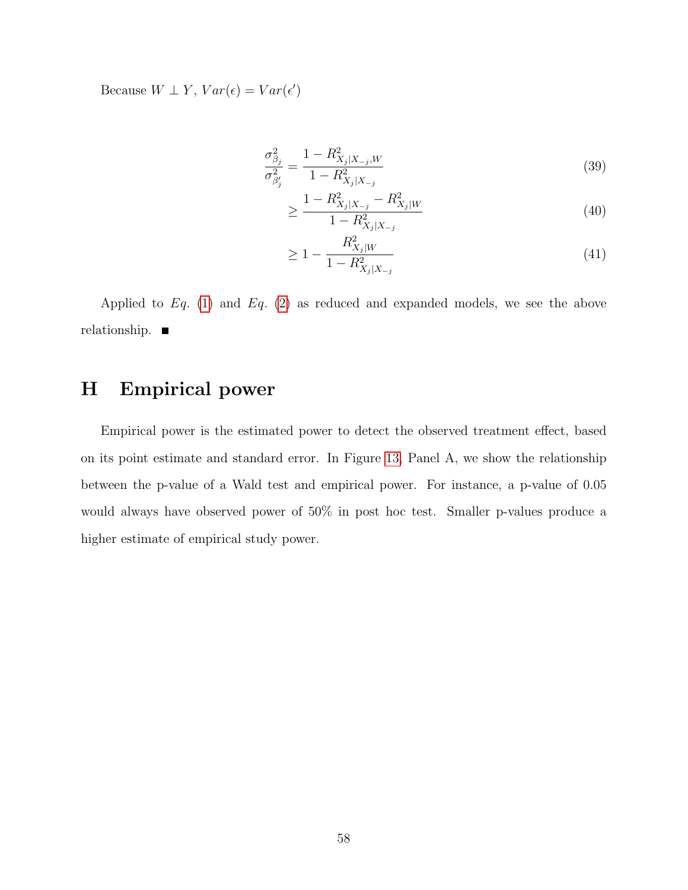Because  $W \perp Y$ ,  $Var(\epsilon) = Var(\epsilon')$ 

$$
\frac{\sigma_{\beta_j}^2}{\sigma_{\beta'_j}^2} = \frac{1 - R_{X_j|X_{-j},W}^2}{1 - R_{X_j|X_{-j}}^2}
$$
\n(39)

$$
\geq \frac{1 - R_{X_j|X_{-j}}^2 - R_{X_j|W}^2}{1 - R_{X_j|X_{-j}}^2} \tag{40}
$$

$$
\geq 1 - \frac{R_{X_j|W}^2}{1 - R_{X_j|X_{-j}}^2} \tag{41}
$$

Applied to  $Eq. (1)$  $Eq. (1)$  and  $Eq. (2)$  $Eq. (2)$  as reduced and expanded models, we see the above relationship.

# <span id="page-58-0"></span>H Empirical power

Empirical power is the estimated power to detect the observed treatment effect, based on its point estimate and standard error. In Figure [13,](#page-59-0) Panel A, we show the relationship between the p-value of a Wald test and empirical power. For instance, a p-value of 0.05 would always have observed power of 50% in post hoc test. Smaller p-values produce a higher estimate of empirical study power.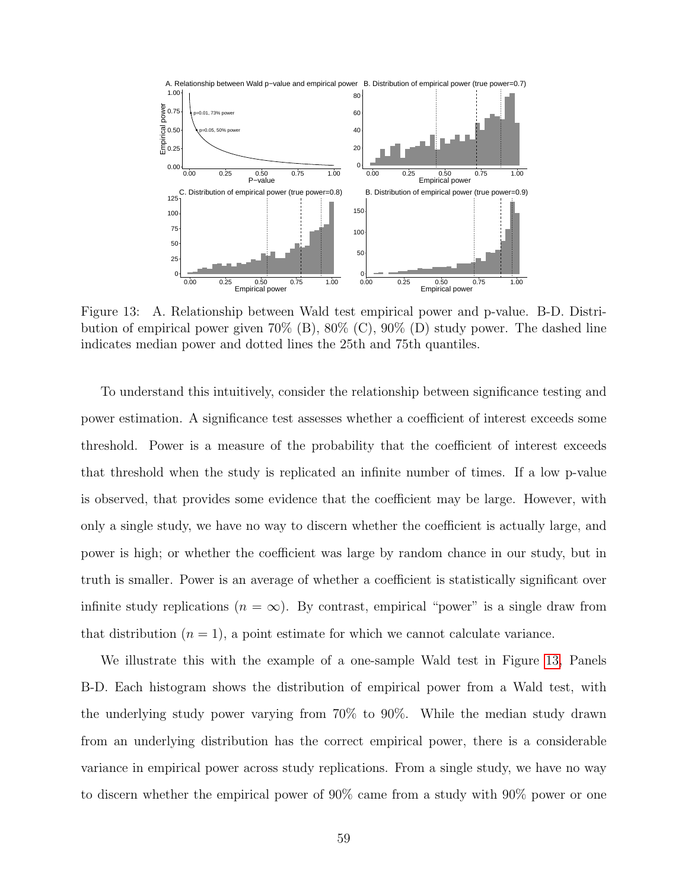<span id="page-59-0"></span>

Figure 13: A. Relationship between Wald test empirical power and p-value. B-D. Distribution of empirical power given  $70\%$  (B),  $80\%$  (C),  $90\%$  (D) study power. The dashed line indicates median power and dotted lines the 25th and 75th quantiles.

To understand this intuitively, consider the relationship between significance testing and power estimation. A significance test assesses whether a coefficient of interest exceeds some threshold. Power is a measure of the probability that the coefficient of interest exceeds that threshold when the study is replicated an infinite number of times. If a low p-value is observed, that provides some evidence that the coefficient may be large. However, with only a single study, we have no way to discern whether the coefficient is actually large, and power is high; or whether the coefficient was large by random chance in our study, but in truth is smaller. Power is an average of whether a coefficient is statistically significant over infinite study replications  $(n = \infty)$ . By contrast, empirical "power" is a single draw from that distribution  $(n = 1)$ , a point estimate for which we cannot calculate variance.

We illustrate this with the example of a one-sample Wald test in Figure [13,](#page-59-0) Panels B-D. Each histogram shows the distribution of empirical power from a Wald test, with the underlying study power varying from 70% to 90%. While the median study drawn from an underlying distribution has the correct empirical power, there is a considerable variance in empirical power across study replications. From a single study, we have no way to discern whether the empirical power of 90% came from a study with 90% power or one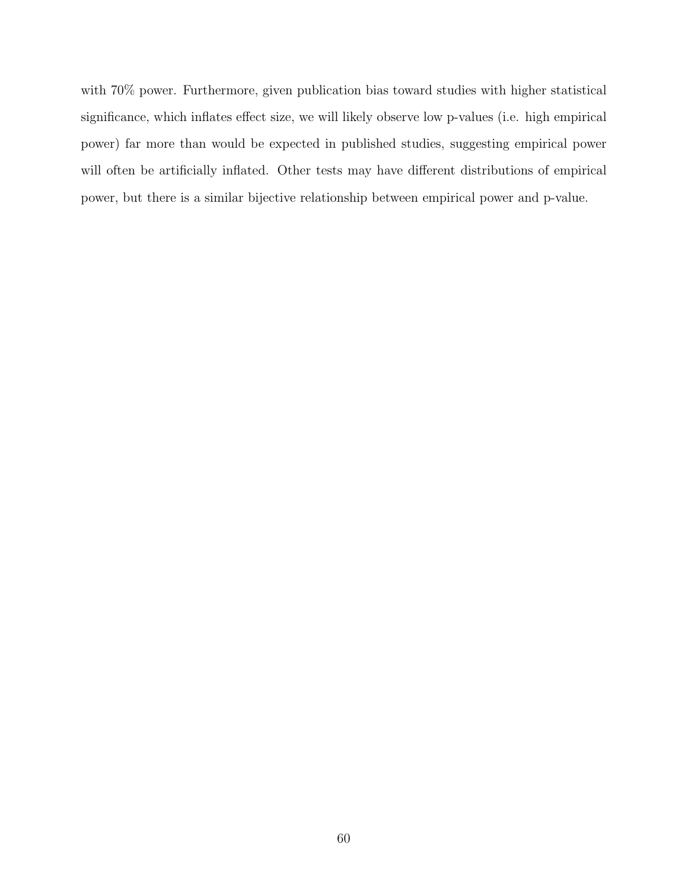with 70% power. Furthermore, given publication bias toward studies with higher statistical significance, which inflates effect size, we will likely observe low p-values (i.e. high empirical power) far more than would be expected in published studies, suggesting empirical power will often be artificially inflated. Other tests may have different distributions of empirical power, but there is a similar bijective relationship between empirical power and p-value.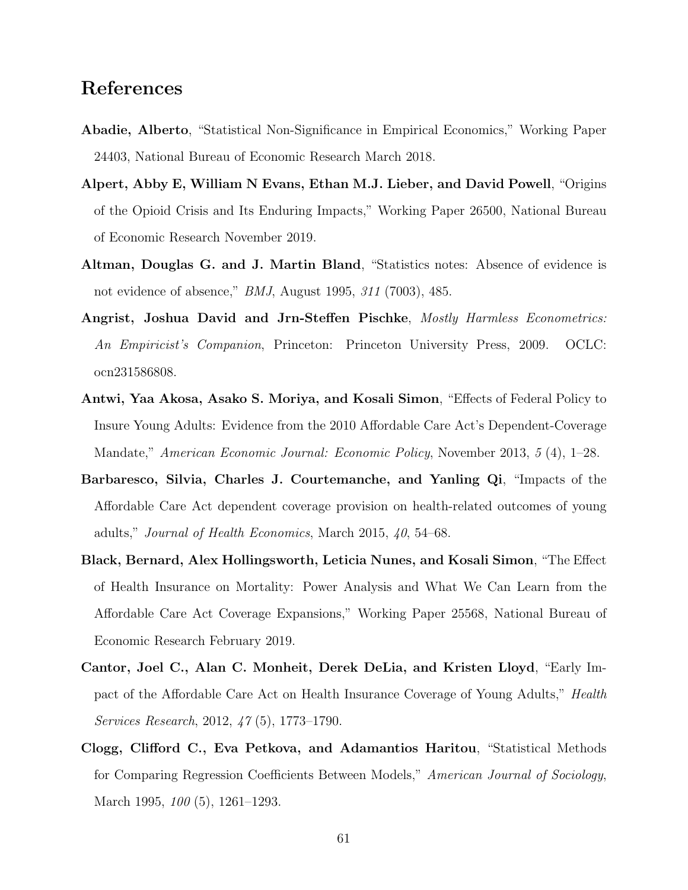## <span id="page-61-9"></span>References

- <span id="page-61-1"></span>Abadie, Alberto, "Statistical Non-Significance in Empirical Economics," Working Paper 24403, National Bureau of Economic Research March 2018.
- <span id="page-61-5"></span>Alpert, Abby E, William N Evans, Ethan M.J. Lieber, and David Powell, "Origins of the Opioid Crisis and Its Enduring Impacts," Working Paper 26500, National Bureau of Economic Research November 2019.
- <span id="page-61-0"></span>Altman, Douglas G. and J. Martin Bland, "Statistics notes: Absence of evidence is not evidence of absence," BMJ, August 1995, 311 (7003), 485.
- <span id="page-61-2"></span>Angrist, Joshua David and Jrn-Steffen Pischke, Mostly Harmless Econometrics: An Empiricist's Companion, Princeton: Princeton University Press, 2009. OCLC: ocn231586808.
- <span id="page-61-3"></span>Antwi, Yaa Akosa, Asako S. Moriya, and Kosali Simon, "Effects of Federal Policy to Insure Young Adults: Evidence from the 2010 Affordable Care Act's Dependent-Coverage Mandate," American Economic Journal: Economic Policy, November 2013, 5 (4), 1–28.
- <span id="page-61-8"></span>Barbaresco, Silvia, Charles J. Courtemanche, and Yanling Qi, "Impacts of the Affordable Care Act dependent coverage provision on health-related outcomes of young adults," Journal of Health Economics, March 2015, 40, 54–68.
- <span id="page-61-7"></span>Black, Bernard, Alex Hollingsworth, Leticia Nunes, and Kosali Simon, "The Effect of Health Insurance on Mortality: Power Analysis and What We Can Learn from the Affordable Care Act Coverage Expansions," Working Paper 25568, National Bureau of Economic Research February 2019.
- <span id="page-61-4"></span>Cantor, Joel C., Alan C. Monheit, Derek DeLia, and Kristen Lloyd, "Early Impact of the Affordable Care Act on Health Insurance Coverage of Young Adults," Health Services Research, 2012, 47 (5), 1773–1790.
- <span id="page-61-6"></span>Clogg, Clifford C., Eva Petkova, and Adamantios Haritou, "Statistical Methods for Comparing Regression Coefficients Between Models," American Journal of Sociology, March 1995, 100 (5), 1261–1293.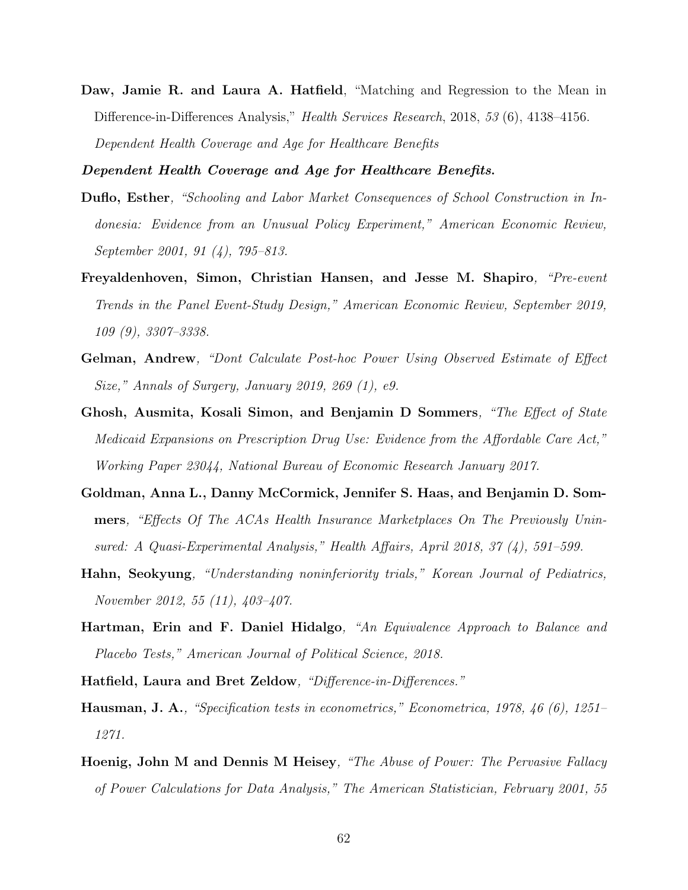<span id="page-62-2"></span>Daw, Jamie R. and Laura A. Hatfield, "Matching and Regression to the Mean in Difference-in-Differences Analysis," Health Services Research, 2018, 53 (6), 4138–4156. Dependent Health Coverage and Age for Healthcare Benefits

<span id="page-62-10"></span><span id="page-62-3"></span>Dependent Health Coverage and Age for Healthcare Benefits.

- Duflo, Esther, "Schooling and Labor Market Consequences of School Construction in Indonesia: Evidence from an Unusual Policy Experiment," American Economic Review, September 2001, 91 (4), 795–813.
- <span id="page-62-0"></span>Freyaldenhoven, Simon, Christian Hansen, and Jesse M. Shapiro, "Pre-event Trends in the Panel Event-Study Design," American Economic Review, September 2019, 109 (9), 3307–3338.
- <span id="page-62-8"></span>Gelman, Andrew, "Dont Calculate Post-hoc Power Using Observed Estimate of Effect Size," Annals of Surgery, January 2019, 269 (1), e9.
- <span id="page-62-6"></span>Ghosh, Ausmita, Kosali Simon, and Benjamin D Sommers, "The Effect of State Medicaid Expansions on Prescription Drug Use: Evidence from the Affordable Care Act," Working Paper 23044, National Bureau of Economic Research January 2017.
- <span id="page-62-5"></span>Goldman, Anna L., Danny McCormick, Jennifer S. Haas, and Benjamin D. Sommers, "Effects Of The ACAs Health Insurance Marketplaces On The Previously Uninsured: A Quasi-Experimental Analysis," Health Affairs, April 2018, 37 (4), 591–599.
- <span id="page-62-4"></span>Hahn, Seokyung, "Understanding noninferiority trials," Korean Journal of Pediatrics, November 2012, 55 (11), 403–407.
- <span id="page-62-1"></span>Hartman, Erin and F. Daniel Hidalgo, "An Equivalence Approach to Balance and Placebo Tests," American Journal of Political Science, 2018.
- <span id="page-62-11"></span><span id="page-62-7"></span>Hatfield, Laura and Bret Zeldow, "Difference-in-Differences."
- Hausman, J. A., "Specification tests in econometrics," Econometrica, 1978, 46 (6), 1251– 1271.
- <span id="page-62-9"></span>Hoenig, John M and Dennis M Heisey, "The Abuse of Power: The Pervasive Fallacy of Power Calculations for Data Analysis," The American Statistician, February 2001, 55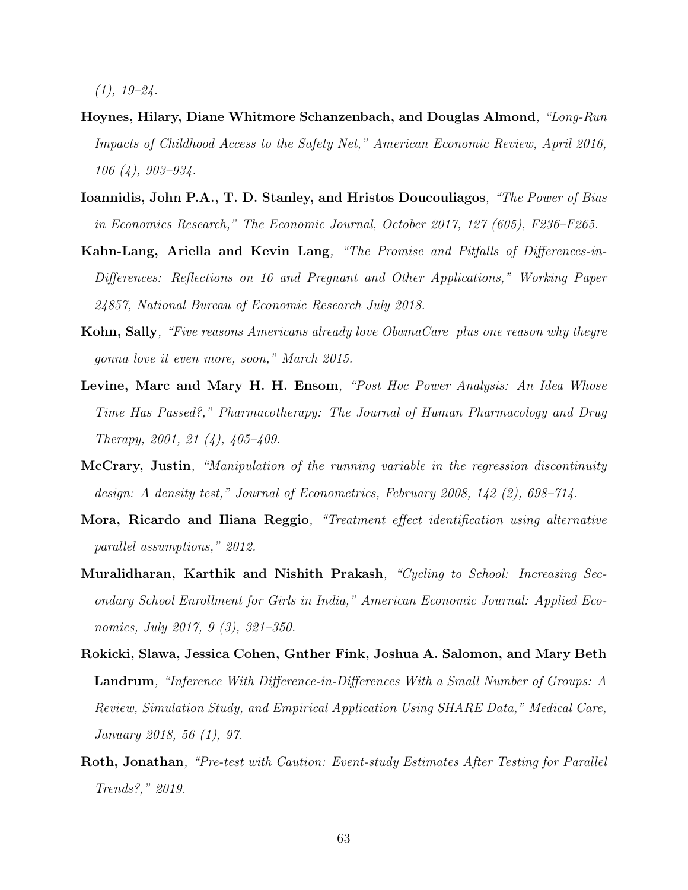$(1), 19-24.$ 

- <span id="page-63-6"></span>Hoynes, Hilary, Diane Whitmore Schanzenbach, and Douglas Almond, "Long-Run Impacts of Childhood Access to the Safety Net," American Economic Review, April 2016, 106 (4), 903–934.
- <span id="page-63-0"></span>Ioannidis, John P.A., T. D. Stanley, and Hristos Doucouliagos, "The Power of Bias in Economics Research," The Economic Journal, October 2017, 127 (605), F236–F265.
- <span id="page-63-2"></span>Kahn-Lang, Ariella and Kevin Lang, "The Promise and Pitfalls of Differences-in-Differences: Reflections on 16 and Pregnant and Other Applications," Working Paper 24857, National Bureau of Economic Research July 2018.
- <span id="page-63-9"></span>Kohn, Sally, "Five reasons Americans already love ObamaCare plus one reason why theyre gonna love it even more, soon," March 2015.
- <span id="page-63-8"></span>Levine, Marc and Mary H. H. Ensom, "Post Hoc Power Analysis: An Idea Whose Time Has Passed?," Pharmacotherapy: The Journal of Human Pharmacology and Drug Therapy, 2001, 21 (4), 405–409.
- <span id="page-63-3"></span>McCrary, Justin, "Manipulation of the running variable in the regression discontinuity design: A density test," Journal of Econometrics, February 2008, 142 (2), 698–714.
- <span id="page-63-4"></span>Mora, Ricardo and Iliana Reggio, "Treatment effect identification using alternative parallel assumptions," 2012.
- <span id="page-63-5"></span>Muralidharan, Karthik and Nishith Prakash, "Cycling to School: Increasing Secondary School Enrollment for Girls in India," American Economic Journal: Applied Economics, July 2017, 9 (3), 321–350.
- <span id="page-63-7"></span>Rokicki, Slawa, Jessica Cohen, Gnther Fink, Joshua A. Salomon, and Mary Beth Landrum, "Inference With Difference-in-Differences With a Small Number of Groups: A Review, Simulation Study, and Empirical Application Using SHARE Data," Medical Care, January 2018, 56 (1), 97.
- <span id="page-63-1"></span>Roth, Jonathan, "Pre-test with Caution: Event-study Estimates After Testing for Parallel Trends?," 2019.